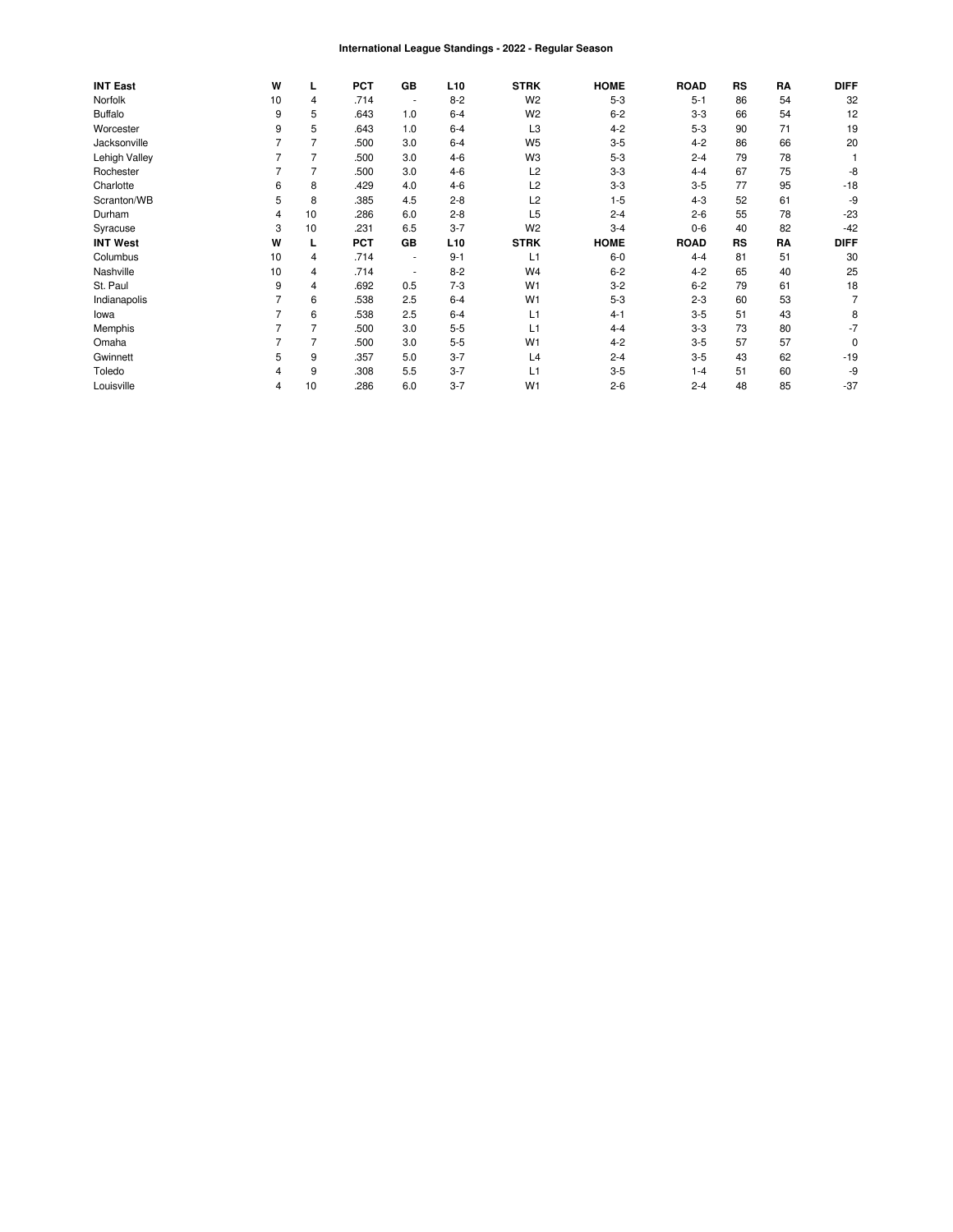#### International League Standings - 2022 - Regular Season

| <b>INT East</b> | W  | L              | <b>PCT</b> | GB                       | L <sub>10</sub> | <b>STRK</b>    | <b>HOME</b> | <b>ROAD</b> | RS | RA | <b>DIFF</b> |
|-----------------|----|----------------|------------|--------------------------|-----------------|----------------|-------------|-------------|----|----|-------------|
| Norfolk         | 10 | 4              | .714       | $\overline{\phantom{a}}$ | $8 - 2$         | W <sub>2</sub> | $5 - 3$     | $5 - 1$     | 86 | 54 | 32          |
| <b>Buffalo</b>  | 9  | 5              | .643       | 1.0                      | $6 - 4$         | W <sub>2</sub> | $6 - 2$     | $3 - 3$     | 66 | 54 | 12          |
| Worcester       | 9  | 5              | .643       | 1.0                      | $6 - 4$         | L <sub>3</sub> | $4 - 2$     | $5-3$       | 90 | 71 | 19          |
| Jacksonville    |    |                | .500       | 3.0                      | $6 - 4$         | W <sub>5</sub> | $3-5$       | $4 - 2$     | 86 | 66 | 20          |
| Lehigh Valley   |    | $\overline{7}$ | .500       | 3.0                      | $4 - 6$         | W3             | $5 - 3$     | $2 - 4$     | 79 | 78 |             |
| Rochester       |    | 7              | .500       | 3.0                      | $4 - 6$         | L <sub>2</sub> | $3-3$       | $4 - 4$     | 67 | 75 | -8          |
| Charlotte       | 6  | 8              | .429       | 4.0                      | $4 - 6$         | L <sub>2</sub> | $3-3$       | $3 - 5$     | 77 | 95 | $-18$       |
| Scranton/WB     | 5  | 8              | .385       | 4.5                      | $2 - 8$         | L <sub>2</sub> | $1 - 5$     | $4 - 3$     | 52 | 61 | -9          |
| Durham          | 4  | 10             | .286       | 6.0                      | $2 - 8$         | L <sub>5</sub> | $2 - 4$     | $2 - 6$     | 55 | 78 | $-23$       |
| Syracuse        | 3  | 10             | .231       | 6.5                      | $3 - 7$         | W <sub>2</sub> | $3 - 4$     | $0-6$       | 40 | 82 | $-42$       |
| <b>INT West</b> | W  |                | <b>PCT</b> | GB                       | L <sub>10</sub> | <b>STRK</b>    | <b>HOME</b> | <b>ROAD</b> | RS | RA | <b>DIFF</b> |
| Columbus        | 10 | 4              | .714       | ٠                        | $9 - 1$         | L1             | $6-0$       | $4 - 4$     | 81 | 51 | 30          |
| Nashville       | 10 | $\overline{4}$ | .714       | ٠                        | $8 - 2$         | W4             | $6 - 2$     | $4 - 2$     | 65 | 40 | 25          |
| St. Paul        | 9  | 4              | .692       | 0.5                      | $7 - 3$         | W <sub>1</sub> | $3 - 2$     | $6 - 2$     | 79 | 61 | 18          |
| Indianapolis    |    | 6              | .538       | 2.5                      | $6 - 4$         | W <sub>1</sub> | $5 - 3$     | $2 - 3$     | 60 | 53 |             |
| lowa            |    | 6              | .538       | 2.5                      | $6 - 4$         | L1             | $4 - 1$     | $3 - 5$     | 51 | 43 | 8           |
| Memphis         |    | 7              | .500       | 3.0                      | $5 - 5$         | L1             | $4 - 4$     | $3 - 3$     | 73 | 80 | -7          |
| Omaha           |    | 7              | .500       | 3.0                      | $5 - 5$         | W <sub>1</sub> | $4 - 2$     | $3-5$       | 57 | 57 | 0           |
| Gwinnett        | 5  | 9              | .357       | 5.0                      | $3 - 7$         | L4             | $2 - 4$     | $3-5$       | 43 | 62 | $-19$       |
| Toledo          | 4  | 9              | .308       | 5.5                      | $3 - 7$         | L1             | $3-5$       | $1 - 4$     | 51 | 60 | -9          |
| Louisville      | 4  | 10             | .286       | 6.0                      | $3 - 7$         | W <sub>1</sub> | $2 - 6$     | $2 - 4$     | 48 | 85 | $-37$       |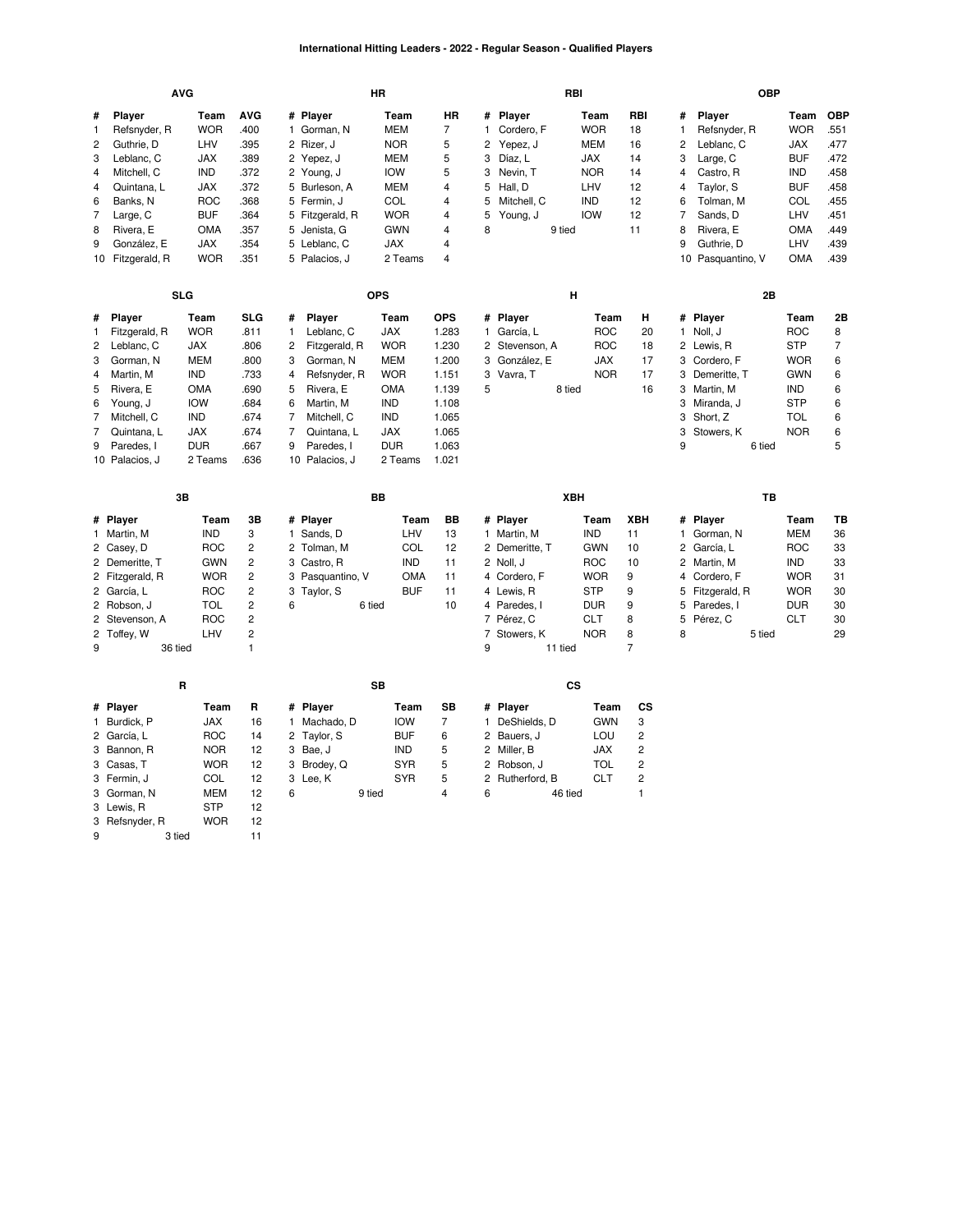### **International Hitting Leaders - 2022 - Regular Season - Qualified Players**

|                | <b>AVG</b>               |            |                |                            | <b>HR</b>  |                |                |                 | RBI        |                |                | <b>OBP</b>        |            |            |
|----------------|--------------------------|------------|----------------|----------------------------|------------|----------------|----------------|-----------------|------------|----------------|----------------|-------------------|------------|------------|
| #              | Player                   | Team       | <b>AVG</b>     | # Player                   | Team       | <b>HR</b>      | #              | Player          | Team       | RBI            | #              | Player            | Team       | <b>OBP</b> |
| 1              | Refsnyder, R             | <b>WOR</b> | .400           | 1 Gorman, N                | <b>MEM</b> | $\overline{7}$ | $\mathbf{1}$   | Cordero, F      | <b>WOR</b> | 18             | $\mathbf{1}$   | Refsnyder, R      | <b>WOR</b> | .551       |
| $\overline{2}$ | Guthrie, D               | LHV        | .395           | 2<br>Rizer, J              | <b>NOR</b> | 5              | 2              | Yepez, J        | <b>MEM</b> | 16             | $\overline{c}$ | Leblanc, C        | <b>JAX</b> | .477       |
| 3              | Leblanc, C               | <b>JAX</b> | .389           | 2 Yepez, J                 | <b>MEM</b> | 5              | 3              | Díaz, L         | <b>JAX</b> | 14             | 3              | Large, C          | <b>BUF</b> | .472       |
| $\overline{4}$ | Mitchell, C              | <b>IND</b> | .372           | 2 Young, J                 | <b>IOW</b> | 5              | 3              | Nevin, T        | <b>NOR</b> | 14             | $\overline{4}$ | Castro, R         | <b>IND</b> | .458       |
| $\overline{4}$ | Quintana, L              | <b>JAX</b> | .372           | 5 Burleson, A              | <b>MEM</b> | 4              | 5              | Hall, D         | LHV        | 12             | $\overline{4}$ | Taylor, S         | <b>BUF</b> | .458       |
| 6              | Banks, N                 | <b>ROC</b> | .368           | 5 Fermin, J                | COL        | 4              | 5              | Mitchell, C     | <b>IND</b> | 12             | 6              | Tolman, M         | COL        | .455       |
| $\overline{7}$ | Large, C                 | <b>BUF</b> | .364           | 5 Fitzgerald, R            | <b>WOR</b> | 4              | 5              | Young, J        | <b>IOW</b> | 12             | $\overline{7}$ | Sands, D          | LHV        | .451       |
| 8              | Rivera, E                | <b>OMA</b> | .357           | 5 Jenista, G               | <b>GWN</b> | 4              | 8              |                 | 9 tied     | 11             | 8              | Rivera, E         | <b>OMA</b> | .449       |
| 9              | González, E              | <b>JAX</b> | .354           | 5 Leblanc, C               | <b>JAX</b> | 4              |                |                 |            |                | 9              | Guthrie, D        | LHV        | .439       |
|                | 10 Fitzgerald, R         | <b>WOR</b> | .351           | 5 Palacios, J              | 2 Teams    | 4              |                |                 |            |                |                | 10 Pasquantino, V | <b>OMA</b> | .439       |
|                |                          |            |                |                            |            |                |                |                 |            |                |                |                   |            |            |
|                | <b>SLG</b>               |            |                |                            | <b>OPS</b> |                |                |                 | н          |                |                | 2B                |            |            |
| #              | Player                   | Team       | <b>SLG</b>     | Player<br>#                | Team       | <b>OPS</b>     |                | # Player        | Team       | н              |                | # Player          | Team       | 2Β         |
| 1              | Fitzgerald, R            | <b>WOR</b> | .811           | Leblanc, C<br>1            | JAX        | 1.283          | $\mathbf{1}$   | García, L       | <b>ROC</b> | 20             |                | 1 Noll, J         | <b>ROC</b> | 8          |
| $\overline{c}$ | Leblanc, C               | <b>JAX</b> | .806           | 2<br>Fitzgerald, R         | <b>WOR</b> | 1.230          | 2              | Stevenson, A    | <b>ROC</b> | 18             |                | 2 Lewis, R        | <b>STP</b> | 7          |
| 3              | Gorman, N                | <b>MEM</b> | .800           | 3<br>Gorman, N             | <b>MEM</b> | 1.200          | 3              | González, E     | <b>JAX</b> | 17             |                | 3 Cordero, F      | <b>WOR</b> | 6          |
| $\overline{4}$ | Martin, M                | <b>IND</b> | .733           | Refsnyder, R<br>4          | <b>WOR</b> | 1.151          | 3              | Vavra, T        | <b>NOR</b> | 17             |                | 3 Demeritte, T    | <b>GWN</b> | 6          |
| 5              | Rivera, E                | <b>OMA</b> | .690           | 5<br>Rivera, E             | <b>OMA</b> | 1.139          | 5              |                 | 8 tied     | 16             | 3              | Martin, M         | IND        | 6          |
| 6              | Young, J                 | <b>IOW</b> | .684           | 6<br>Martin, M             | <b>IND</b> | 1.108          |                |                 |            |                |                | 3 Miranda, J      | <b>STP</b> | 6          |
| 7              | Mitchell, C              | <b>IND</b> | .674           | 7<br>Mitchell, C           | <b>IND</b> | 1.065          |                |                 |            |                | 3              | Short, Z          | <b>TOL</b> | 6          |
| $\overline{7}$ | Quintana, L              | <b>JAX</b> | .674           | 7<br>Quintana, L           | <b>JAX</b> | 1.065          |                |                 |            |                | 3              | Stowers, K        | <b>NOR</b> | 6          |
| 9              | Paredes, I               | <b>DUR</b> | .667           | 9<br>Paredes, I            | <b>DUR</b> | 1.063          |                |                 |            |                | 9              | 6 tied            |            | 5          |
|                | 10 Palacios, J           | 2 Teams    | .636           | 10 Palacios, J             | 2 Teams    | 1.021          |                |                 |            |                |                |                   |            |            |
|                |                          |            |                |                            |            |                |                |                 |            |                |                |                   |            |            |
|                | 3B                       |            |                |                            | BB         |                |                |                 | XBH        |                |                | TB                |            |            |
|                |                          | Team       | 3B             | # Player                   | Team       | <b>BB</b>      |                | # Player        | Team       | <b>XBH</b>     | #              | Player            | Team       | TВ         |
|                | # Player                 |            |                |                            |            |                |                |                 |            |                |                | 1 Gorman, N       | MEM        | 36         |
|                | 1 Martin, M              | <b>IND</b> | 3              | 1 Sands, D                 | LHV        | 13             |                | 1 Martin, M     | <b>IND</b> | 11             |                |                   |            | 33         |
|                | 2 Casey, D               | <b>ROC</b> | 2              | 2 Tolman, M                | COL        | 12             |                | 2 Demeritte, T  | <b>GWN</b> | 10             |                | 2 García, L       | <b>ROC</b> |            |
|                | 2 Demeritte, T           | <b>GWN</b> | $\overline{c}$ | 3 Castro, R                | <b>IND</b> | 11             |                | 2 Noll, J       | <b>ROC</b> | 10             |                | 2 Martin, M       | <b>IND</b> | 33         |
|                | 2 Fitzgerald, R          | <b>WOR</b> | $\overline{c}$ | 3 Pasquantino, V           | <b>OMA</b> | 11             |                | 4 Cordero, F    | <b>WOR</b> | 9              | 4              | Cordero, F        | <b>WOR</b> | 31         |
|                | 2 García, L              | <b>ROC</b> | $\overline{c}$ | 3<br>Taylor, S             | <b>BUF</b> | 11             |                | 4 Lewis, R      | <b>STP</b> | 9              | 5              | Fitzgerald, R     | <b>WOR</b> | 30         |
|                | 2 Robson, J              | <b>TOL</b> | $\overline{c}$ | 6                          | 6 tied     | 10             |                | 4 Paredes, I    | <b>DUR</b> | 9              | 5              | Paredes, I        | <b>DUR</b> | 30         |
|                | 2 Stevenson, A           | <b>ROC</b> | 2              |                            |            |                |                | 7 Pérez, C      | <b>CLT</b> | 8              | 5              | Pérez, C          | <b>CLT</b> | 30         |
|                | 2 Toffey, W              | LHV        | $\overline{c}$ |                            |            |                | $\overline{7}$ | Stowers, K      | <b>NOR</b> | 8              | 8              | 5 tied            |            | 29         |
| 9              | 36 tied                  |            | $\mathbf{1}$   |                            |            |                | 9              |                 | 11 tied    | $\overline{7}$ |                |                   |            |            |
|                |                          | R          |                |                            | <b>SB</b>  |                |                |                 | CS         |                |                |                   |            |            |
|                | # Player                 | Team       | R              | # Player                   | Team       | <b>SB</b>      |                | # Player        | Team       | CS             |                |                   |            |            |
|                | 1 Burdick, P             | <b>JAX</b> | 16             | Machado, D<br>$\mathbf{1}$ | <b>IOW</b> | $\overline{7}$ | $\mathbf{1}$   | DeShields, D    | <b>GWN</b> | 3              |                |                   |            |            |
|                | 2 García, L              | <b>ROC</b> | 14             | 2<br>Taylor, S             | <b>BUF</b> | 6              | 2              | Bauers, J       | LOU        | 2              |                |                   |            |            |
|                | 3 Bannon, R              | <b>NOR</b> | 12             | 3<br>Bae, J                | <b>IND</b> | 5              |                | 2 Miller, B     | <b>JAX</b> | 2              |                |                   |            |            |
|                | 3 Casas, T               | <b>WOR</b> | 12             | Brodey, Q<br>3             | <b>SYR</b> | 5              |                | 2 Robson, J     | <b>TOL</b> | 2              |                |                   |            |            |
|                | 3 Fermin, J              | COL        | 12             | 3 Lee, K                   | <b>SYR</b> | 5              |                | 2 Rutherford, B | <b>CLT</b> | $\overline{c}$ |                |                   |            |            |
|                | 3 Gorman, N              | <b>MEM</b> | 12             | 6                          | 9 tied     | 4              | 6              |                 | 46 tied    | 1              |                |                   |            |            |
|                | 3 Lewis, R               | <b>STP</b> | 12             |                            |            |                |                |                 |            |                |                |                   |            |            |
| 9              | 3 Refsnyder, R<br>3 tied | <b>WOR</b> | 12<br>11       |                            |            |                |                |                 |            |                |                |                   |            |            |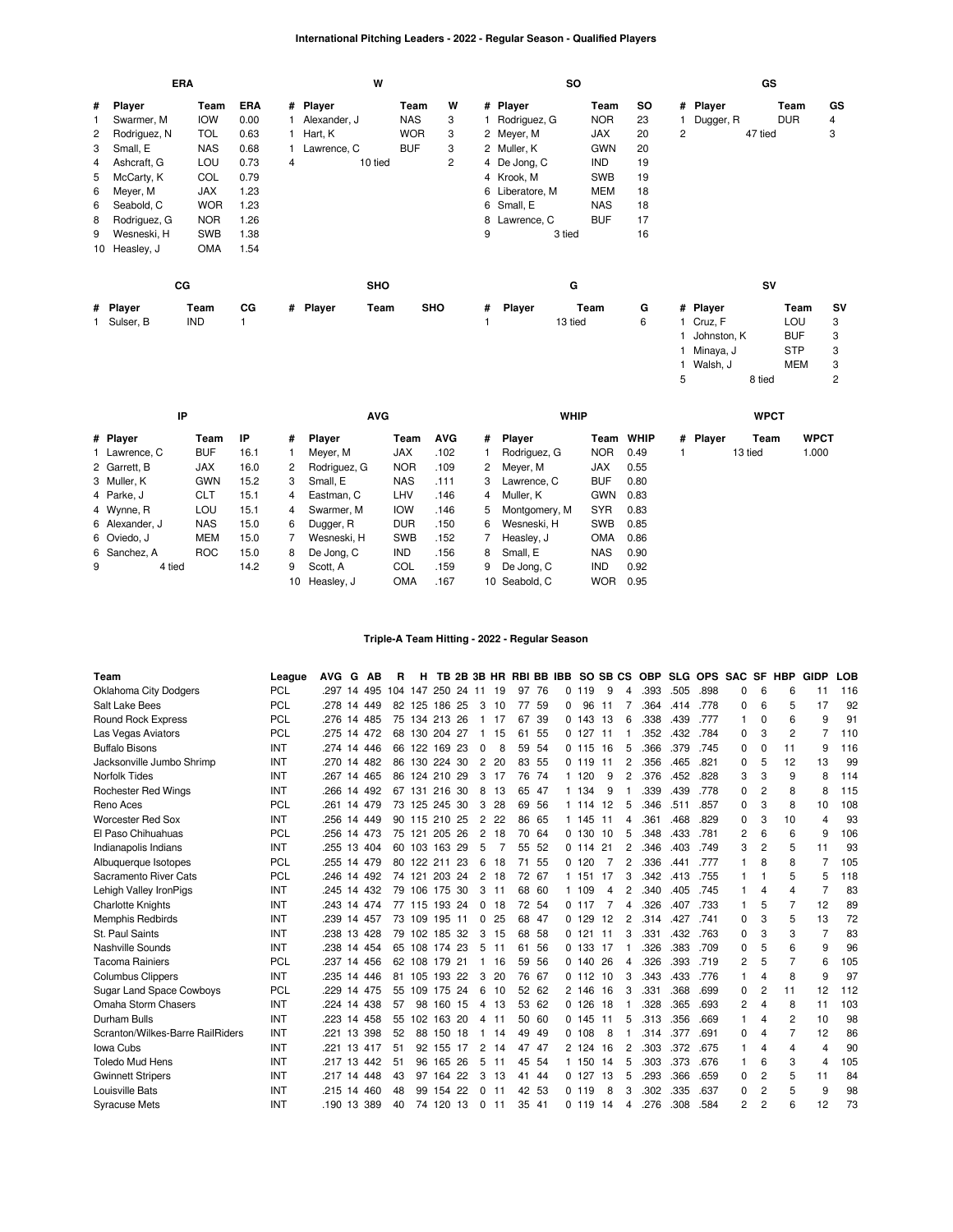# **International Pitching Leaders - 2022 - Regular Season - Qualified Players**

|   |               | <b>ERA</b> |      |   |              | W          |            |   |   |                 | <b>SO</b> |            |     |                |             | GS      |            |           |
|---|---------------|------------|------|---|--------------|------------|------------|---|---|-----------------|-----------|------------|-----|----------------|-------------|---------|------------|-----------|
| # | Player        | Team       | ERA  |   | # Player     |            | Team       | W |   | # Player        |           | Team       | SO. |                | # Player    |         | Team       | GS        |
|   | Swarmer, M    | <b>IOW</b> | 0.00 |   | Alexander, J |            | <b>NAS</b> | 3 |   | Rodriguez, G    |           | <b>NOR</b> | 23  |                | Dugger, R   |         | <b>DUR</b> | 4         |
| 2 | Rodriguez, N  | <b>TOL</b> | 0.63 |   | 1 Hart, K    |            | <b>WOR</b> | 3 |   | 2 Meyer, M      |           | <b>JAX</b> | 20  | $\overline{2}$ |             | 47 tied |            | 3         |
| 3 | Small, E      | <b>NAS</b> | 0.68 |   | Lawrence, C  |            | <b>BUF</b> | 3 |   | 2 Muller, K     |           | <b>GWN</b> | 20  |                |             |         |            |           |
| 4 | Ashcraft, G   | LOU        | 0.73 | 4 |              | 10 tied    |            | 2 |   | 4 De Jong, C    |           | IND        | 19  |                |             |         |            |           |
| 5 | McCarty, K    | COL        | 0.79 |   |              |            |            |   |   | 4 Krook, M      |           | <b>SWB</b> | 19  |                |             |         |            |           |
| 6 | Meyer, M      | <b>JAX</b> | 1.23 |   |              |            |            |   |   | 6 Liberatore, M |           | <b>MEM</b> | 18  |                |             |         |            |           |
| 6 | Seabold, C    | <b>WOR</b> | 1.23 |   |              |            |            |   |   | 6 Small, E      |           | <b>NAS</b> | 18  |                |             |         |            |           |
| 8 | Rodriguez, G  | <b>NOR</b> | 1.26 |   |              |            |            |   |   | 8 Lawrence, C   |           | <b>BUF</b> | 17  |                |             |         |            |           |
| 9 | Wesneski, H   | <b>SWB</b> | 1.38 |   |              |            |            |   | 9 |                 | 3 tied    |            | 16  |                |             |         |            |           |
|   | 10 Heasley, J | <b>OMA</b> | 1.54 |   |              |            |            |   |   |                 |           |            |     |                |             |         |            |           |
|   |               | CG         |      |   |              | <b>SHO</b> |            |   |   |                 | G         |            |     |                |             | SV      |            |           |
|   | # Player      | Team       | CG   |   | # Player     | Team       | <b>SHO</b> |   | # | Player          |           | Team       | G   |                | # Player    |         | Team       | <b>SV</b> |
|   | 1 Sulser, B   | <b>IND</b> |      |   |              |            |            |   |   |                 | 13 tied   |            | 6   |                | 1 Cruz, F   |         | LOU        | 3         |
|   |               |            |      |   |              |            |            |   |   |                 |           |            |     |                | Johnston, K |         | <b>BUF</b> | 3         |
|   |               |            |      |   |              |            |            |   |   |                 |           |            |     |                | Minaya, J   |         | <b>STP</b> | 3         |
|   |               |            |      |   |              |            |            |   |   |                 |           |            |     |                | Walsh, J    |         | <b>MEM</b> | 3         |
|   |               |            |      |   |              |            |            |   |   |                 |           |            |     | 5              |             | 8 tied  |            | 2         |

|   | IP             |            |      |    | <b>AVG</b>   |            |            |   | <b>WHIP</b>   |            |             |          | <b>WPCT</b> |             |
|---|----------------|------------|------|----|--------------|------------|------------|---|---------------|------------|-------------|----------|-------------|-------------|
|   | # Player       | Team       | ΙP   | #  | Plaver       | Team       | <b>AVG</b> | # | Player        | Team       | <b>WHIP</b> | # Plaver | Team        | <b>WPCT</b> |
|   | 1 Lawrence, C  | <b>BUF</b> | 16.1 |    | Meyer, M     | <b>JAX</b> | .102       |   | Rodriguez, G  | <b>NOR</b> | 0.49        |          | 13 tied     | 1.000       |
|   | 2 Garrett, B   | <b>JAX</b> | 16.0 | 2  | Rodriguez, G | <b>NOR</b> | .109       |   | 2 Mever, M    | JAX        | 0.55        |          |             |             |
|   | 3 Muller, K    | <b>GWN</b> | 15.2 | 3  | Small, E     | <b>NAS</b> | .111       | 3 | Lawrence, C   | <b>BUF</b> | 0.80        |          |             |             |
|   | 4 Parke, J     | <b>CLT</b> | 15.1 | 4  | Eastman, C   | LHV        | .146       | 4 | Muller. K     | GWN 0.83   |             |          |             |             |
|   | 4 Wynne, R     | LOU        | 15.1 | 4  | Swarmer. M   | <b>IOW</b> | .146       | 5 | Montgomery, M | <b>SYR</b> | 0.83        |          |             |             |
|   | 6 Alexander, J | <b>NAS</b> | 15.0 | 6  | Dugger, R    | <b>DUR</b> | .150       | 6 | Wesneski, H   | <b>SWB</b> | 0.85        |          |             |             |
|   | 6 Oviedo, J    | <b>MEM</b> | 15.0 |    | Wesneski, H  | <b>SWB</b> | .152       |   | Heasley, J    | <b>OMA</b> | 0.86        |          |             |             |
|   | 6 Sanchez, A   | <b>ROC</b> | 15.0 | 8  | De Jona, C   | <b>IND</b> | .156       | 8 | Small, E      | <b>NAS</b> | 0.90        |          |             |             |
| 9 | 4 tied         |            | 14.2 | 9  | Scott, A     | <b>COL</b> | .159       | 9 | De Jong, C    | <b>IND</b> | 0.92        |          |             |             |
|   |                |            |      | 10 | Heasley, J   | <b>OMA</b> | .167       |   | 10 Seabold, C | <b>WOR</b> | 0.95        |          |             |             |

# **Triple-A Team Hitting - 2022 - Regular Season**

| Team                             | League     | <b>AVG</b> | G  | АB     | R   | н             |        |     |                |    | TB 2B 3B HR RBI BB IBB |       |   |           | SO SB CS |   | <b>OBP</b> |      | SLG OPS SAC |          | <b>SF</b>      | <b>HBP</b>     | <b>GIDP</b>    | <b>LOB</b> |
|----------------------------------|------------|------------|----|--------|-----|---------------|--------|-----|----------------|----|------------------------|-------|---|-----------|----------|---|------------|------|-------------|----------|----------------|----------------|----------------|------------|
| <b>Oklahoma City Dodgers</b>     | <b>PCL</b> | .297       | 14 | 495    | 104 | 147           | 250    | 24  | -11            | 19 | 97                     | -76   | 0 | 119       | 9        | Δ | .393       | .505 | .898        | 0        | 6              | 6              | 11             | 116        |
| Salt Lake Bees                   | <b>PCL</b> | .278       | 14 | 449    | 82  | 125 186 25    |        |     | 3              | 10 | 77                     | 59    | 0 | 96        | 11       |   | .364       | .414 | .778        | 0        | 6              | 5              | 17             | 92         |
| Round Rock Express               | <b>PCL</b> | .276       | 14 | 485    |     | 75 134        | 213 26 |     | -1             | 17 | 67                     | 39    |   | 0.143     | 13       | 6 | .338       | .439 | .777        | 1        | $\Omega$       | 6              | 9              | 91         |
| Las Vegas Aviators               | <b>PCL</b> | .275       | 14 | 472    | 68  | 130           | 204 27 |     |                | 15 | 61                     | 55    |   | 0.127     | 11       |   | .352       | .432 | .784        | 0        | 3              | $\overline{2}$ |                | 110        |
| <b>Buffalo Bisons</b>            | INT        | .274       |    | 14 446 | 66  | 122 169 23    |        |     | 0              | 8  | 59                     | -54   |   | 5<br>0.11 | 16       | 5 | .366       | .379 | .745        | 0        | $\Omega$       | 11             | 9              | 116        |
| Jacksonville Jumbo Shrimp        | INT        | .270       | 14 | 482    | 86  | 130           | 224    | 30  | 2              | 20 | 83                     | -55   |   | 0.119     | 11       | 2 | .356       | .465 | .821        | 0        | 5              | 12             | 13             | 99         |
| <b>Norfolk Tides</b>             | INT        | .267       | 14 | 465    | 86  | 124 210 29    |        |     | 3              | 17 | 76                     | 74    |   | 1 120     | 9        | 2 | .376       | .452 | .828        | 3        | 3              | 9              | 8              | 114        |
| <b>Rochester Red Wings</b>       | <b>INT</b> | .266       | 14 | 492    | 67  | 131           | 216    | 30  | 8              | 13 |                        | 65 47 |   | 1 134     | 9        |   | .339       | .439 | .778        | 0        | $\overline{c}$ | 8              | 8              | 115        |
| Reno Aces                        | <b>PCL</b> | .261       | 14 | 479    | 73  | 125           | 245 30 |     | 3              | 28 | 69                     | - 56  |   | 1 1 1 4   | 12       | 5 | .346       | .511 | .857        | $\Omega$ | 3              | 8              | 10             | 108        |
| <b>Worcester Red Sox</b>         | INT        | .256       | 14 | 449    | 90  | 115           | 210    | 25  | 2              | 22 | 86                     | 65    |   | 1 145     | 11       | 4 | .361       | .468 | .829        | $\Omega$ | 3              | 10             | $\overline{4}$ | 93         |
| El Paso Chihuahuas               | <b>PCL</b> | .256       | 14 | 473    | 75  | 121           | 205    | 26  | $\overline{2}$ | 18 | 70                     | 64    |   | 0 130     | 10       | 5 | .348       | .433 | .781        | 2        | 6              | 6              | 9              | 106        |
| Indianapolis Indians             | <b>INT</b> | .255       |    | 13 404 | 60  | 103 163 29    |        |     | 5              |    | 55                     | -52   |   | 0.114     | 21       | 2 | .346       | .403 | .749        | 3        | 2              | 5              | 11             | 93         |
| Albuquerque Isotopes             | <b>PCL</b> | .255       | 14 | 479    | 80  | 122           | 211    | 23  | 6              | 18 | 71                     | 55    |   | 0 120     |          | 2 | .336       | .441 | .777        |          | 8              | 8              |                | 105        |
| Sacramento River Cats            | <b>PCL</b> | .246       |    | 14 492 |     | 74 121        | 203 24 |     | $\overline{2}$ | 18 |                        | 72 67 |   | 1 151     | 17       | 3 | .342       | .413 | .755        |          |                | 5              | 5              | 118        |
| Lehigh Valley IronPigs           | <b>INT</b> | .245       | 14 | 432    | 79  | 106           | 175    | 30  | 3              | 11 | 68                     | -60   |   | 1 109     | 4        | 2 | .340       | .405 | .745        |          | 4              | 4              |                | 83         |
| <b>Charlotte Knights</b>         | INT        | .243       | 14 | 474    | 77  | 115           | 193 24 |     | 0              | 18 |                        | 72 54 |   | 0.117     |          | 4 | .326       | .407 | .733        |          | 5              | 7              | 12             | 89         |
| <b>Memphis Redbirds</b>          | INT        | .239       |    | 14 457 | 73  | 109           | 195 11 |     | 0              | 25 |                        | 68 47 |   | 0.129     | 12       | 2 | .314       | .427 | .741        | 0        | 3              | 5              | 13             | 72         |
| St. Paul Saints                  | <b>INT</b> | .238       | 13 | 428    | 79  | 102           | 185    | 32  | 3              | 15 |                        | 68 58 |   | 0 121     | 11       | 3 | .331       | .432 | .763        | 0        | 3              | 3              | 7              | 83         |
| Nashville Sounds                 | INT        | .238       | 14 | 454    |     | 65 108 174 23 |        |     | 5              | 11 | 61                     | -56   |   | 0, 133    | -17      |   | 326        | .383 | .709        | $\Omega$ | 5              | 6              | 9              | 96         |
| <b>Tacoma Rainiers</b>           | <b>PCL</b> | .237       | 14 | 456    | 62  | 108           | 179    | 21  |                | 16 | 59                     | 56    |   | 0 140     | 26       | 4 | 326        | .393 | .719        | 2        |                | 7              | 6              | 105        |
| <b>Columbus Clippers</b>         | <b>INT</b> | .235       | 14 | 446    | 81  | 105           | 193 22 |     | 3              | 20 | 76                     | 67    |   | 0.112     | 10       | 3 | .343       | .433 | .776        | 1        | 4              | 8              | 9              | 97         |
| Sugar Land Space Cowboys         | PCL        | .229       | 14 | 475    | 55  | 109           | 175 24 |     | 6              | 10 |                        | 52 62 |   | 2 146     | 16       | 3 | .331       | .368 | .699        | 0        | 2              | 11             | 12             | 112        |
| Omaha Storm Chasers              | <b>INT</b> | .224       | 14 | 438    | 57  | 98            | 160    | -15 | 4              | 13 |                        | 53 62 |   | 0.126     | 18       |   | .328       | .365 | .693        | 2        | 4              | 8              | 11             | 103        |
| Durham Bulls                     | INT        | .223       | 14 | 458    | 55  | 102           | 163 20 |     | 4              | 11 |                        | 50 60 |   | 0.145     | 11       | 5 | .313       | .356 | .669        | 1        | Δ              | 2              | 10             | 98         |
| Scranton/Wilkes-Barre RailRiders | <b>INT</b> | .221       | 13 | 398    | 52  | 88            | 150    | -18 |                | 14 | 49                     | -49   | 0 | 108       | 8        |   | 314        | .377 | .691        | 0        |                | $\overline{7}$ | 12             | 86         |
| Iowa Cubs                        | <b>INT</b> | .221       | 13 | 417    | 51  | 92            | 155    | -17 | 2              | 14 | 47                     | 47    |   | 2 124     | 16       | 2 | .303       | .372 | .675        | 1        | 4              | $\overline{4}$ | 4              | 90         |
| <b>Toledo Mud Hens</b>           | <b>INT</b> | .217       | 13 | 442    | 51  | 96            | 165    | 26  | 5              | 11 | 45                     | 54    |   | 1 150     | 14       | 5 | .303       | .373 | .676        | 1        | 6              | 3              | $\overline{4}$ | 105        |
| <b>Gwinnett Stripers</b>         | INT        | .217       | 14 | 448    | 43  | 97            | 164    | 22  | 3              | 13 | 41                     | 44    |   | 0.127     | 13       | 5 | .293       | .366 | .659        | 0        | 2              | 5              | 11             | 84         |
| Louisville Bats                  | INT        | .215       | 14 | 460    | 48  | 99            | 154    | 22  | 0              | 11 |                        | 42 53 |   | 0.119     | 8        |   | .302       | .335 | .637        | $\Omega$ | 2              | 5              | 9              | 98         |
| <b>Syracuse Mets</b>             | <b>INT</b> | .19013     |    | 389    | 40  | 74            | 120 13 |     | $\Omega$       | 11 |                        | 35 41 |   | 0 119     | 14       | Δ | 276        | .308 | .584        | 2        | $\overline{c}$ | 6              | 12             | 73         |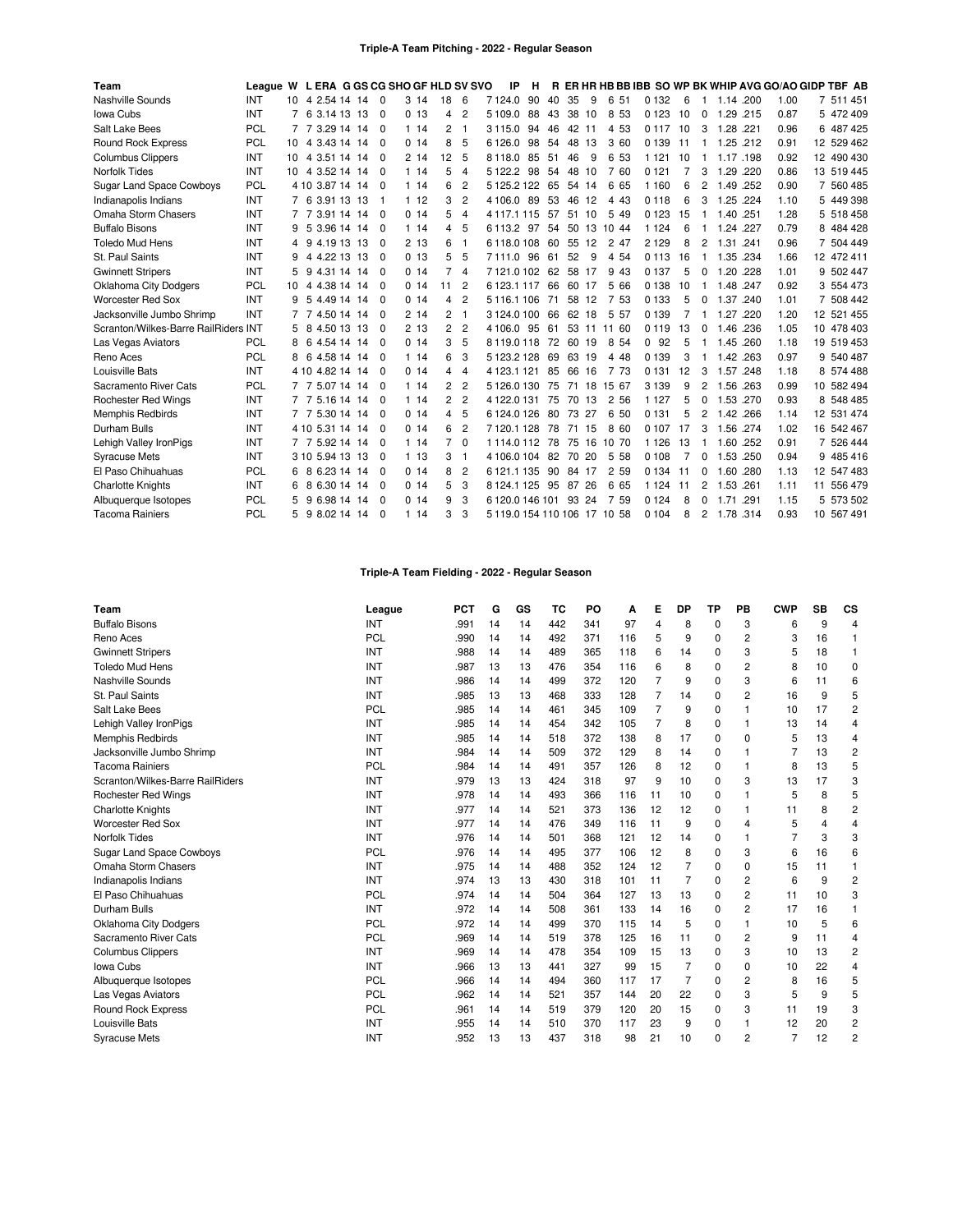| Team                                 | League W L ERA G GS CG SHO GF HLD SV SVO |    |                 |  |                |       |                |                | ΙP                           | н  |    |          |     |                      |         |    |                       |           |      |      | R ER HR HB BB IBB SO WP BK WHIP AVG GO/AO GIDP TBF AB |
|--------------------------------------|------------------------------------------|----|-----------------|--|----------------|-------|----------------|----------------|------------------------------|----|----|----------|-----|----------------------|---------|----|-----------------------|-----------|------|------|-------------------------------------------------------|
| Nashville Sounds                     | INT                                      |    | 10 4 2.54 14 14 |  | $\overline{0}$ | 314   | 18             | 6              | 7124.0                       | 90 | 40 | 35       | 9   | 6 51                 | 0 1 3 2 | 6  | 1                     | 1.14 .200 |      | 1.00 | 7 511 451                                             |
| Iowa Cubs                            | INT                                      |    | 6 3.14 13 13    |  | 0              | 013   | 4              | $\overline{c}$ | 5 109.0                      | 88 | 43 | 38       | 10  | 8<br>53              | 0 1 2 3 | 10 | 0                     | 1.29      | .215 | 0.87 | 5 472 409                                             |
| Salt Lake Bees                       | PCL                                      |    | 7 3.29 14 14    |  | - 0            | 114   | 2              | -1             | 3115.0                       | 94 | 46 | 42 11    |     | 4 53                 | 0 1 1 7 | 10 | 3                     | 1.28 .221 |      | 0.96 | 6 487 425                                             |
| <b>Round Rock Express</b>            | PCL                                      | 10 | 3.43 14 14<br>4 |  | - 0            | 0.14  | 8              | 5              | 6126.0                       | 98 | 54 | 48       | 13  | 3 60                 | 0 1 3 9 | 11 | -1                    | 1.25 .212 |      | 0.91 | 12 529 462                                            |
| <b>Columbus Clippers</b>             | INT                                      | 10 | 3.51 14 14<br>4 |  | - 0            | 2 14  | 12             | -5             | 8118.0                       | 85 | 51 | 46       | 9   | 6 53                 | 1 1 2 1 | 10 |                       | 1.17      | .198 | 0.92 | 12 490 430                                            |
| <b>Norfolk Tides</b>                 | <b>INT</b>                               | 10 | 4 3.52 14 14    |  | $\Omega$       | 114   | 5              | $\overline{4}$ | 5 1 2 2.2                    | 98 | 54 | 48 10    |     | 7 60                 | 0 1 2 1 | 7  | 3                     | 1.29 .220 |      | 0.86 | 13 519 445                                            |
| <b>Sugar Land Space Cowboys</b>      | PCL                                      |    | 4 10 3.87 14 14 |  | - 0            | 114   | 6              | $\overline{c}$ | 5125.2122                    |    | 65 | 54 14    |     | 6<br>65              | 1 1 6 0 | 6  | 2                     | 1.49      | .252 | 0.90 | 7 560 485                                             |
| Indianapolis Indians                 | <b>INT</b>                               |    | 6 3.91 13 13    |  | - 1            | 112   | 3              | $\overline{2}$ | 4 106.0                      | 89 | 53 | 46       | 12  | 4 4 3                | 0 1 1 8 | 6  | 3                     | 1.25 .224 |      | 1.10 | 5 449 398                                             |
| Omaha Storm Chasers                  | <b>INT</b>                               |    | 7 3.91 14 14    |  | $\Omega$       | 0.14  | 5              | $\overline{4}$ | 41171115                     |    | 57 | 51       | 10  | 5 4 9                | 0123    | 15 |                       | 1.40 .251 |      | 1.28 | 5 518 458                                             |
| <b>Buffalo Bisons</b>                | INT                                      | 9  | 5 3.96 14 14    |  | - 0            | 114   | 4              | 5              | 6113.2                       | 97 | 54 |          |     | 50 13 10 44          | 1 1 2 4 | 6  | $\mathbf 1$           | 1.24      | .227 | 0.79 | 8 484 428                                             |
| <b>Toledo Mud Hens</b>               | <b>INT</b>                               | 4  | 9 4.19 13 13    |  | $\Omega$       | 213   | 6              | -1             | 6118.0108                    |    | 60 | 55 12    |     | 2 47                 | 2 1 2 9 | 8  | $\mathbf{2}^{\prime}$ | 1.31 .241 |      | 0.96 | 7 504 449                                             |
| St. Paul Saints                      | <b>INT</b>                               |    | 4 4.22 13 13    |  | - 0            | 0, 13 | 5              | 5              | 7111.0                       | 96 | 61 | 52       | 9   | 4 54                 | 0 1 1 3 | 16 | $\mathbf{1}$          | 1.35 .234 |      | 1.66 | 12 472 411                                            |
| <b>Gwinnett Stripers</b>             | <b>INT</b>                               | 5  | 4.31 14 14<br>9 |  | - 0            | 0.14  | 7              | $\overline{4}$ | 7121.0102                    |    | 62 | 58 17    |     | 9 4 3                | 0 1 3 7 | 5  | 0                     | 1.20      | .228 | 1.01 | 9 502 447                                             |
| <b>Oklahoma City Dodgers</b>         | PCL                                      | 10 | 4 4.38 14 14    |  | $\Omega$       | 0.14  | 11             | $\overline{2}$ | 6123.1117                    |    | 66 | 60 17    |     | 5 66                 | 0 1 3 8 | 10 | $\mathbf{1}$          | 1.48 .247 |      | 0.92 | 3 554 473                                             |
| <b>Worcester Red Sox</b>             | <b>INT</b>                               | 9  | 5 4.49 14 14    |  | - 0            | 0.14  | 4              | $\overline{c}$ | 5116.1106                    |    | 71 | 58 12    |     | 7 53                 | 0 1 3 3 | 5  | 0                     | 1.37      | .240 | 1.01 | 7 508 442                                             |
| Jacksonville Jumbo Shrimp            | INT                                      |    | 7 4.50 14 14    |  | - 0            | 214   | $\overline{c}$ | -1             | 3124.0100                    |    | 66 | 62 18    |     | 5 5 7                | 0 1 3 9 |    | 1                     | 1.27      | .220 | 1.20 | 12 521 455                                            |
| Scranton/Wilkes-Barre RailRiders INT |                                          | 5  | 4.50 13 13<br>8 |  | $\Omega$       | 213   | $\overline{c}$ | $\overline{c}$ | 4 106.0 95                   |    | 61 |          |     | 53 11 11 60          | 0 1 1 9 | 13 | 0                     | 1.46      | .236 | 1.05 | 10 478 403                                            |
| Las Vegas Aviators                   | PCL                                      | 8  | 6<br>4.54 14 14 |  | - 0            | 0.14  | 3              | 5              | 8119.0118                    |    | 72 | 60 19    |     | 8 54                 | 92<br>0 | 5  | -1                    | 1.45 .260 |      | 1.18 | 19 519 453                                            |
| Reno Aces                            | <b>PCL</b>                               | 8  | 6 4.58 14 14    |  | - 0            | 114   | 6              | 3              | 5123.2128                    |    | 69 | 63 19    |     | 4 4 8                | 0 1 3 9 | 3  | 1                     | 1.42 .263 |      | 0.97 | 9 540 487                                             |
| Louisville Bats                      | <b>INT</b>                               |    | 4 10 4 82 14 14 |  | - 0            | 0.14  | 4              | 4              | 4 1 2 3 1 1 2 1              |    | 85 | 66 16    |     | 7 73                 | 0 1 3 1 | 12 | 3                     | 1.57 .248 |      | 1.18 | 8 574 488                                             |
| Sacramento River Cats                | PCL                                      |    | 7 7 5.07 14 14  |  | - 0            | 114   | 2              | $\overline{2}$ | 5126.0130                    |    | 75 | 71       | 18  | 15 67                | 3 1 3 9 | 9  | 2                     | 1.56      | .263 | 0.99 | 10 582 494                                            |
| <b>Rochester Red Wings</b>           | <b>INT</b>                               |    | 7 7 5 16 14 14  |  | - 0            | 114   | 2              | $\overline{2}$ | 4122.0131                    |    | 75 | 70 13    |     | 2 56                 | 1 1 2 7 | 5  | $\mathbf{0}$          | 1.53 .270 |      | 0.93 | 8 548 485                                             |
| <b>Memphis Redbirds</b>              | <b>INT</b>                               |    | 5.30 14 14<br>7 |  | - 0            | 0.14  | 4              | 5              | 6124.0126                    |    | 80 | 73 27    |     | 6 50                 | 0 1 3 1 | 5  | 2                     | 1.42 .266 |      | 1.14 | 12 531 474                                            |
| Durham Bulls                         | <b>INT</b>                               |    | 4 10 5.31 14 14 |  | - 0            | 0.14  | 6              | $\overline{2}$ | 7120.1128                    |    | 78 | 71       | 15  | 8 60                 | 0 107   | 17 | 3                     | 1.56 .274 |      | 1.02 | 16 542 467                                            |
| Lehigh Valley IronPigs               | INT                                      |    | 7 7 5.92 14 14  |  | - 0            | 114   | $\overline{7}$ | $\Omega$       | 1114.0112                    |    | 78 |          |     | 75 16 10 70          | 1 1 2 6 | 13 | 1                     | 1.60 .252 |      | 0.91 | 7 526 444                                             |
| <b>Syracuse Mets</b>                 | <b>INT</b>                               |    | 3 10 5.94 13 13 |  | - 0            | 113   | 3              | -1             | 4106.0104                    |    | 82 | 70       | -20 | 5<br>58              | 0 108   | 7  | $\Omega$              | 1.53 .250 |      | 0.94 | 9 485 416                                             |
| El Paso Chihuahuas                   | <b>PCL</b>                               | 6  | 6.23 14 14<br>8 |  | - 0            | 0.14  | 8              | $\overline{2}$ | 6 121.1 135                  |    |    | 90 84 17 |     | 2 5 9                | 0 1 3 4 | 11 | 0                     | 1.60      | .280 | 1.13 | 12 547 483                                            |
| <b>Charlotte Knights</b>             | <b>INT</b>                               | 6  | 6.30 14 14<br>8 |  | - 0            | 0.14  | 5              | 3              | 8124.1125                    |    | 95 | 87       | -26 | 6 65                 | 1 1 2 4 | 11 | $\mathbf{2}^{\prime}$ | 1.53 .261 |      | 1.11 | 11 556 479                                            |
| Albuquerque Isotopes                 | <b>PCL</b>                               | 5  | 6.98 14 14<br>9 |  | - 0            | 0.14  | 9              | 3              | 6 120 0 146 101 93           |    |    |          | 24  | $\overline{7}$<br>59 | 0 1 2 4 | 8  | $\Omega$              | 1.71      | .291 | 1.15 | 5 573 502                                             |
| <b>Tacoma Rainiers</b>               | PCL                                      | 5  | 9 8.02 14 14    |  | $\Omega$       | 114   | 3              | 3              | 5 119.0 154 110 106 17 10 58 |    |    |          |     |                      | 0 1 0 4 | 8  | $\overline{2}$        | 1.78 .314 |      | 0.93 | 10 567 491                                            |

# **Triple-A Team Fielding - 2022 - Regular Season**

| Team                             | League     | <b>PCT</b> | G  | GS | тс  | PO  | А   | Е  | DP             | ТP       | PВ       | <b>CWP</b>     | SB | <b>CS</b>      |
|----------------------------------|------------|------------|----|----|-----|-----|-----|----|----------------|----------|----------|----------------|----|----------------|
| <b>Buffalo Bisons</b>            | <b>INT</b> | .991       | 14 | 14 | 442 | 341 | 97  | 4  | 8              | $\Omega$ | 3        | 6              | 9  | 4              |
| Reno Aces                        | PCL        | .990       | 14 | 14 | 492 | 371 | 116 | 5  | 9              | $\Omega$ | 2        | 3              | 16 |                |
| <b>Gwinnett Stripers</b>         | INT        | .988       | 14 | 14 | 489 | 365 | 118 | 6  | 14             | $\Omega$ | 3        | 5              | 18 | 1              |
| <b>Toledo Mud Hens</b>           | INT        | .987       | 13 | 13 | 476 | 354 | 116 | 6  | 8              | $\Omega$ | 2        | 8              | 10 | 0              |
| Nashville Sounds                 | INT        | .986       | 14 | 14 | 499 | 372 | 120 | 7  | 9              | $\Omega$ | 3        | 6              | 11 | 6              |
| St. Paul Saints                  | INT        | .985       | 13 | 13 | 468 | 333 | 128 | 7  | 14             | 0        | 2        | 16             | 9  | 5              |
| Salt Lake Bees                   | PCL        | .985       | 14 | 14 | 461 | 345 | 109 | 7  | 9              | 0        | 1        | 10             | 17 | $\overline{2}$ |
| Lehigh Valley IronPigs           | INT        | .985       | 14 | 14 | 454 | 342 | 105 | 7  | 8              | $\Omega$ | 1        | 13             | 14 | 4              |
| Memphis Redbirds                 | INT        | .985       | 14 | 14 | 518 | 372 | 138 | 8  | 17             | $\Omega$ | $\Omega$ | 5              | 13 | 4              |
| Jacksonville Jumbo Shrimp        | INT        | .984       | 14 | 14 | 509 | 372 | 129 | 8  | 14             | $\Omega$ | 1        | 7              | 13 | $\overline{2}$ |
| <b>Tacoma Rainiers</b>           | PCL        | .984       | 14 | 14 | 491 | 357 | 126 | 8  | 12             | 0        | 1        | 8              | 13 | 5              |
| Scranton/Wilkes-Barre RailRiders | INT        | .979       | 13 | 13 | 424 | 318 | 97  | 9  | 10             | $\Omega$ | 3        | 13             | 17 | 3              |
| <b>Rochester Red Wings</b>       | INT        | .978       | 14 | 14 | 493 | 366 | 116 | 11 | 10             | 0        | 1        | 5              | 8  | 5              |
| <b>Charlotte Knights</b>         | INT        | .977       | 14 | 14 | 521 | 373 | 136 | 12 | 12             | $\Omega$ | 1        | 11             | 8  | $\overline{c}$ |
| <b>Worcester Red Sox</b>         | INT        | .977       | 14 | 14 | 476 | 349 | 116 | 11 | 9              | $\Omega$ | 4        | 5              | Δ  | 4              |
| <b>Norfolk Tides</b>             | INT        | .976       | 14 | 14 | 501 | 368 | 121 | 12 | 14             | 0        |          |                | 3  | 3              |
| <b>Sugar Land Space Cowboys</b>  | PCL        | .976       | 14 | 14 | 495 | 377 | 106 | 12 | 8              | $\Omega$ | 3        | 6              | 16 | 6              |
| Omaha Storm Chasers              | INT        | .975       | 14 | 14 | 488 | 352 | 124 | 12 | $\overline{7}$ | $\Omega$ | $\Omega$ | 15             | 11 | $\mathbf{1}$   |
| Indianapolis Indians             | INT        | .974       | 13 | 13 | 430 | 318 | 101 | 11 | $\overline{7}$ | $\Omega$ | 2        | 6              | 9  | $\overline{c}$ |
| El Paso Chihuahuas               | PCL        | .974       | 14 | 14 | 504 | 364 | 127 | 13 | 13             | $\Omega$ | 2        | 11             | 10 | 3              |
| Durham Bulls                     | INT        | .972       | 14 | 14 | 508 | 361 | 133 | 14 | 16             | 0        | 2        | 17             | 16 | 1              |
| <b>Oklahoma City Dodgers</b>     | PCL        | .972       | 14 | 14 | 499 | 370 | 115 | 14 | 5              | 0        | 1        | 10             | 5  | 6              |
| Sacramento River Cats            | PCL        | .969       | 14 | 14 | 519 | 378 | 125 | 16 | 11             | $\Omega$ | 2        | 9              | 11 | 4              |
| <b>Columbus Clippers</b>         | INT        | .969       | 14 | 14 | 478 | 354 | 109 | 15 | 13             | 0        | 3        | 10             | 13 | $\overline{2}$ |
| Iowa Cubs                        | INT        | .966       | 13 | 13 | 441 | 327 | 99  | 15 | $\overline{7}$ | $\Omega$ | $\Omega$ | 10             | 22 | 4              |
| Albuquerque Isotopes             | PCL        | .966       | 14 | 14 | 494 | 360 | 117 | 17 | $\overline{7}$ | $\Omega$ | 2        | 8              | 16 | 5              |
| Las Vegas Aviators               | PCL        | .962       | 14 | 14 | 521 | 357 | 144 | 20 | 22             | $\Omega$ | 3        | 5              | 9  | 5              |
| <b>Round Rock Express</b>        | PCL        | .961       | 14 | 14 | 519 | 379 | 120 | 20 | 15             | 0        | 3        | 11             | 19 | 3              |
| Louisville Bats                  | INT        | .955       | 14 | 14 | 510 | 370 | 117 | 23 | 9              | $\Omega$ | 1        | 12             | 20 | $\overline{2}$ |
| <b>Syracuse Mets</b>             | <b>INT</b> | .952       | 13 | 13 | 437 | 318 | 98  | 21 | 10             | $\Omega$ | 2        | $\overline{7}$ | 12 | $\overline{c}$ |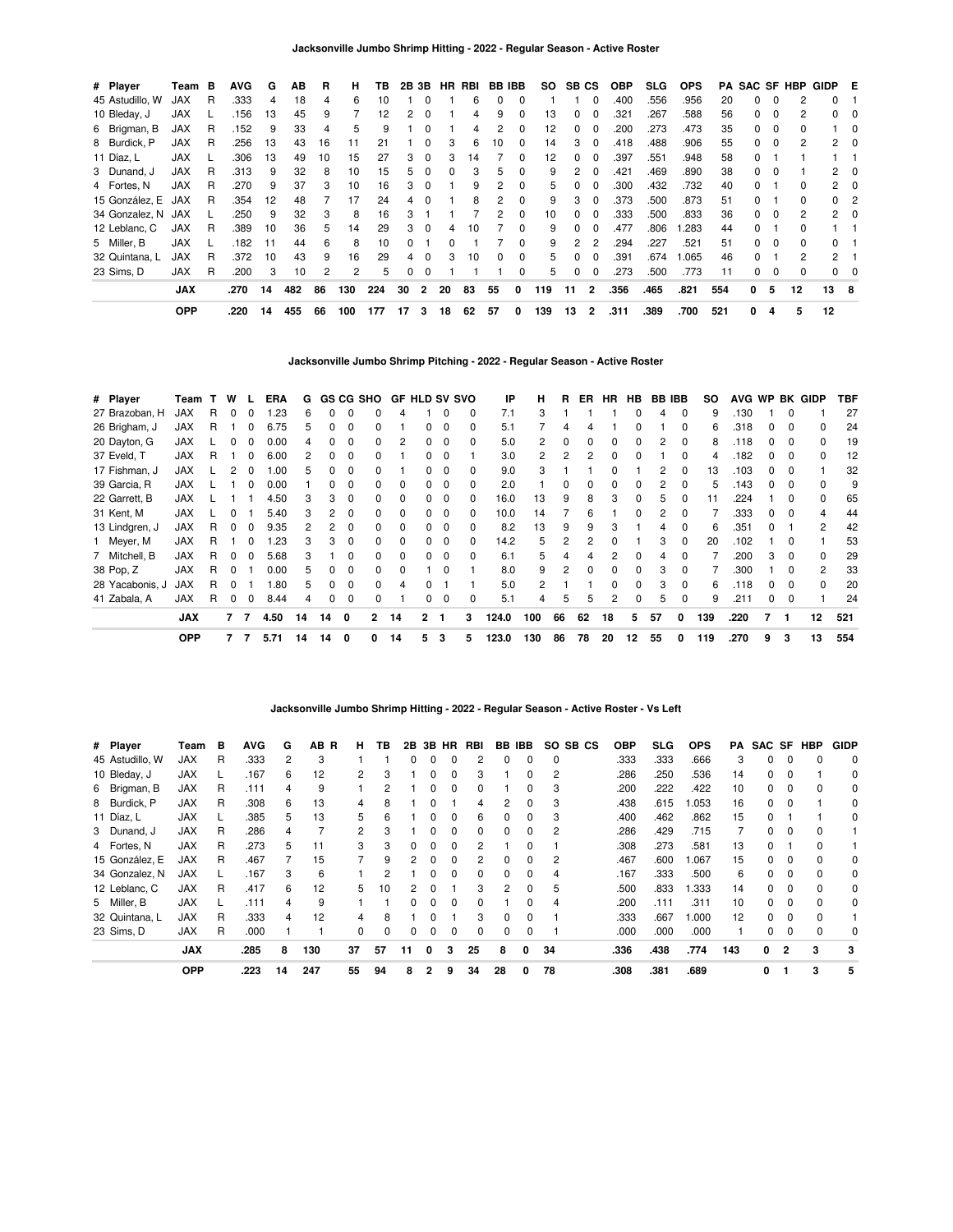| # Player        | Team       | в | <b>AVG</b> | G  | ΑВ  | R  | н   | ΤВ  | 2B 3B |                |              | HR RBI | <b>BB IBB</b> |              | SO  | SB CS    |                | <b>OBP</b> | <b>SLG</b> | <b>OPS</b> | PA  |              |          | <b>SAC SF HBP</b> | GIDP E         |             |
|-----------------|------------|---|------------|----|-----|----|-----|-----|-------|----------------|--------------|--------|---------------|--------------|-----|----------|----------------|------------|------------|------------|-----|--------------|----------|-------------------|----------------|-------------|
| 45 Astudillo, W | <b>JAX</b> | R | .333       | 4  | 18  | 4  | 6   | 10  |       | $\Omega$       |              | 6      | $\Omega$      | $\Omega$     |     |          | 0              | .400       | .556       | .956       | 20  | <sup>0</sup> | $\Omega$ | 2                 | 0              |             |
| 10 Bleday, J    | <b>JAX</b> |   | .156       | 13 | 45  | 9  |     | 12  | 2     | $\Omega$       |              | 4      | 9             |              | 13  | $\Omega$ | 0              | .321       | .267       | .588       | 56  | 0            | $\Omega$ | 2                 | 0              |             |
| 6 Brigman, B    | <b>JAX</b> | R | .152       | 9  | 33  |    | 5   | 9   |       | $\Omega$       |              |        |               | $\Omega$     | 12  | 0        | 0              | .200       | .273       | .473       | 35  | 0            | 0        | 0                 |                | -0          |
| 8 Burdick, P    | <b>JAX</b> | R | .256       | 13 | 43  | 16 | 11  | 21  |       | $\Omega$       | 3            | 6      | 10            | $\Omega$     | 14  | 3        | 0              | .418       | .488       | .906       | 55  | 0            | $\Omega$ | 2                 | 2              | $\Omega$    |
| 11 Díaz, L      | <b>JAX</b> |   | .306       | 13 | 49  | 10 | 15  | 27  | 3     | $\Omega$       | 3            | 14     |               | <sup>0</sup> | 12  | $\Omega$ | 0              | .397       | .551       | .948       | 58  | <sup>0</sup> |          |                   |                |             |
| 3 Dunand, J     | <b>JAX</b> | R | .313       | 9  | 32  | 8  | 10  | 15  | 5.    | $\Omega$       | <sup>0</sup> | з      | 5             | $\Omega$     | 9   | 2        | 0              | .421       | .469       | .890       | 38  | <sup>0</sup> | $\Omega$ |                   | $\mathbf{2}$   | 0           |
| 4 Fortes, N     | JAX        | R | .270       | 9  | 37  | 3  | 10  | 16  | 3     | $\Omega$       |              |        |               |              | 5   | 0        | 0              | .300       | .432       | .732       | 40  | <sup>0</sup> |          | <sup>0</sup>      | 2              | 0           |
| 15 González, E  | JAX        | R | .354       | 12 | 48  |    | 17  | 24  | 4     | $\Omega$       |              | 8      | 2             | 0            | 9   | 3        | 0              | .373       | .500       | .873       | 51  | <sup>0</sup> |          | 0                 | $^{\circ}$     | -2          |
| 34 Gonzalez, N  | JAX        |   | .250       | 9  | 32  | 3  | 8   | 16  | 3     |                |              |        | 2             | $\Omega$     | 10  | 0        | 0              | .333       | .500       | .833       | 36  | 0            | $\Omega$ | 2                 |                | $2 \quad 0$ |
| 12 Leblanc, C   | <b>JAX</b> | R | .389       | 10 | 36  | 5  | 14  | 29  | 3     | $\Omega$       | 4            | 10     |               | $\Omega$     | 9   | $\Omega$ | 0              | .477       | .806       | 1.283      | 44  | $\Omega$     |          | <sup>0</sup>      |                |             |
| 5 Miller, B     | <b>JAX</b> |   | .182       | 11 | 44  | 6  | 8   | 10  | 0     |                | 0            |        |               | $\Omega$     | 9   | 2        | $\overline{c}$ | .294       | .227       | .521       | 51  | 0            | $\Omega$ | $\Omega$          | 0              |             |
| 32 Quintana, L  | JAX        | R | .372       | 10 | 43  | 9  | 16  | 29  | 4     | $\Omega$       | 3            | 10     | <sup>0</sup>  | $\Omega$     | 5   | 0        | 0              | .391       | .674       | .065       | 46  | <sup>0</sup> |          | 2                 | $\overline{2}$ |             |
| 23 Sims. D      | <b>JAX</b> | R | .200       | 3  | 10  | 2  | 2   | 5   | 0     | 0              |              |        |               | $\Omega$     | 5   | 0        | 0              | .273       | .500       | .773       | 11  | $\Omega$     | 0        | 0                 | $^{\circ}$     | 0           |
|                 | <b>JAX</b> |   | .270       | 14 | 482 | 86 | 130 | 224 | 30    | $\overline{2}$ | 20           | 83     | 55            | 0            | 119 | 11       | $\overline{2}$ | .356       | .465       | .821       | 554 | 0            | 5        | 12                | 13 8           |             |
|                 | <b>OPP</b> |   | .220       | 14 | 455 | 66 | 100 | 177 | 17    | 3              | 18           | 62     | 57            | 0            | 139 | 13       | $\overline{2}$ | .311       | .389       | .700       | 521 | 0            | 4        | 5                 | 12             |             |

**Jacksonville Jumbo Shrimp Pitching - 2022 - Regular Season - Active Roster**

| # Player        | Team       | т. | w            |                | ERA  | G  |    |              | GS CG SHO      | <b>GF HLD SV SVO</b> |              |          |              | ΙP    | н            | R              | ER           | <b>HR</b>    | <b>HB</b>    | <b>BB IBB</b> |          | SO  |      |              |              | AVG WP BK GIDP | TBF |
|-----------------|------------|----|--------------|----------------|------|----|----|--------------|----------------|----------------------|--------------|----------|--------------|-------|--------------|----------------|--------------|--------------|--------------|---------------|----------|-----|------|--------------|--------------|----------------|-----|
| 27 Brazoban, H  | <b>JAX</b> | R. | $\Omega$     | 0              | .23  | 6  |    | 0            |                | 4                    |              | 0        | 0            | 7.1   | 3            |                |              |              | $\Omega$     | 4             | $\Omega$ | 9   | .130 |              | 0            |                | 27  |
| 26 Brigham, J   | JAX        | R  |              | 0              | 6.75 | 5  |    | 0            |                |                      | 0            | 0        | 0            | 5.1   |              | 4              | 4            |              | 0            |               | $\Omega$ | 6   | .318 | 0            | $\Omega$     | 0              | 24  |
| 20 Dayton, G    | JAX        |    |              |                | 0.00 | 4  |    | 0            |                | 2                    | 0            | $\Omega$ | 0            | 5.0   | $\mathbf{2}$ | 0              | 0            |              | $\Omega$     | 2             | $\Omega$ | 8   | .118 | 0            | 0            | 0              | 19  |
| 37 Eveld, T     | <b>JAX</b> | R  |              |                | 6.00 | 2  |    | C            |                |                      | O.           | $\Omega$ |              | 3.0   | 2            | $\overline{2}$ | 2            |              | 0            |               | $\Omega$ | 4   | .182 | <sup>0</sup> | 0            | 0              | 12  |
| 17 Fishman, J   | <b>JAX</b> |    |              |                | .00  | 5  |    |              |                |                      |              | 0        | <sup>0</sup> | 9.0   | 3            |                |              |              |              | 2             | $\Omega$ | 13  | .103 | 0            | 0            |                | 32  |
| 39 Garcia, R    | <b>JAX</b> |    |              | ŋ              | 0.00 |    |    | O            |                | 0                    |              | 0        |              | 2.0   |              | 0              | ŋ            |              | <sup>0</sup> | 2             | $\Omega$ | 5   | 143  | <sup>0</sup> | <sup>0</sup> | $\Omega$       | 9   |
| 22 Garrett, B   | JAX        |    |              |                | 4.50 | 3  | з  | <sup>0</sup> |                | 0                    |              | 0        | <sup>0</sup> | 16.0  | 13           | 9              | 8            | з            | $\Omega$     | 5             | $\Omega$ | 11  | .224 |              | 0            | 0              | 65  |
| 31 Kent, M      | <b>JAX</b> |    |              |                | 5.40 | 3  | 2  | 0            |                | 0                    | 0            | 0        | 0            | 10.0  | 14           |                | 6            |              | 0            |               | 0        |     | .333 | 0            | 0            |                | 44  |
| 13 Lindgren, J  | <b>JAX</b> | R. | $\Omega$     | 0              | 9.35 | 2  |    | $\Omega$     |                | 0                    | 0            | $\Omega$ | 0            | 8.2   | 13           | 9              | 9            |              |              | 4             | $\Omega$ | 6   | .351 | 0            |              | 2              | 42  |
| 1 Meyer, M      | <b>JAX</b> | R. |              | 0              | .23  | 3  | 3  | $\Omega$     | <sup>o</sup>   | 0                    | <sup>0</sup> | 0        | 0            | 14.2  | 5.           | 2              |              |              |              | 3             | $\Omega$ | 20  | .102 |              | 0            |                | 53  |
| 7 Mitchell, B   | <b>JAX</b> | R. | $\Omega$     | <sup>0</sup>   | 5.68 | 3  |    | $\Omega$     | <sup>0</sup>   | $\Omega$             | <sup>0</sup> | $\Omega$ | 0            | 6.1   | 5.           | 4              | 4            | 2            | $\Omega$     | 4             | $\Omega$ |     | .200 | 3            | 0            | $\Omega$       | 29  |
| 38 Pop, Z       | <b>JAX</b> | R  | $\Omega$     |                | 0.00 | 5  |    | 0            | <sup>0</sup>   | $\Omega$             |              | 0        |              | 8.0   | 9            | 2              | <sup>0</sup> | <sup>n</sup> | $\Omega$     | 3             | $\Omega$ |     | .300 |              | 0            | 2              | 33  |
| 28 Yacabonis, J | <b>JAX</b> | R  |              |                | .80  | 5  |    | 0            |                | $\overline{4}$       |              |          |              | 5.0   | 2            |                |              |              | $\Omega$     | 3             | $\Omega$ | 6   | .118 | 0            | <sup>0</sup> | $\Omega$       | 20  |
| 41 Zabala, A    | <b>JAX</b> | R  | 0            | 0              | 8.44 | 4  | 0  | 0            |                |                      | 0            | 0        | 0            | 5.1   | 4            | 5              | 5            |              | $\Omega$     | 5             | 0        | 9   | .211 | 0            | 0            |                | 24  |
|                 | <b>JAX</b> |    | $\mathbf{7}$ | $\overline{7}$ | 4.50 | 14 | 14 | 0            | $\overline{2}$ | 14                   | $\mathbf{2}$ | -1       | 3            | 124.0 | 100          | 66             | 62           | 18           | 5            | 57            | 0        | 139 | .220 |              |              | 12             | 521 |
|                 | <b>OPP</b> |    | 7            | -7             | 5.71 | 14 | 14 | 0            | 0              | 14                   | 5            | 3        | 5            | 123.0 | 130          | 86             | 78           | 20           | $12 \,$      | 55            | 0        | 119 | .270 | 9            | 3            | 13             | 554 |

**Jacksonville Jumbo Shrimp Hitting - 2022 - Regular Season - Active Roster - Vs Left**

|                 | <b>JAX</b> |    | .285       | 8 | 130     | 37             | 57 | 11 | 0            | 3            | 25           | 8            | 0            | 34  |       | .336       | .438 | .774       | 143 | 0 | 2        | 3            | 3           |
|-----------------|------------|----|------------|---|---------|----------------|----|----|--------------|--------------|--------------|--------------|--------------|-----|-------|------------|------|------------|-----|---|----------|--------------|-------------|
| 23 Sims, D      | <b>JAX</b> | R  | .000       |   |         | 0              | 0  |    | 0            | 0            |              | 0            | 0            |     |       | .000       | .000 | .000       |     | 0 |          |              | 0           |
| 32 Quintana, L  | <b>JAX</b> | R  | .333       | 4 | 12      | 4              | 8  |    | <sup>0</sup> |              | 3            | <sup>0</sup> | 0            |     |       | .333       | .667 | 1.000      | 12  | 0 | $\Omega$ |              |             |
| 5 Miller, B     | <b>JAX</b> | L. | .111       | 4 | 9       |                |    |    | 0            | 0            | <sup>0</sup> |              | 0            | 4   |       | .200       | .111 | .311       | 10  | 0 | 0        |              | 0           |
| 12 Leblanc, C   | JAX        | R  | .417       | 6 | 12      | 5.             | 10 |    |              |              | 3            | 2            | $\Omega$     | 5   |       | .500       | .833 | 1.333      | 14  | 0 | 0        |              | 0           |
| 34 Gonzalez, N  | <b>JAX</b> |    | .167       | 3 | 6       |                |    |    |              |              |              |              | <sup>0</sup> | 4   |       | .167       | .333 | .500       | 6   | 0 |          |              | 0           |
| 15 González, E  | <b>JAX</b> | R  | .467       |   | 15      | 7              | 9  |    | <sup>0</sup> | <sup>0</sup> | 2            | <sup>n</sup> | 0            | 2   |       | .467       | .600 | .067       | 15  | 0 | 0        |              | 0           |
| 4 Fortes, N     | <b>JAX</b> | R  | .273       | 5 | 11      | 3              | 3  | 0  | $\Omega$     | $\Omega$     | 2            |              | 0            |     |       | .308       | .273 | .581       | 13  | 0 |          | <sup>0</sup> |             |
| 3 Dunand, J     | <b>JAX</b> | R  | .286       |   |         | $\overline{2}$ | 3  |    |              | 0            |              |              | 0            | 2   |       | .286       | .429 | .715       |     | 0 |          |              |             |
| 11 Díaz, L      | <b>JAX</b> |    | .385       | 5 | 13      | 5.             | 6  |    |              | <sup>0</sup> | 6            |              | <sup>0</sup> | 3   |       | .400       | .462 | .862       | 15  | 0 |          |              | 0           |
| 8 Burdick, P    | <b>JAX</b> | R  | .308       | 6 | 13      | 4              | 8  |    |              |              | 4            | 2            | 0            | 3   |       | .438       | .615 | .053       | 16  | 0 |          |              | 0           |
| 6 Brigman, B    | <b>JAX</b> | R  | .111       | 4 | 9       |                | 2  |    | 0            | 0            | <sup>0</sup> |              | 0            | 3   |       | .200       | .222 | .422       | 10  | 0 |          |              | $\Omega$    |
| 10 Bleday, J    | <b>JAX</b> |    | .167       | 6 | 12      | 2              | 3  |    | 0            | 0            | з            |              | 0            | 2   |       | .286       | .250 | .536       | 14  | 0 | 0        |              | 0           |
| 45 Astudillo, W | JAX        | R  | .333       | 2 | 3       |                |    |    |              |              |              |              |              | 0   |       | .333       | .333 | .666       | 3   | 0 |          |              | $\Omega$    |
| # Player        | Team       | в  | <b>AVG</b> | G | AВ<br>R | н.             | ΤВ | 2В | 3В           | HR.          | RBI          | BB.          | IBB          | SO. | SB CS | <b>OBP</b> | SLG  | <b>OPS</b> | PA  |   |          | SAC SF HBP   | <b>GIDP</b> |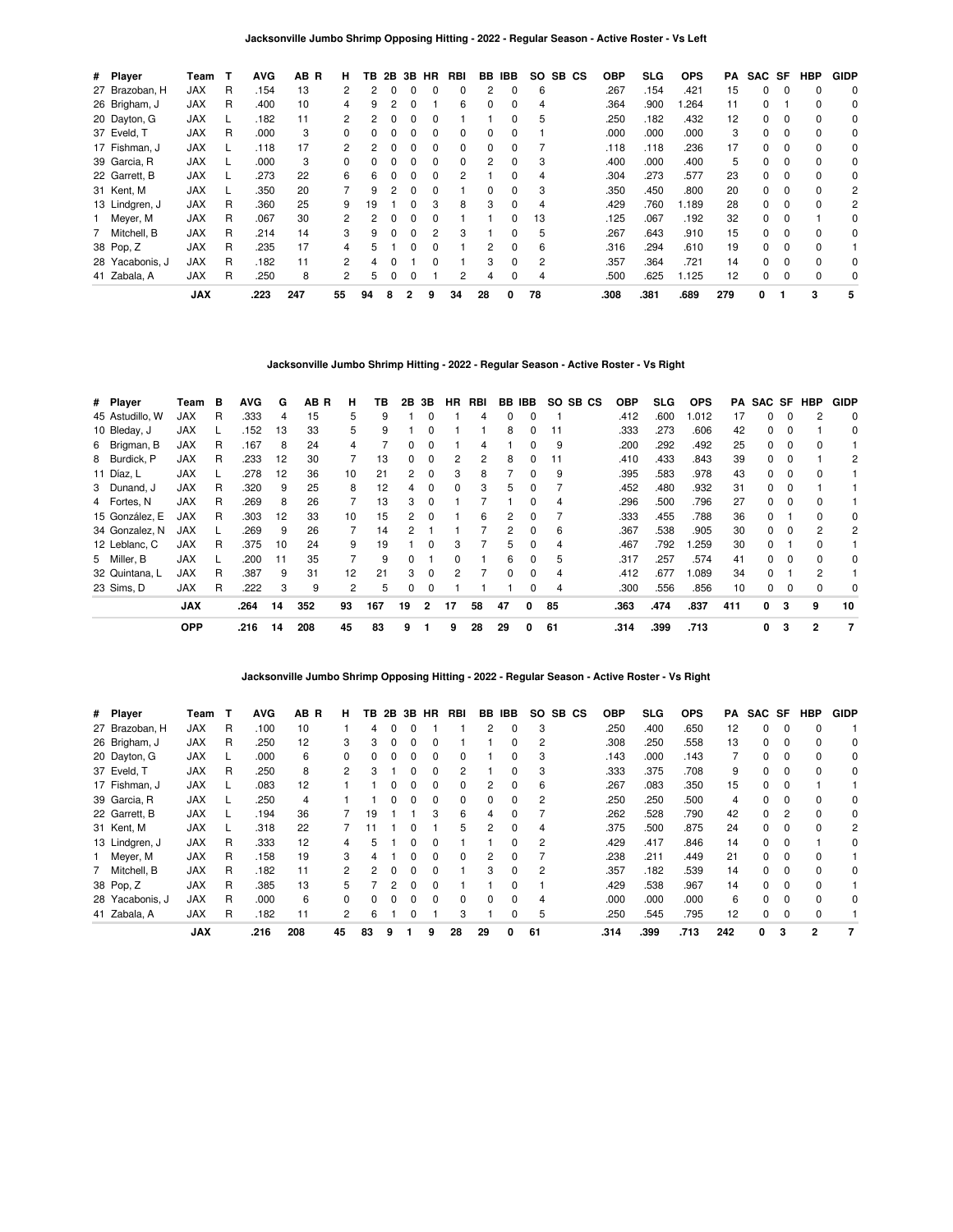| # Player        | Team       | т | <b>AVG</b> | AB R | н.                   | ΤВ | 2B | 3B           | HR | RBI | BB       | <b>IBB</b>   | SO. | SB CS | <b>OBP</b> | SLG  | <b>OPS</b> | РA  | SAC SF |          | <b>HBP</b> | <b>GIDP</b> |
|-----------------|------------|---|------------|------|----------------------|----|----|--------------|----|-----|----------|--------------|-----|-------|------------|------|------------|-----|--------|----------|------------|-------------|
| 27 Brazoban, H  | <b>JAX</b> | R | .154       | 13   | 2                    |    |    |              |    | 0   |          | $\Omega$     | 6   |       | .267       | .154 | .421       | 15  | 0      |          | 0          | 0           |
| 26 Brigham, J   | <b>JAX</b> | R | .400       | 10   | 4                    | 9  |    |              |    | 6   | 0        | $\Omega$     | 4   |       | .364       | .900 | .264       | 11  | 0      |          | 0          | 0           |
| 20 Dayton, G    | <b>JAX</b> |   | .182       | 11   | 2                    | 2  |    |              |    |     |          | 0            | 5   |       | .250       | .182 | .432       | 12  | 0      | $\Omega$ | 0          | 0           |
| 37 Eveld, T     | <b>JAX</b> | R | .000       | 3    | $\Omega$             |    |    |              | O  | 0   | $\Omega$ | <sup>0</sup> |     |       | .000       | .000 | .000       | 3   | 0      | $\Omega$ | $\Omega$   | 0           |
| 17 Fishman, J   | <b>JAX</b> |   | .118       | 17   | $\mathbf{2}$         | 2  |    |              |    | 0   | 0        |              |     |       | .118       | .118 | .236       | 17  | 0      |          | 0          | 0           |
| 39 Garcia, R    | <b>JAX</b> |   | .000       | 3    | $\Omega$             | 0  |    |              |    | 0   | 2        | 0            | 3   |       | .400       | .000 | .400       | 5   | 0      | $\Omega$ | 0          | 0           |
| 22 Garrett, B   | <b>JAX</b> |   | .273       | 22   | 6                    | 6  |    | <sup>0</sup> | 0  | 2   |          | 0            | 4   |       | .304       | .273 | .577       | 23  | 0      | $\Omega$ | $\Omega$   | 0           |
| 31 Kent, M      | <b>JAX</b> |   | .350       | 20   |                      | 9  |    |              |    |     | $\Omega$ | 0            | 3   |       | .350       | .450 | .800       | 20  | 0      | $\Omega$ | $\Omega$   | 2           |
| 13 Lindgren, J  | <b>JAX</b> | R | .360       | 25   | 9                    | 19 |    |              | 3  | 8   | 3        | 0            | 4   |       | .429       | .760 | 1.189      | 28  | 0      | $\Omega$ | 0          | 2           |
| Meyer, M        | <b>JAX</b> | R | .067       | 30   | 2                    | 2  |    |              |    |     |          | 0            | 13  |       | .125       | .067 | .192       | 32  | 0      | $\Omega$ |            | 0           |
| 7 Mitchell, B   | <b>JAX</b> | R | .214       | 14   | 3                    | 9  |    |              | 2  | 3   |          | 0            | 5   |       | .267       | .643 | .910       | 15  | 0      | $\Omega$ | $\Omega$   | 0           |
| 38 Pop, Z       | <b>JAX</b> | R | .235       | 17   | 4                    | 5  |    |              |    |     | 2        | 0            | 6   |       | .316       | .294 | .610       | 19  | 0      | $\Omega$ | $\Omega$   |             |
| 28 Yacabonis, J | <b>JAX</b> | R | .182       | 11   | $\mathbf{2}^{\circ}$ | 4  |    |              | 0  |     | 3        | $\Omega$     | 2   |       | .357       | .364 | .721       | 14  | 0      | $\Omega$ | 0          | 0           |
| 41 Zabala, A    | <b>JAX</b> | R | .250       | 8    | $\mathbf{2}$         | 5  |    | 0            |    | 2   | 4        | $\Omega$     | 4   |       | .500       | .625 | 1.125      | 12  | 0      | $\Omega$ | 0          | 0           |
|                 | <b>JAX</b> |   | .223       | 247  | 55                   | 94 | 8  | 2            | 9  | 34  | 28       | 0            | 78  |       | .308       | .381 | .689       | 279 | 0      |          | 3          | 5           |

### **Jacksonville Jumbo Shrimp Hitting - 2022 - Regular Season - Active Roster - Vs Right**

| # Player        | Team       | в | <b>AVG</b> | G  | AB R | н  | ΤВ  | 2B | 3B             | HR | RBI |              | BB IBB |    | SO SB CS | <b>OBP</b> | <b>SLG</b> | <b>OPS</b> | PA  |              |          | SAC SF HBP   | <b>GIDP</b> |
|-----------------|------------|---|------------|----|------|----|-----|----|----------------|----|-----|--------------|--------|----|----------|------------|------------|------------|-----|--------------|----------|--------------|-------------|
| 45 Astudillo, W | JAX        | R | .333       | 4  | 15   | 5  | 9   |    | 0              |    | 4   | 0            | 0      |    |          | .412       | .600       | 1.012      | 17  | 0            | 0        |              | 0           |
| 10 Bleday, J    | <b>JAX</b> |   | .152       | 13 | 33   | 5  | 9   |    | 0              |    |     | 8            | 0      | 11 |          | .333       | .273       | .606       | 42  | 0            | $\Omega$ |              | 0           |
| 6 Brigman, B    | <b>JAX</b> | R | .167       | 8  | 24   | 4  |     | 0  | o              |    | 4   |              |        | 9  |          | .200       | .292       | .492       | 25  | 0            |          | $\Omega$     |             |
| 8 Burdick, P    | JAX        | R | .233       | 12 | 30   |    | 13  | 0  | 0              |    | 2   | 8            |        | 11 |          | .410       | .433       | .843       | 39  | 0            |          |              | 2           |
| 11 Díaz, L      | <b>JAX</b> | L | .278       | 12 | 36   | 10 | 21  | 2  | 0              | 3  | 8   |              | 0      | 9  |          | .395       | .583       | .978       | 43  | 0            | 0        | 0            |             |
| 3 Dunand, J     | <b>JAX</b> | R | .320       | 9  | 25   | 8  | 12  | 4  | $\Omega$       | 0  | 3   | 5            | 0      |    |          | .452       | .480       | .932       | 31  | 0            | 0        |              |             |
| 4 Fortes, N     | <b>JAX</b> | R | .269       | 8  | 26   |    | 13  | 3  | 0              |    |     |              |        | 4  |          | .296       | .500       | .796       | 27  | 0            |          | $\Omega$     |             |
| 15 González, E  | <b>JAX</b> | R | .303       | 12 | 33   | 10 | 15  | 2  | 0              |    | 6   | 2            |        |    |          | .333       | .455       | .788       | 36  | O.           |          | <sup>0</sup> | 0           |
| 34 Gonzalez, N  | JAX        | L | .269       | 9  | 26   |    | 14  | 2  |                |    |     | 2            | 0      | 6  |          | .367       | .538       | .905       | 30  | 0            | 0        |              | 2           |
| 12 Leblanc, C   | <b>JAX</b> | R | .375       | 10 | 24   | 9  | 19  |    | 0              | 3  |     | 5            | 0      | 4  |          | .467       | .792       | .259       | 30  | 0            |          | $\Omega$     |             |
| 5 Miller, B     | <b>JAX</b> |   | .200       | 11 | 35   |    | 9   | 0  |                | 0  |     | 6            | 0      | 5  |          | .317       | .257       | .574       | 41  | 0            | $\Omega$ | <sup>0</sup> | 0           |
| 32 Quintana, L  | <b>JAX</b> | R | .387       | 9  | 31   | 12 | 21  | 3  | $\Omega$       | 2  |     | <sup>0</sup> | 0      | 4  |          | .412       | .677       | 1.089      | 34  | <sup>o</sup> |          | 2            |             |
| 23 Sims. D      | JAX        | R | .222       | 3  | 9    | 2  | 5   | 0  | 0              |    |     |              |        | 4  |          | .300       | .556       | .856       | 10  | 0            | 0        |              | 0           |
|                 | <b>JAX</b> |   | .264       | 14 | 352  | 93 | 167 | 19 | $\overline{2}$ | 17 | 58  | 47           | 0      | 85 |          | .363       | .474       | .837       | 411 | 0            | 3        | 9            | 10          |
|                 | <b>OPP</b> |   | .216       | 14 | 208  | 45 | 83  | 9  |                | 9  | 28  | 29           | 0      | 61 |          | .314       | .399       | .713       |     | 0            | 3        | 2            | -7          |

**Jacksonville Jumbo Shrimp Opposing Hitting - 2022 - Regular Season - Active Roster - Vs Right**

| # Player        | Геаm       |   | AVG  | AB R | н.             | тв.      | 2Β | 3В           | HR           | RBI | BB           | IBB          | SO.            | SB CS | <b>OBP</b> | <b>SLG</b> | <b>OPS</b> | PA  | SAC SF       |                | HBP            | <b>GIDP</b> |
|-----------------|------------|---|------|------|----------------|----------|----|--------------|--------------|-----|--------------|--------------|----------------|-------|------------|------------|------------|-----|--------------|----------------|----------------|-------------|
| 27 Brazoban, H  | <b>JAX</b> | R | .100 | 10   |                | 4        |    |              |              |     | 2            | 0            | 3              |       | .250       | .400       | .650       | 12  | 0            | $\Omega$       | $\Omega$       |             |
| 26 Brigham, J   | <b>JAX</b> | R | .250 | 12   | 3              | 3        | 0  | <sup>0</sup> | 0            |     |              | 0            | 2              |       | .308       | .250       | .558       | 13  | 0            | 0              | $\Omega$       | 0           |
| 20 Dayton, G    | <b>JAX</b> |   | .000 | 6    | <sup>o</sup>   | 0        |    |              | <sup>0</sup> | 0   |              | 0            | 3              |       | .143       | .000       | .143       | 7   | <sup>0</sup> | $\Omega$       | $\Omega$       | 0           |
| 37 Eveld, T     | <b>JAX</b> | R | .250 | 8    | 2              | з        |    |              |              | 2   |              | 0            | 3              |       | .333       | .375       | .708       | 9   | 0            |                | $\Omega$       | 0           |
| 17 Fishman, J   | <b>JAX</b> |   | .083 | 12   |                |          |    |              | 0            | 0   |              | 0            | 6              |       | .267       | .083       | .350       | 15  | 0            | 0              |                |             |
| 39 Garcia, R    | <b>JAX</b> |   | .250 | 4    |                |          |    |              | 0            | 0   | <sup>0</sup> | 0            | 2              |       | .250       | .250       | .500       | 4   | $\Omega$     | $\Omega$       | $\Omega$       | 0           |
| 22 Garrett, B   | <b>JAX</b> |   | .194 | 36   |                | 19       |    |              | 3            | 6   | 4            | <sup>0</sup> |                |       | .262       | .528       | .790       | 42  | 0            | $\mathfrak{p}$ | $\Omega$       | $\Omega$    |
| 31 Kent, M      | <b>JAX</b> |   | .318 | 22   |                |          |    |              |              | 5   | 2            | 0            | 4              |       | .375       | .500       | .875       | 24  | 0            | $\Omega$       | $\Omega$       | 2           |
| 13 Lindgren, J  | <b>JAX</b> | R | .333 | 12   | 4              | 5.       |    | <sup>0</sup> | 0            |     |              | 0            | 2              |       | .429       | .417       | .846       | 14  | 0            | $\Omega$       |                | 0           |
| 1 Meyer, M      | <b>JAX</b> | R | .158 | 19   | 3              | 4        |    |              | <sup>0</sup> | 0   | 2            | <sup>0</sup> |                |       | .238       | .211       | .449       | 21  | 0            | $\Omega$       | $\Omega$       |             |
| 7 Mitchell, B   | <b>JAX</b> | R | .182 | 11   | $\mathcal{P}$  | 2        |    |              |              |     | 3            | $\Omega$     | $\overline{2}$ |       | .357       | .182       | .539       | 14  | 0            | $\Omega$       | $\Omega$       | 0           |
| 38 Pop, Z       | <b>JAX</b> | R | .385 | 13   | 5.             |          | 2  | n            | 0            |     |              | 0            |                |       | .429       | .538       | .967       | 14  | 0            | $\Omega$       | $\Omega$       |             |
| 28 Yacabonis, J | <b>JAX</b> | R | .000 | 6    | <sup>0</sup>   | $\Omega$ |    |              | <sup>0</sup> | 0   | $\Omega$     | 0            | 4              |       | .000       | .000       | .000       | 6   | 0            | $\Omega$       | $\Omega$       | $\Omega$    |
| 41 Zabala, A    | <b>JAX</b> | R | .182 | 11   | $\overline{c}$ | 6        |    |              |              | 3   |              | 0            | 5              |       | .250       | .545       | .795       | 12  | 0            | $\Omega$       | $\Omega$       |             |
|                 | <b>JAX</b> |   | .216 | 208  | 45             | 83       | 9  |              | 9            | 28  | 29           | 0            | 61             |       | .314       | .399       | .713       | 242 | 0            | 3              | $\overline{2}$ |             |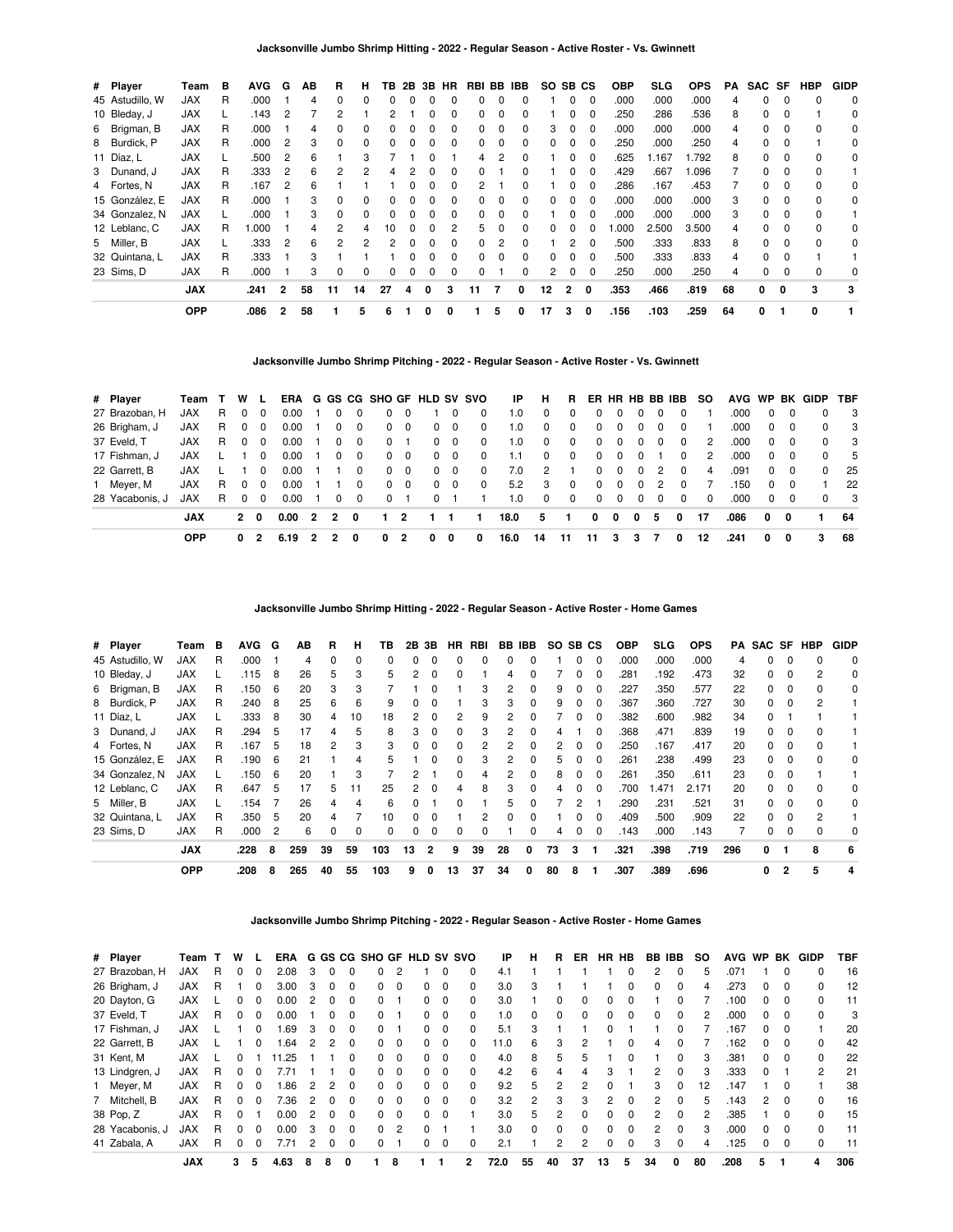| # Player        | Team       | в  | <b>AVG</b> | G | ΑВ | R              | н            | TB.          | 2B           | 3B | HR           |              |          | RBI BB IBB   | SO.      | SB CS          |          | <b>OBP</b> | <b>SLG</b> | <b>OPS</b> | PА | SAC SF   |              | <b>HBP</b> | <b>GIDP</b> |
|-----------------|------------|----|------------|---|----|----------------|--------------|--------------|--------------|----|--------------|--------------|----------|--------------|----------|----------------|----------|------------|------------|------------|----|----------|--------------|------------|-------------|
| 45 Astudillo, W | JAX        | R  | .000       |   | 4  | <sup>0</sup>   | $\Omega$     | <sup>0</sup> |              |    |              |              |          | $\Omega$     |          | 0              | $\Omega$ | .000       | .000       | .000       | 4  | $\Omega$ | n            | $\Omega$   | $\mathbf 0$ |
| 10 Bleday, J    | JAX        |    | .143       | 2 |    |                |              |              |              |    |              |              |          | 0            |          | 0              | 0        | .250       | .286       | .536       | 8  | 0        | $\Omega$     |            | 0           |
| 6 Brigman, B    | JAX        | R  | .000       |   | 4  |                |              |              |              |    |              | 0            |          | 0            | З        | 0              | -0       | .000       | .000       | .000       | 4  | 0        |              | 0          | 0           |
| 8 Burdick, P    | JAX        | R  | .000       | 2 | 3  | 0              | <sup>0</sup> | 0            | 0            |    | <sup>0</sup> | 0            | $\Omega$ | 0            | $\Omega$ | $\Omega$       | $\Omega$ | .250       | .000       | .250       | 4  | 0        | $\Omega$     |            | 0           |
| 11 Díaz, L      | JAX        |    | .500       | 2 | 6  |                | 3            |              |              |    |              | 4            | 2        | 0            |          | 0              | 0        | .625       | .167       | .792       | 8  | 0        | $\Omega$     | $\Omega$   | 0           |
| 3 Dunand, J     | <b>JAX</b> | R  | .333       | 2 | 6  | $\overline{2}$ | 2            |              |              |    |              |              |          | 0            |          | 0              | 0        | .429       | .667       | .096       |    | 0        | $\Omega$     | $\Omega$   |             |
| 4 Fortes, N     | <b>JAX</b> | R  | .167       | 2 | 6  |                |              |              |              |    |              |              |          |              |          | 0.             | 0        | .286       | .167       | .453       |    | 0        | <sup>n</sup> | $\Omega$   | 0           |
| 15 González, E  | <b>JAX</b> | R  | .000       |   | 3  |                | <sup>0</sup> | 0            |              |    |              |              |          | 0            |          | 0              | 0        | .000       | .000       | .000       | 3  | 0        |              | 0          | 0           |
| 34 Gonzalez, N  | JAX        |    | .000       |   | 3  | 0              |              | 0            |              |    | 0            | 0            | 0        | 0            |          | 0              | 0        | .000       | .000       | .000       | 3  | 0        | $\Omega$     | 0          |             |
| 12 Leblanc, C   | JAX        | R. | 1.000      |   | 4  | 2              |              | 10           | 0            |    |              | 5.           | 0        | 0            |          | $\Omega$       | - 0      | .000       | 2.500      | 3.500      | 4  | 0        | $\Omega$     | $\Omega$   | 0           |
| 5 Miller, B     | <b>JAX</b> |    | .333       | 2 | 6  | 2              | 2            | 2            | <sup>0</sup> | O  | <sup>n</sup> | <sup>0</sup> |          | <sup>0</sup> |          | $\overline{2}$ | $\Omega$ | .500       | .333       | .833       | 8  | 0        | $\Omega$     | $\Omega$   | $\Omega$    |
| 32 Quintana, L  | JAX        | R  | .333       |   | 3  |                |              |              |              |    |              |              |          | $\Omega$     |          | 0              | 0        | .500       | .333       | .833       | 4  | $\Omega$ | $\Omega$     |            |             |
| 23 Sims, D      | <b>JAX</b> | R  | .000       |   | 3  | 0              | 0            | $\Omega$     | 0            | 0  | 0            | 0            |          | 0            | 2        | 0              | 0        | .250       | .000       | .250       | 4  | 0        |              | $\Omega$   | 0           |
|                 | <b>JAX</b> |    | .241       | 2 | 58 | 11             | 14           | 27           | 4            | 0  | 3            | 11           |          | 0            | 12       | 2              | 0        | .353       | .466       | .819       | 68 | 0        | 0            | 3          | 3           |
|                 | <b>OPP</b> |    | .086       | 2 | 58 |                | 5            |              |              | 0  | 0            |              | 5        | 0            | 17       | 3              | 0        | .156       | .103       | .259       | 64 | 0        |              | 0          |             |

**Jacksonville Jumbo Shrimp Pitching - 2022 - Regular Season - Active Roster - Vs. Gwinnett**

| # Player        | Team T W   |    |            | - L      |      |                |                |              |          |            |          |            | ERA G GS CG SHO GF HLD SV SVO | IP   | н          |              |          |          |              |   | R ER HR HB BB IBB         | SO.      |      |              |          | AVG WP BK GIDP | <b>TBF</b> |
|-----------------|------------|----|------------|----------|------|----------------|----------------|--------------|----------|------------|----------|------------|-------------------------------|------|------------|--------------|----------|----------|--------------|---|---------------------------|----------|------|--------------|----------|----------------|------------|
| 27 Brazoban, H  | <b>JAX</b> | R. | $\Omega$   | $\Omega$ | 0.00 |                | 0              | 0            | 0        | - 0        |          | $\Omega$   | $\Omega$                      | 1.0  | 0          | $\Omega$     | $\Omega$ |          |              |   | 0                         |          | .000 |              |          |                | - 3        |
| 26 Brigham, J   | <b>JAX</b> | R. | $\Omega$   | - 0      | 0.00 |                | 0              | 0            |          | $0\quad 0$ |          | $0\quad 0$ | 0                             | 1.0  | $^{\circ}$ | $^{\circ}$   | $\Omega$ | $\Omega$ | $\Omega$     |   | $\Omega$<br>0             |          | .000 | $\mathbf{0}$ |          |                | - 3        |
| 37 Eveld, T     | JAX        | R. | $\Omega$   | - 0      | 0.00 |                | 0              | $\Omega$     | $\Omega$ |            |          | $0\quad 0$ | 0                             | 1.0  | $\Omega$   | $\Omega$     | $\Omega$ | $\Omega$ | $\Omega$     |   | $\Omega$<br>$\Omega$      | 2        | .000 | $\Omega$     |          |                | $_{3}$     |
| 17 Fishman, J   | <b>JAX</b> |    |            | $\Omega$ | 0.00 |                | $\Omega$       | $\Omega$     |          | $0\quad 0$ |          | $0\quad 0$ | $\Omega$                      | 1.1  | $\Omega$   | $\Omega$     | $\Omega$ | $\Omega$ | $\Omega$     |   | $\Omega$                  | 2        | .000 | $^{\circ}$   |          |                | - 5        |
| 22 Garrett, B   | <b>JAX</b> |    |            | $\Omega$ | 0.00 |                |                | $\Omega$     |          | $0\quad 0$ |          | $0\quad 0$ | $\mathbf 0$                   | 7.0  | 2          | $\mathbf{1}$ | $\Omega$ | $\Omega$ | $\Omega$     |   | $\mathcal{P}$<br>$\Omega$ | 4        | .091 | $\Omega$     | $\Omega$ | $\Omega$       | -25        |
| 1 Meyer, M      | <b>JAX</b> | R. | $\Omega$   | $\Omega$ | 0.00 |                |                | 0            |          | $0\quad 0$ |          | $0\quad 0$ | $\mathbf 0$                   | 5.2  | 3          | $\mathbf 0$  | $\Omega$ | $\Omega$ | $\Omega$     |   | $\mathcal{P}$<br>$\Omega$ |          | .150 | $\Omega$     |          |                | 22         |
| 28 Yacabonis, J | <b>JAX</b> | R. | $\Omega$   | - 0      | 0.00 |                | 0              | 0            | $\Omega$ |            | $\Omega$ |            |                               | 1.0  | $\Omega$   | $\Omega$     | $\Omega$ | $\Omega$ | $\Omega$     |   | $\Omega$<br>$\Omega$      | $\Omega$ | .000 | $\Omega$     |          | $\Omega$       | - 3        |
|                 | <b>JAX</b> |    | $2\quad 0$ |          | 0.00 | $\overline{2}$ | $\overline{2}$ | $\mathbf{0}$ |          | 2          |          |            |                               | 18.0 | 5          | 1            | 0        | 0        | $\mathbf{0}$ | 5 | 0                         | 17       | .086 | $\mathbf{0}$ | - 0      |                | 64         |
|                 | <b>OPP</b> |    | 0          | 2        | 6.19 |                |                | 0            | 0        |            | 0        | 0          | 0                             | 16.0 | 14         | -11          | 11       | 3        | 3            |   | 0                         | 12       | .241 | 0            | 0        | 3              | 68         |

**Jacksonville Jumbo Shrimp Hitting - 2022 - Regular Season - Active Roster - Home Games**

| # Player        | Team       | в | <b>AVG</b> | G              | AВ  | R.       | н        | ΤВ           | 2В | 3В           | HR.          | RBI          |          | BB IBB       | SO SB CS |              |          | <b>OBP</b> | <b>SLG</b> | <b>OPS</b> | PA  |    |                | SAC SF HBP | <b>GIDP</b> |
|-----------------|------------|---|------------|----------------|-----|----------|----------|--------------|----|--------------|--------------|--------------|----------|--------------|----------|--------------|----------|------------|------------|------------|-----|----|----------------|------------|-------------|
| 45 Astudillo, W | <b>JAX</b> | R | .000       |                | 4   | $\Omega$ | $\Omega$ | <sup>0</sup> | 0  |              | 0            | <sup>0</sup> | $\Omega$ | 0            |          | 0            | - 0      | .000       | .000       | .000       | 4   | 0  |                | 0          | 0           |
| 10 Bleday, J    | <b>JAX</b> |   | .115       | 8              | 26  | 5        | 3        | 5            | 2  |              | 0            |              |          | o            |          | ი            | - 0      | 281        | .192       | .473       | 32  | O. |                | 2          | 0           |
| 6 Brigman, B    | JAX        | R | .150       | 6              | 20  | 3        | 3        |              |    |              |              | 3            |          | 0            | 9        |              |          | .227       | .350       | .577       | 22  | 0  |                |            | 0           |
| 8 Burdick, P    | JAX        | R | .240       | 8              | 25  | 6        | 6        | 9            | 0  |              |              | 3            | 3        | 0            | 9        | 0            | 0        | .367       | .360       | .727       | 30  | 0  | 0              |            |             |
| 11 Díaz, L      | <b>JAX</b> |   | .333       | 8              | 30  | 4        | 10       | 18           | 2  | $\Omega$     |              | 9            | 2        | 0            |          | 0            | $\Omega$ | .382       | .600       | .982       | 34  | 0  |                |            |             |
| 3 Dunand, J     | <b>JAX</b> | R | .294       | 5              | 17  | 4        | 5        | 8            | 3  |              | 0            | 3            | 2        | 0            |          |              |          | .368       | .471       | .839       | 19  | 0  |                |            |             |
| 4 Fortes, N     | <b>JAX</b> | R | .167       | 5              | 18  | 2        | з        | 3            | 0  |              |              |              |          | 0            | 2        | 0            | $\Omega$ | .250       | .167       | .417       | 20  | 0  |                |            |             |
| 15 González, E  | <b>JAX</b> | R | .190       | 6              | 21  |          | 4        | 5            |    |              | 0            | 3            | 2        | 0            | 5        | 0            | - 0      | .261       | .238       | .499       | 23  | 0  | 0              |            | 0           |
| 34 Gonzalez, N  | <b>JAX</b> |   | .150       | 6              | 20  |          | 3        |              | 2  |              | <sup>0</sup> | 4            | 2        | 0            | 8        | <sup>0</sup> | $\Omega$ | .261       | .350       | .611       | 23  | 0  |                |            |             |
| 12 Leblanc, C   | <b>JAX</b> | R | .647       | 5              | 17  | 5        |          | 25           | 2  |              |              | 8            | 3        | 0            |          |              |          | .700       | .471       | 2.171      | 20  | O. |                |            | 0           |
| 5 Miller, B     | <b>JAX</b> |   | .154       |                | 26  | 4        | 4        | 6            | 0  |              | <sup>0</sup> |              | 5        | 0            |          | 2            |          | .290       | .231       | .521       | 31  | 0  | 0              |            | 0           |
| 32 Quintana, L  | <b>JAX</b> | R | .350       | 5              | 20  | 4        |          | 10           | 0  | <sup>0</sup> |              | 2            | $\Omega$ | <sup>0</sup> |          | 0            | - 0      | .409       | .500       | .909       | 22  | 0  | 0              |            |             |
| 23 Sims, D      | <b>JAX</b> | R | .000       | $\overline{2}$ | 6   | 0        | $\Omega$ | 0            | 0  | $\Omega$     | 0            | 0            |          | 0            | 4        | 0            | $\Omega$ | .143       | .000       | .143       |     | 0  |                |            | 0           |
|                 | <b>JAX</b> |   | .228       | 8              | 259 | 39       | 59       | 103          | 13 | $\mathbf{2}$ | 9            | 39           | 28       | 0            | 73       | 3            |          | .321       | .398       | .719       | 296 | 0  |                | 8          | 6           |
|                 | <b>OPP</b> |   | .208       | 8              | 265 | 40       | 55       | 103          | 9  | 0            | 13           | 37           | 34       | 0            | 80       | 8            |          | .307       | .389       | .696       |     | 0  | $\overline{2}$ | 5          |             |

**Jacksonville Jumbo Shrimp Pitching - 2022 - Regular Season - Active Roster - Home Games**

| # Player        | Team       |   | W  |          | ERA   |   |   |   | G GS CG SHO GF HLD SV SVO |               |              |          |                | ΙP   | н        | R        | ER. | НR       | <b>HB</b>    | BB IBB        |          | so  | <b>AVG</b>    | <b>WP</b>    | BK       | <b>GIDP</b> | TBF |
|-----------------|------------|---|----|----------|-------|---|---|---|---------------------------|---------------|--------------|----------|----------------|------|----------|----------|-----|----------|--------------|---------------|----------|-----|---------------|--------------|----------|-------------|-----|
| 27 Brazoban, H  | <b>JAX</b> | R | O. | 0        | 2.08  | 3 |   |   |                           |               |              |          | 0              | 4.1  |          |          |     |          | 0            | 2             | 0        | 'n. | $.07^{\circ}$ |              | 0        |             | 16  |
| 26 Brigham, J   | <b>JAX</b> | R |    |          | 3.00  | 3 |   |   | 0                         | 0             | <sup>n</sup> | 0        |                | 3.0  | 3        |          |     |          | 0            | <sup>0</sup>  | $\Omega$ |     | 273           |              |          | 0           | 12  |
| 20 Dayton, G    | <b>JAX</b> |   |    |          | 0.00  | 2 |   |   | 0                         |               |              | 0        |                | 3.0  |          | 0        | 0   |          |              |               |          |     | .100          | 0            | $\Omega$ | 0           | 11  |
| 37 Eveld, T     | <b>JAX</b> | R | O. | $\Omega$ | 0.00  |   |   | n | 0                         |               | <sup>0</sup> | $\Omega$ | 0              | 1.0  | 0        | $\Omega$ | 0   | 0        | $\Omega$     | 0             | $\Omega$ |     | .000          | <sup>0</sup> | $\Omega$ | 0           | 3   |
| 17 Fishman, J   | <b>JAX</b> |   |    | 0        | .69   | 3 |   |   | 0                         |               |              | 0        |                | 5.1  | з        |          |     |          |              |               |          |     | .167          |              |          |             | 20  |
| 22 Garrett, B   | <b>JAX</b> |   |    | $\Omega$ | .64   | 2 |   | n | <sup>o</sup>              | $\Omega$      | <sup>0</sup> | $\Omega$ | <sup>0</sup>   | 11.0 | 6        | 3        |     |          | 0            | 4             | $\Omega$ |     | .162          | $\Omega$     | $\Omega$ | $\Omega$    | 42  |
| 31 Kent, M      | <b>JAX</b> |   |    |          | 11.25 |   |   |   | 0                         | $\Omega$      | 0            | $\Omega$ | $\Omega$       | 4.0  | 8        | 5        | 5   |          | $\Omega$     |               | $\Omega$ |     | .381          | 0            | $\Omega$ | $\Omega$    | 22  |
| 13 Lindgren, J  | <b>JAX</b> | R |    | 0        |       |   |   |   | 0                         | $\Omega$      | 0            | 0        | 0              | 4.2  | 6        | 4        | 4   | 3        |              | 2             | $\Omega$ |     | .333          | $\Omega$     |          | 2           | 21  |
| 1 Meyer, M      | <b>JAX</b> | R | 0  | $\Omega$ | .86   | 2 | 2 | n | 0                         | $\Omega$      | <sup>n</sup> | $\Omega$ | 0              | 9.2  | 5        | 2        | 2   | $\Omega$ |              | 3             | $\Omega$ | 12  | .147          |              | $\Omega$ |             | 38  |
| 7 Mitchell, B   | <b>JAX</b> | R |    |          | 7.36  | 2 |   |   | 0                         | $\Omega$      | <sup>n</sup> | $\Omega$ |                | 3.2  | 2        | 3        | 3   | 2        |              | 2             | $\Omega$ | h.  | .143          | 2            |          |             | 16  |
| 38 Pop, Z       | <b>JAX</b> | R | O. |          | 0.00  | 2 |   | n | <sup>o</sup>              | $\Omega$      | 0            | $\Omega$ |                | 3.0  | 5        | 2        | 0   | 0        | $\Omega$     | 2             | $\Omega$ |     | .385          |              | $\Omega$ | 0           | 15  |
| 28 Yacabonis, J | JAX        | R |    |          | 0.00  | 3 |   |   | 0                         | $\mathcal{P}$ | <sup>n</sup> |          |                | 3.0  | $\Omega$ | $\Omega$ | 0   | $\Omega$ | <sup>0</sup> | $\mathcal{P}$ | $\Omega$ |     | .000          | <sup>0</sup> | $\Omega$ | 0           | 11  |
| 41 Zabala, A    | <b>JAX</b> | R | 0  |          |       | 2 |   |   |                           |               |              | 0        | 0              | 2.1  |          | 2        | 2   | 0        | 0            | 3             | $\Omega$ |     | .125          | 0            |          | 0           | 11  |
|                 | <b>JAX</b> |   | 3  | 5        | 4.63  | 8 | 8 | 0 |                           | 8             |              |          | $\overline{2}$ | 72.0 | 55       | 40       | 37  | 13       | 5            | 34            | 0        | 80  | .208          | 5            |          | 4           | 306 |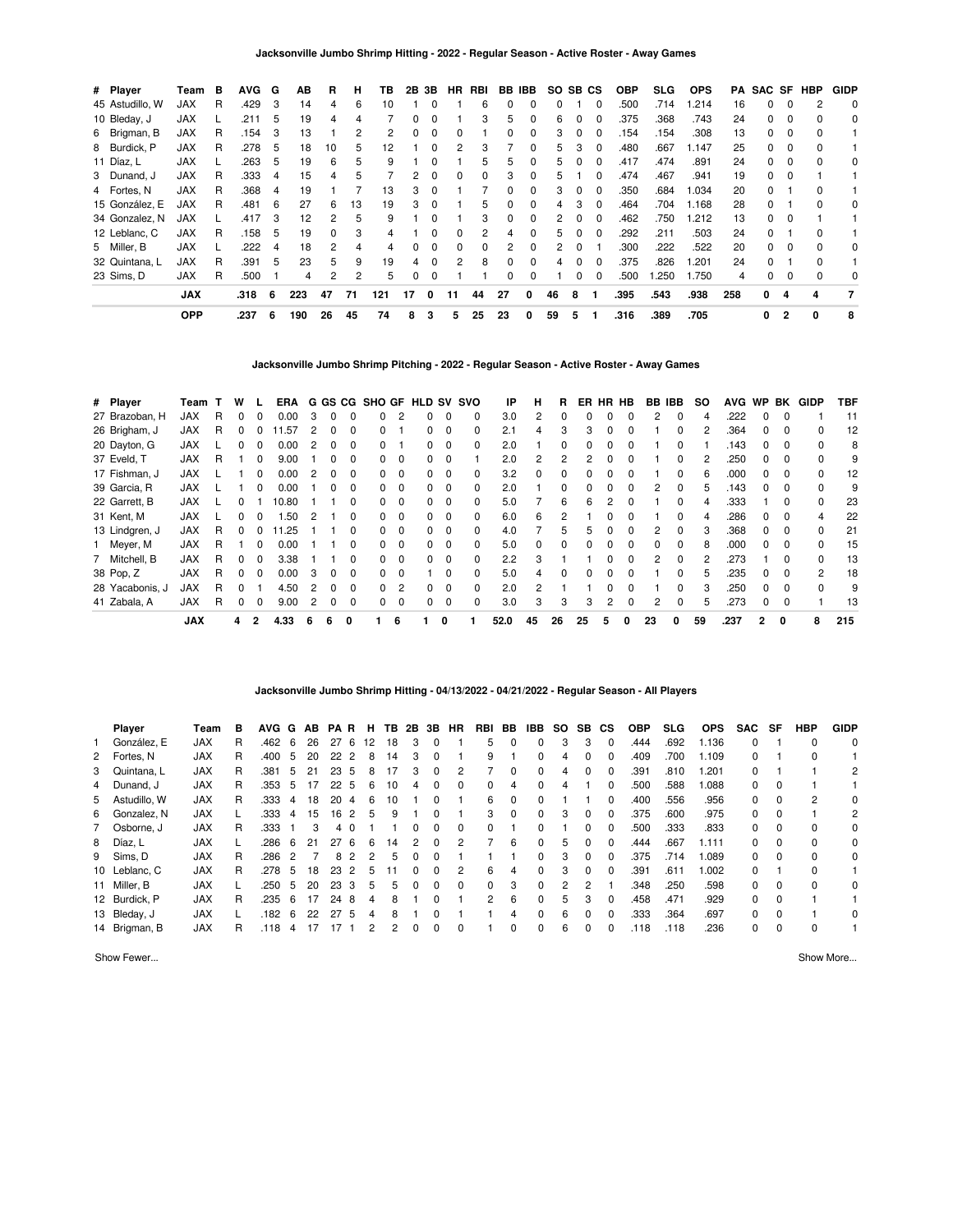| # Player        | Team       | в | <b>AVG</b> | G   | AВ  | B  | н  | ΤВ  | 2В | 3В       | HR.      | RBI      |          | BB IBB       | SO. | SB CS        |          | <b>OBP</b> | SLG. | <b>OPS</b> | PA  |    |                | SAC SF HBP | <b>GIDP</b> |
|-----------------|------------|---|------------|-----|-----|----|----|-----|----|----------|----------|----------|----------|--------------|-----|--------------|----------|------------|------|------------|-----|----|----------------|------------|-------------|
| 45 Astudillo, W | JAX        | R | .429       | -3  | 14  | 4  | 6  | 10  |    |          |          | 6        |          |              | 0   |              | $\Omega$ | .500       | .714 | 1.214      | 16  | 0  |                |            | 0           |
| 10 Bleday, J    | <b>JAX</b> |   | .211       | 5   | 19  | 4  |    |     | 0  |          |          | 3        | 5        | 0            | 6   |              |          | .375       | .368 | .743       | 24  | 0  |                | 0          | 0           |
| 6 Brigman, B    | <b>JAX</b> | R | .154       | 3   | 13  |    | 2  | 2   | 0  | $\Omega$ |          |          | 0        | 0            | 3   |              | $\Omega$ | 154        | .154 | .308       | 13  | 0  | 0              | 0          |             |
| 8 Burdick, P    | <b>JAX</b> | R | .278       | 5   | 18  | 10 | 5  | 12  |    | 0        |          | 3        |          | 0            | 5   | 3            | $\Omega$ | .480       | .667 | 1.147      | 25  | 0  | $\Omega$       | $\Omega$   |             |
| 11 Díaz, L      | <b>JAX</b> |   | 263        | - 5 | 19  | 6  | 5  | 9   |    | $\Omega$ |          | 5        | 5        | 0            | 5   |              | $\Omega$ | .417       | .474 | .891       | 24  | 0  | $\Omega$       | $\Omega$   | 0           |
| 3 Dunand, J     | <b>JAX</b> | R | .333       | 4   | 15  | 4  | 5  |     | 2  |          | n        | 0        | З        | 0            | 5   |              |          | .474       | .467 | .941       | 19  | 0  |                |            |             |
| 4 Fortes, N     | <b>JAX</b> | R | .368       | -4  | 19  |    |    | 13  | 3  |          |          |          | 0        | <sup>0</sup> | 3   |              | $\Omega$ | .350       | .684 | 1.034      | 20  | O. |                | $\Omega$   |             |
| 15 González, E  | <b>JAX</b> | R | .481       | -6  | 27  | 6  | 13 | 19  | 3  |          |          | 5        | 0        | 0            | 4   | 3            | 0        | .464       | .704 | 1.168      | 28  | 0  |                |            | 0           |
| 34 Gonzalez, N  | <b>JAX</b> |   | .417       | -3  | 12  | 2  | 5  | 9   |    |          |          | 3        | 0        | 0            | 2   | 0            | $\Omega$ | .462       | .750 | 1.212      | 13  | 0  | $\Omega$       |            |             |
| 12 Leblanc, C   | <b>JAX</b> | R | .158       | - 5 | 19  | 0  | 3  | 4   |    | $\Omega$ | 0        | 2        | 4        | $\Omega$     | 5   | <sup>0</sup> | $\Omega$ | .292       | .211 | .503       | 24  | 0  |                | $\Omega$   |             |
| 5 Miller, B     | <b>JAX</b> | L | .222       | -4  | 18  | 2  | 4  | 4   | O. | $\Omega$ | $\Omega$ | $\Omega$ | 2        | 0            | 2   | $\Omega$     |          | .300       | .222 | .522       | 20  | 0  | $\Omega$       | $\Omega$   | 0           |
| 32 Quintana, L  | <b>JAX</b> | R | .391       | - 5 | 23  | 5  | 9  | 19  | 4  | $\Omega$ | 2        | 8        | $\Omega$ | <sup>0</sup> | 4   |              |          | .375       | .826 | .201       | 24  | 0  |                | $\Omega$   |             |
| 23 Sims, D      | <b>JAX</b> | R | .500       |     | 4   | 2  | 2  | 5   | 0  | $\Omega$ |          |          | 0        | 0            |     |              | 0        | .500       | .250 | 1.750      | 4   | 0  |                | $\Omega$   | 0           |
|                 | <b>JAX</b> |   | .318       | 6   | 223 | 47 | 71 | 121 | 17 | $\Omega$ | 11       | 44       | 27       | 0            | 46  | 8            |          | .395       | .543 | .938       | 258 | 0  | 4              | 4          | 7           |
|                 | <b>OPP</b> |   | .237       | 6   | 190 | 26 | 45 | 74  | 8  | 3        | 5        | 25       | 23       | 0            | 59  | 5            |          | .316       | .389 | .705       |     | 0  | $\overline{2}$ | 0          | 8           |

**Jacksonville Jumbo Shrimp Pitching - 2022 - Regular Season - Active Roster - Away Games**

| # Player        | Team       |   | W |              | ERA   |   |   |              | G GS CG SHO GF HLD SV SVO |          |              |             |              | IP   | н            | R  | ER | HR | HB | BB IBB |              | SO. | <b>AVG</b> | WP BK          |          | <b>GIDP</b>  | TBF |
|-----------------|------------|---|---|--------------|-------|---|---|--------------|---------------------------|----------|--------------|-------------|--------------|------|--------------|----|----|----|----|--------|--------------|-----|------------|----------------|----------|--------------|-----|
| 27 Brazoban, H  | <b>JAX</b> | R |   | <sup>0</sup> | 0.00  | 3 |   |              | 0                         |          |              | $\Omega$    | 0            | 3.0  | 2            | 0  |    |    |    | 2      | 0            | 4   | .222       | $\Omega$       |          |              | 11  |
| 26 Brigham, J   | <b>JAX</b> | R |   |              | 1.57  | 2 |   |              | O.                        |          |              | $\Omega$    | <sup>0</sup> | 2.1  | 4            | 3  |    |    |    |        | 0            |     | .364       |                |          |              | 12  |
| 20 Dayton, G    | <b>JAX</b> |   |   | $\Omega$     | 0.00  |   |   |              | O.                        |          |              | 0           |              | 2.0  |              |    |    |    |    |        |              |     | .143       |                |          |              | 8   |
| 37 Eveld, T     | <b>JAX</b> | R |   | 0            | 9.00  |   |   |              | 0                         | $\Omega$ | 0            | $\Omega$    |              | 2.0  | 2            | 2  | 2  |    |    |        | 0            |     | .250       | <sup>0</sup>   | $\Omega$ |              | 9   |
| 17 Fishman, J   | <b>JAX</b> |   |   |              | 0.00  |   |   |              | <sup>o</sup>              | $\Omega$ |              | $\Omega$    |              | 3.2  |              |    |    |    |    |        | 0            |     | .000       |                | $\Omega$ |              | 12  |
| 39 Garcia, R    | <b>JAX</b> |   |   | 0            | 0.00  |   |   |              | 0                         | $\Omega$ | O.           | $\mathbf 0$ | 0            | 2.0  |              |    |    |    |    | 2      | 0            | 5   | .143       |                | $\Omega$ |              | 9   |
| 22 Garrett, B   | <b>JAX</b> |   |   |              | 10.80 |   |   |              | 0                         | $\Omega$ | 0            | $\Omega$    | 0            | 5.0  |              | 6  | 6  |    |    |        | <sup>0</sup> | 4   | .333       |                | $\Omega$ | <sup>0</sup> | 23  |
| 31 Kent, M      | <b>JAX</b> |   |   | 0            | .50   | 2 |   |              | 0                         | $\Omega$ | n.           | $\Omega$    | 0            | 6.0  | 6            | 2  |    |    |    |        | 0            |     | .286       |                | $\Omega$ | 4            | 22  |
| 13 Lindgren, J  | <b>JAX</b> | R | 0 | 0            | 1.25  |   |   |              | 0                         | $\Omega$ | 0            | 0           | 0            | 4.0  |              | 5  |    |    |    |        | 0            |     | .368       | 0              |          |              | 21  |
| 1 Meyer, M      | <b>JAX</b> | R |   | $\Omega$     | 0.00  |   |   |              | 0                         | $\Omega$ | 0            | $\Omega$    | 0            | 5.0  | <sup>0</sup> | 0  |    |    | O. | O.     | <sup>0</sup> | 8   | .000       | <sup>0</sup>   | $\Omega$ | <sup>0</sup> | 15  |
| 7 Mitchell, B   | <b>JAX</b> | R |   |              | 3.38  |   |   |              | <sup>o</sup>              | $\Omega$ |              | $\Omega$    | <sup>0</sup> | 2.2  | 3            |    |    |    |    | 2      | <sup>0</sup> |     | .273       |                |          | U            | 13  |
| 38 Pop, Z       | <b>JAX</b> | R |   | <sup>0</sup> | 0.00  | 3 |   |              | <sup>o</sup>              | $\Omega$ |              | $\Omega$    | 0            | 5.0  | 4            | O. |    |    |    |        | <sup>0</sup> | 5   | .235       |                |          | 2            | 18  |
| 28 Yacabonis, J | <b>JAX</b> | R |   |              | 4.50  | 2 | n | <sup>n</sup> | 0                         | 2        | <sup>n</sup> | $\Omega$    | $\Omega$     | 2.0  | 2            |    |    |    | n  |        | <sup>0</sup> |     | .250       | <sup>0</sup>   | $\Omega$ | <sup>0</sup> | 9   |
| 41 Zabala, A    | <b>JAX</b> | R | 0 | $\Omega$     | 9.00  | 2 | 0 |              | 0                         | $\Omega$ |              | $\mathbf 0$ | 0            | 3.0  | 3            | 3  | 3  | 2  | 0  | 2      | $\Omega$     |     | .273       | 0              | $\Omega$ |              | 13  |
|                 | <b>JAX</b> |   | 4 |              | 4.33  | 6 | 6 | 0            |                           | 6        |              | 0           |              | 52.0 | 45           | 26 | 25 | 5  | 0  | 23     |              | 59  | .237       | $\overline{2}$ | 0        | 8            | 215 |

#### **Jacksonville Jumbo Shrimp Hitting - 04/13/2022 - 04/21/2022 - Regular Season - All Players**

| Player         | Team       | в | AVG G |    | AB | PAR.            |          | Н. | TB. | 2B 3B |              | HR           | RBI            | BB       | IBB          | <b>SO</b> | <b>SB</b>    | СS       | <b>OBP</b> | SLG  | <b>OPS</b> | SAC SF   |          | HBP          | <b>GIDP</b> |
|----------------|------------|---|-------|----|----|-----------------|----------|----|-----|-------|--------------|--------------|----------------|----------|--------------|-----------|--------------|----------|------------|------|------------|----------|----------|--------------|-------------|
| González. E    | <b>JAX</b> | R | .462  | -6 | 26 | 27              | - 6      | 12 | 18  | 3     | 0            |              | 5              | 0        | $\Omega$     | 3         | 3            | 0        | .444       | .692 | 1.136      | $\Omega$ |          | $\Omega$     | $\Omega$    |
| 2 Fortes, N    | <b>JAX</b> | R | .400  | 5  | 20 | 22 <sub>2</sub> |          | 8  | 14  | 3     | 0            |              | 9              |          | $\Omega$     | 4         | 0            | 0        | .409       | .700 | 1.109      | $\Omega$ |          | 0            |             |
| 3 Quintana, L  | <b>JAX</b> | R | .381  | 5  | 21 | 23              | -5       | 8  | 17  | 3     | 0            |              |                | 0        | 0            | 4         | 0            | 0        | .391       | .810 | 1.201      | $\Omega$ |          |              | 2           |
| 4 Dunand, J    | <b>JAX</b> | R | .353  | 5  | 17 | 22 <sub>5</sub> |          | 6  | 10  | 4     | 0            | 0            | $\Omega$       | 4        | $\Omega$     | 4         |              | 0        | .500       | .588 | 1.088      | $\Omega$ | $\Omega$ |              |             |
| 5 Astudillo, W | <b>JAX</b> | R | .333  | 4  | 18 | 20              | 4        | 6  | 10  |       | 0            |              | 6              | 0        | 0            |           |              | 0        | .400       | .556 | .956       | $\Omega$ | 0        |              | 0           |
| 6 Gonzalez, N  | <b>JAX</b> |   | .333  | 4  | 15 | 16              |          | 5  | 9   |       | 0            |              | 3              | $\Omega$ | $\Omega$     | 3         | $\Omega$     | 0        | 375        | .600 | .975       | $\Omega$ | $\Omega$ |              | 2           |
| 7 Osborne, J   | <b>JAX</b> | R | .333  |    | 3  | 4               |          |    |     |       |              |              | 0              |          |              |           |              | 0        | .500       | .333 | .833       | $\Omega$ | 0        | $\Omega$     | 0           |
| 8 Díaz, L      | <b>JAX</b> |   | .286  | 6  | 21 | 27              | <b>6</b> | 6  | 14  | 2     | <sup>0</sup> | 2            |                | 6        | $\Omega$     | 5         | $\Omega$     | $\Omega$ | .444       | .667 | 1.111      | $\Omega$ | $\Omega$ | $\Omega$     | $\Omega$    |
| 9 Sims, D      | <b>JAX</b> | R | .286  | 2  |    | 8               | 2        | 2  | 5   | 0     | <sup>0</sup> |              |                |          | <sup>0</sup> | 3         | <sup>0</sup> | 0        | .375       | .714 | 1.089      | $\Omega$ | $\Omega$ | $\Omega$     | $\Omega$    |
| 10 Leblanc, C  | <b>JAX</b> | R | .278  | 5  | 18 | 23              | 2        | 5  |     | 0     | 0            | 2            | 6              | 4        | $\Omega$     | 3         | $\Omega$     | 0        | .391       | .611 | 1.002      | $\Omega$ |          | $\Omega$     |             |
| 11 Miller, B   | <b>JAX</b> |   | .250  | 5  | 20 | 23              | -3       | 5  | 5   | 0     | <sup>0</sup> | <sup>0</sup> | $\Omega$       | 3        | <sup>0</sup> | 2         |              |          | .348       | .250 | .598       | $\Omega$ | $\Omega$ | <sup>0</sup> | 0           |
| 12 Burdick, P  | <b>JAX</b> | R | .235  | 6  | 17 | 24              | 8        | 4  | 8   |       | 0            |              | $\overline{2}$ | 6        | $\Omega$     | 5         | 3            | $\Omega$ | .458       | .471 | .929       | $\Omega$ | $\Omega$ |              |             |
| 13 Bleday, J   | <b>JAX</b> |   | .182  | 6  | 22 | 27              | 5        | 4  | 8   |       | <sup>0</sup> |              |                | 4        | <sup>0</sup> | 6         | <sup>0</sup> | $\Omega$ | .333       | .364 | .697       | $\Omega$ | $\Omega$ |              | 0           |
| 14 Brigman, B  | <b>JAX</b> | R | .118  | 4  | 17 |                 |          | 2  | 2   | 0     | 0            | $\Omega$     |                | 0        | 0            | 6         | $\Omega$     | 0        | .118       | .118 | .236       | $\Omega$ | $\Omega$ | 0            |             |

Show Fewer... Show More...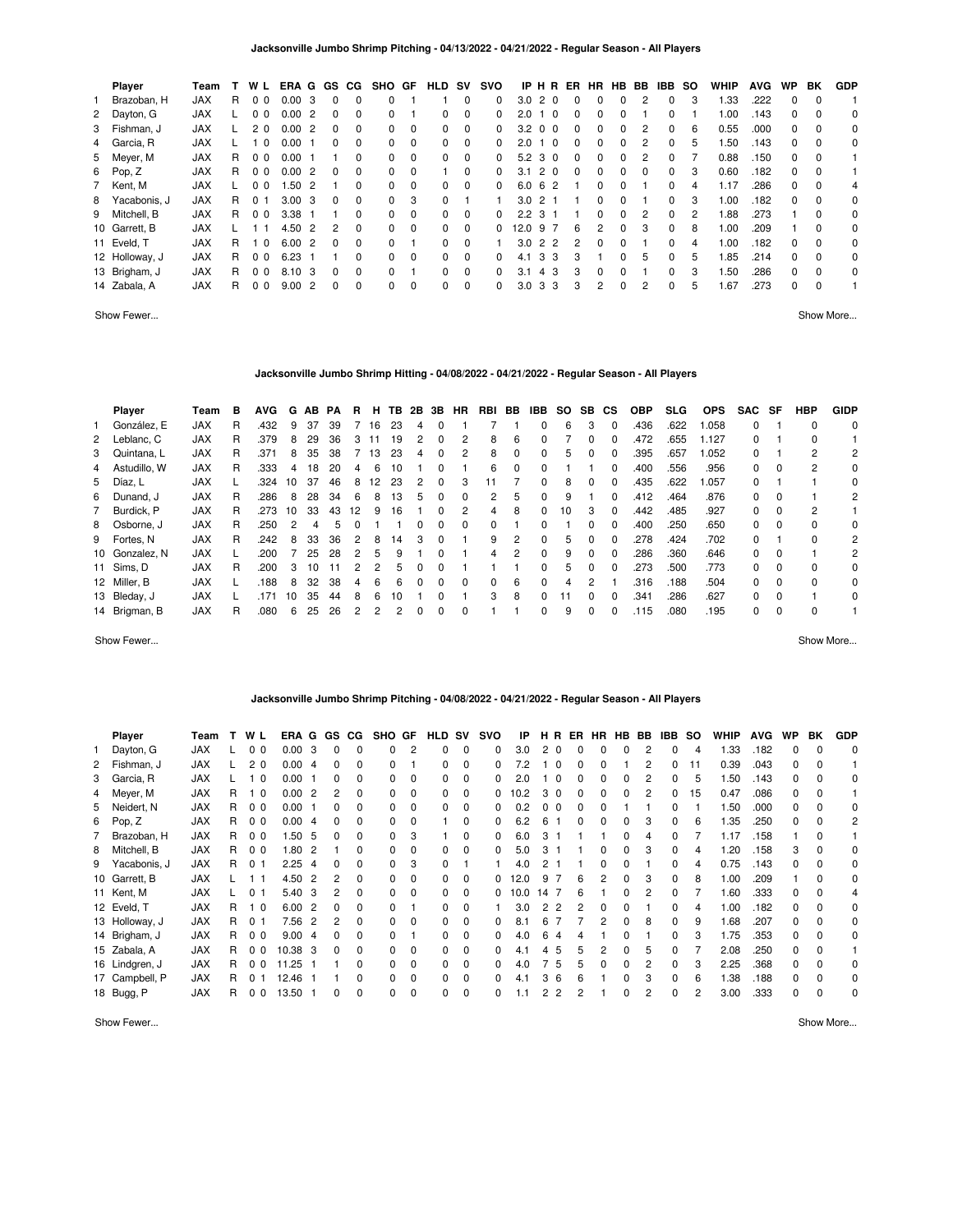| Player         | Team       |    | W L                  | ERA G GS |                |          | CG.      | SHO      | GF       | <b>HLD</b> | <b>SV</b>   | <b>SVO</b>   |      | IP H R               | ER       | <b>HR</b> | HB.      | BB       | <b>IBB</b>   | so            | <b>WHIP</b> | <b>AVG</b> | <b>WP</b> | BK       | <b>GDP</b> |
|----------------|------------|----|----------------------|----------|----------------|----------|----------|----------|----------|------------|-------------|--------------|------|----------------------|----------|-----------|----------|----------|--------------|---------------|-------------|------------|-----------|----------|------------|
| Brazoban, H    | <b>JAX</b> | R. | 0 <sub>0</sub>       | 0.00     | -3             | $\Omega$ | $\Omega$ | $\Omega$ |          |            | $\Omega$    | 0            | 3.0  | 2 0                  | $\Omega$ | $\Omega$  | $\Omega$ |          | 0            | 3             | 1.33        | .222       | 0         | $\Omega$ |            |
| 2 Dayton, G    | <b>JAX</b> |    | 0 <sub>0</sub>       | 0.00     | $\overline{2}$ | $\Omega$ | $\Omega$ | 0        |          | 0          | $\mathbf 0$ | $\Omega$     | 2.0  | $\Omega$             | $\Omega$ | $\Omega$  | $\Omega$ |          | 0            |               | 0.00        | .143       | $\Omega$  | $\Omega$ | 0          |
| 3 Fishman, J   | <b>JAX</b> |    | 20                   | 0.00     | -2             | $\Omega$ | $\Omega$ | 0        | $\Omega$ | 0          | $\Omega$    | <sup>0</sup> | 3.2  | 0 <sub>0</sub>       | $\Omega$ | $\Omega$  | $\Omega$ | 2        | 0            | 6             | 0.55        | .000       | $\Omega$  | $\Omega$ | 0          |
| 4 Garcia, R    | <b>JAX</b> |    | 10                   | 0.00     |                | $\Omega$ | $\Omega$ | 0        | $\Omega$ | 0          | 0           | 0            | 2.0  | $\overline{0}$<br>-1 | $\Omega$ | $\Omega$  | $\Omega$ | 2        | 0            | 5             | 50،         | .143       | $\Omega$  | $\Omega$ | 0          |
| 5 Meyer, M     | <b>JAX</b> | R  | 0 <sub>0</sub>       | 0.00     |                |          | $\Omega$ | 0        | $\Omega$ | $\Omega$   | $\Omega$    | 0            | 5.2  | 3 0                  | $\Omega$ | $\Omega$  | $\Omega$ | 2        | 0            |               | 0.88        | .150       | $\Omega$  | $\Omega$ |            |
| 6 Pop, Z       | <b>JAX</b> | R. | 0 <sub>0</sub>       | 0.00     | $\overline{2}$ | $\Omega$ | 0        | 0        | $\Omega$ |            | $\Omega$    | 0            | 3.1  | 2 0                  | $\Omega$ | $\Omega$  | $\Omega$ | $\Omega$ | 0            | 3             | 0.60        | .182       | 0         | $\Omega$ |            |
| 7 Kent, M      | <b>JAX</b> |    | 0 <sub>0</sub>       | 1.50     | -2             |          | $\Omega$ | 0        | $\Omega$ | 0          | $\Omega$    | $\Omega$     | 6.0  | -6<br>$\overline{2}$ |          | $\Omega$  | $\Omega$ |          | 0            | 4             | 1.17        | .286       | $\Omega$  | $\Omega$ | 4          |
| 8 Yacabonis, J | <b>JAX</b> | R  | 0 <sub>1</sub>       | 3.00     | -3             | $\Omega$ | 0        | $\Omega$ | 3        | 0          |             |              | 3.0  | 2 <sub>1</sub>       |          | 0         | $\Omega$ |          | 0            | 3             | 1.00        | .182       | $\Omega$  | $\Omega$ | 0          |
| 9 Mitchell, B  | <b>JAX</b> | R  | 0 <sub>0</sub>       | 3.38     |                |          | 0        | 0        | $\Omega$ | 0          | 0           | <sup>0</sup> | 2.2  | 3 1                  |          | $\Omega$  | $\Omega$ | 2        | <sup>0</sup> | $\mathcal{P}$ | .88         | .273       |           | $\Omega$ | 0          |
| 10 Garrett, B  | <b>JAX</b> |    | 11                   | 4.50     | -2             | 2        | $\Omega$ | $\Omega$ | $\Omega$ | 0          | $\Omega$    | <sup>0</sup> | 12.0 | 97                   | 6        | 2         | $\Omega$ | 3        | 0            | 8             | 0.00        | .209       |           | $\Omega$ | 0          |
| 11 Eveld, T    | <b>JAX</b> | R  | $\Omega$             | 6.00     | $\overline{2}$ | $\Omega$ | $\Omega$ | 0        |          | $\Omega$   | $\Omega$    |              | 3.0  | 2 2                  | 2        | $\Omega$  | $\Omega$ |          | 0            | 4             | .00         | .182       | $\Omega$  | $\Omega$ | 0          |
| 12 Holloway, J | <b>JAX</b> | R  | 0 <sub>0</sub>       | 6.23     |                |          | 0        | 0        | $\Omega$ | $\Omega$   | $\Omega$    | 0            | 4.1  | -3<br>3              | 3        |           | $\Omega$ | 5        | 0            | 5             | .85         | .214       | $\Omega$  | $\Omega$ | 0          |
| 13 Brigham, J  | <b>JAX</b> | R  | 0 <sub>0</sub>       | 8.10     | - 3            | $\Omega$ | $\Omega$ | 0        |          | 0          | $\Omega$    | 0            | 3.1  | 4 3                  | 3        | $\Omega$  | $\Omega$ |          | 0            | 3             | .50         | .286       | $\Omega$  | $\Omega$ | 0          |
| 14 Zabala, A   | <b>JAX</b> | R  | $\Omega$<br>$\Omega$ | 9.00     | $\overline{2}$ | $\Omega$ | $\Omega$ | 0        | $\Omega$ | $\Omega$   | $\Omega$    | 0            | 3.0  | 3<br>-3              | 3        | 2         | $\Omega$ | 2        | 0            | 5             | .67         | .273       | $\Omega$  | $\Omega$ |            |

Show Fewer... Show More...

#### **Jacksonville Jumbo Shrimp Hitting - 04/08/2022 - 04/21/2022 - Regular Season - All Players**

|              | Player         | Team       | в  | <b>AVG</b> | G  | AB. | PA | R  | н. | TB. | 2B | 3В | <b>HR</b> | RBI | BB       | IBB          | so  | SB. | <b>CS</b>    | <b>OBP</b> | <b>SLG</b> | <b>OPS</b> | <b>SAC</b> | SF       | HBP      | <b>GIDP</b> |
|--------------|----------------|------------|----|------------|----|-----|----|----|----|-----|----|----|-----------|-----|----------|--------------|-----|-----|--------------|------------|------------|------------|------------|----------|----------|-------------|
| $\mathbf{1}$ | González, E    | <b>JAX</b> | R  | .432       | 9  | 37  | 39 |    | 16 | 23  | 4  |    |           |     |          | 0            | 6   | 3   | 0            | .436       | .622       | .058       | 0          |          | 0        | 0           |
|              | 2 Leblanc, C   | <b>JAX</b> | R  | .379       | 8  | 29  | 36 |    |    | 19  |    |    |           | 8   | 6        |              |     | O   |              | .472       | .655       | 1.127      | 0          |          | 0        |             |
|              | 3 Quintana, L  | <b>JAX</b> | R  | .371       | 8  | 35  | 38 |    | 13 | 23  | 4  | 0  | 2         | 8   | $\Omega$ | 0            | 5   | 0   | $\Omega$     | .395       | .657       | 1.052      | 0          |          | 2        | 2           |
|              | 4 Astudillo, W | JAX        | R  | .333       | 4  | 18  | 20 |    | 6  | 10  |    |    |           | 6   | $\Omega$ |              |     |     |              | .400       | .556       | .956       | 0          | $\Omega$ | 2        | 0           |
|              | 5 Díaz, L      | <b>JAX</b> |    | .324       | 10 | 37  | 46 | 8  | 12 | 23  | 2  | 0  | 3         |     |          | 0            | 8   | 0   | $\Omega$     | .435       | .622       | .057       | 0          |          |          | 0           |
|              | 6 Dunand, J    | <b>JAX</b> | R  | .286       | 8  | 28  | 34 | 6  | 8  | 13  | 5  | 0  | $\Omega$  | 2   | 5        | 0            | 9   |     |              | .412       | .464       | .876       | $\Omega$   | $\Omega$ |          | 2           |
|              | 7 Burdick, P   | <b>JAX</b> | R. | .273       | 10 | 33  | 43 | 12 | 9  | 16  |    | 0  | 2         | 4   | 8        | 0            | 10  | 3   | $\Omega$     | .442       | .485       | .927       | $\Omega$   | $\Omega$ | 2        |             |
|              | 8 Osborne. J   | <b>JAX</b> | R  | .250       | 2  | 4   | .h |    |    |     |    |    | $\Omega$  | 0   |          | 0            |     | 0   |              | .400       | .250       | .650       | 0          | $\Omega$ | $\Omega$ | 0           |
|              | 9 Fortes, N    | <b>JAX</b> | R. | .242       | 8  | 33  | 36 | 2  | 8  | 14  | 3  | 0  |           | 9   | 2        | 0            | 5   | 0   | $\Omega$     | .278       | .424       | .702       | 0          |          | 0        | 2           |
|              | 10 Gonzalez, N | <b>JAX</b> |    | .200       |    | 25  | 28 |    | 5  | 9   |    |    |           | 4   | 2        | 0            | 9   | 0   |              | .286       | .360       | .646       | 0          | $\Omega$ |          | 2           |
|              | 11 Sims, D     | <b>JAX</b> | R  | .200       | 3  | 10  | 11 |    |    | 'n. |    |    |           |     |          | 0            | 5   | 0   |              | .273       | .500       | .773       | 0          | $\Omega$ | $\Omega$ | 0           |
|              | 12 Miller, B   | <b>JAX</b> |    | .188       | 8  | 32  | 38 | 4  | 6  | 6   |    |    | $\Omega$  | 0   | 6        | <sup>0</sup> | 4   | 2   |              | .316       | .188       | .504       | $\Omega$   | $\Omega$ | $\Omega$ | 0           |
|              | 13 Bleday, J   | JAX        |    | .171       | 10 | 35  | 44 | 8  | 6  | 10  |    |    |           | 3   | 8        |              | . 1 | O   | <sup>0</sup> | .341       | .286       | .627       | 0          | $\Omega$ |          | 0           |
|              | 14 Brigman, B  | <b>JAX</b> | R  | .080       | 6  | 25  | 26 |    |    |     |    |    | 0         |     |          | 0            | 9   | 0   | $\Omega$     | .115       | .080       | .195       | 0          | $\Omega$ | $\Omega$ |             |

Show Fewer... Show More...

#### **Jacksonville Jumbo Shrimp Pitching - 04/08/2022 - 04/21/2022 - Regular Season - All Players**

| <b>Player</b>  | Team       |    | W L                     | ERA G GS |                |              | CG. | <b>SHO</b>   | GF             | <b>HLD</b> | sv          | svo      | IP   | нĸ             | ER       | <b>HR</b>    | HB BB |   | <b>IBB</b>   | <b>SO</b> | <b>WHIP</b> | <b>AVG</b> | WP | BK       | <b>GDP</b> |
|----------------|------------|----|-------------------------|----------|----------------|--------------|-----|--------------|----------------|------------|-------------|----------|------|----------------|----------|--------------|-------|---|--------------|-----------|-------------|------------|----|----------|------------|
| Dayton, G      | <b>JAX</b> |    | 0 <sub>0</sub>          | 0.00     | 3              |              | 0   | 0            | $\overline{2}$ | 0          | $\mathbf 0$ | $\Omega$ | 3.0  | 2 <sub>0</sub> | $\Omega$ | $\Omega$     | 0     | 2 | $\Omega$     | 4         | .33         | .182       | 0  |          | 0          |
| 2 Fishman, J   | <b>JAX</b> |    | 2 <sub>0</sub>          | 0.00     | -4             |              | 0   | 0            |                | 0          | 0           | $\Omega$ | 7.2  | $\Omega$       | 0        |              |       | 2 | <sup>0</sup> | 11        | 0.39        | .043       | 0  |          |            |
| 3 Garcia, R    | <b>JAX</b> |    | $\overline{\mathbf{0}}$ | 0.00     |                | <sup>0</sup> | 0   | <sup>o</sup> | $\Omega$       | 0          | 0           | 0        | 2.0  | - 0            | 0        | <sup>0</sup> | 0     | 2 | 0            | 5         | 1.50        | .143       | 0  |          | $\Omega$   |
| 4 Meyer, M     | <b>JAX</b> | R. | $\overline{\mathbf{0}}$ | 0.00     | $\overline{2}$ | 2            | 0   | 0            | $\Omega$       | 0          | 0           | 0        | 10.2 | 3 0            | 0        | <sup>0</sup> | 0     | 2 | $\Omega$     | 15        | 0.47        | .086       | 0  |          |            |
| 5 Neidert, N   | JAX        | R. | 0 <sub>0</sub>          | 0.00     |                |              | 0   | 0            | $\Omega$       | 0          | 0           | 0        | 0.2  | 0 <sub>0</sub> | 0        |              |       |   | 0            |           | 1.50        | .000       | 0  |          | 0          |
| 6 Pop, Z       | <b>JAX</b> | R. | 0 <sub>0</sub>          | 0.00     | -4             | 0            | 0   | 0            | $\Omega$       |            | $\Omega$    | $\Omega$ | 6.2  | 6              | 0        | $\Omega$     | 0     | З | $\Omega$     | 6         | 1.35        | .250       | 0  |          | 2          |
| 7 Brazoban, H  | JAX        | R  | 0 <sub>0</sub>          | 1.50     | -5             | 0            | 0   | 0            | 3              |            | 0           | $\Omega$ | 6.0  | 3              |          |              | 0     | 4 | $\Omega$     |           | 1.17        | .158       |    | 0        |            |
| 8 Mitchell, B  | JAX        | R  | 0 <sub>0</sub>          | 1.80     | -2             |              | 0   | O.           | $\Omega$       | 0          | $\Omega$    | $\Omega$ | 5.0  | 3              |          | 0            | 0     | 3 | 0            | 4         | 20. ا       | .158       | 3  | $\Omega$ | 0          |
| 9 Yacabonis, J | <b>JAX</b> | R  | 0 <sub>1</sub>          | 2.25     | -4             | 0            | 0   | 0            | 3              | 0          |             |          | 4.0  | 2              |          | 0            | 0     |   | 0            | 4         | 0.75        | .143       | 0  |          | 0          |
| 10 Garrett, B  | <b>JAX</b> |    | 11                      | 4.50     | -2             | 2            | 0   | O.           | $\Omega$       | 0          | 0           | 0        | 12.0 | 9              | 6        | 2            | 0     | 3 | 0            | 8         | 1.00        | .209       |    |          | 0          |
| 11 Kent, M     | <b>JAX</b> |    | 0 <sub>1</sub>          | 5.40     | 3              | 2            | 0   | 0            | $\Omega$       | 0          | 0           | 0        | 10.0 | 14             | 6        |              | 0     | 2 | 0            |           | 1.60        | .333       | 0  |          |            |
| 12 Eveld, T    | <b>JAX</b> | R  | 1 <sub>0</sub>          | 6.00     | $\overline{2}$ | $\Omega$     | 0   | O.           |                | 0          | 0           |          | 3.0  | 2<br>2         | 2        | 0            | 0     |   | <sup>0</sup> | 4         | 1.00        | .182       | 0  |          | 0          |
| 13 Holloway, J | JAX        | R  | 0 <sub>1</sub>          | 7.56     | $\overline{2}$ | 2            | 0   | 0            | $\Omega$       | 0          | 0           | 0        | 8.1  | 6              |          |              | 0     | 8 | 0            | 9         | 1.68        | .207       | 0  |          | 0          |
| 14 Brigham, J  | <b>JAX</b> | R. | 0 <sub>0</sub>          | 9.00     | -4             | 0            | 0   | 0            |                | 0          | 0           | 0        | 4.0  | 6              |          |              | ი     |   | 0            | 3         | 1.75        | .353       | 0  |          | 0          |
| 15 Zabala, A   | <b>JAX</b> | R  | 0 <sub>0</sub>          | 10.38    | - 3            | $\Omega$     | 0   | 0            | $\Omega$       | 0          | 0           | 0        | 4.1  | 5<br>4         | 5        |              | 0     | 5 | <sup>0</sup> |           | 2.08        | .250       | 0  |          |            |
| 16 Lindgren, J | JAX        | R. | 0 <sub>0</sub>          | 11.25    |                |              | 0   | 0            | $\Omega$       | 0          | 0           | 0        | 4.0  | 5              | 5        |              | 0     | 2 | $\Omega$     | 3         | 2.25        | .368       | 0  |          | 0          |
| 17 Campbell, P | JAX        | R. | 0 <sub>1</sub>          | 12.46    |                |              | 0   | 0            | $\Omega$       | 0          |             | O.       | 4.1  | 3<br>6         | 6        |              | 0     | 3 | $\Omega$     | 6         | 1.38        | .188       | 0  |          | 0          |
| 18 Bugg, P     | <b>JAX</b> | R  | 0 <sub>0</sub>          | 13.50 1  |                |              | 0   | 0            | $\Omega$       | 0          | 0           | 0        | 1.1  | 2<br>-2        |          |              | 0     | 2 | 0            | 2         | 3.00        | .333       | 0  |          | 0          |

Show Fewer... Show More...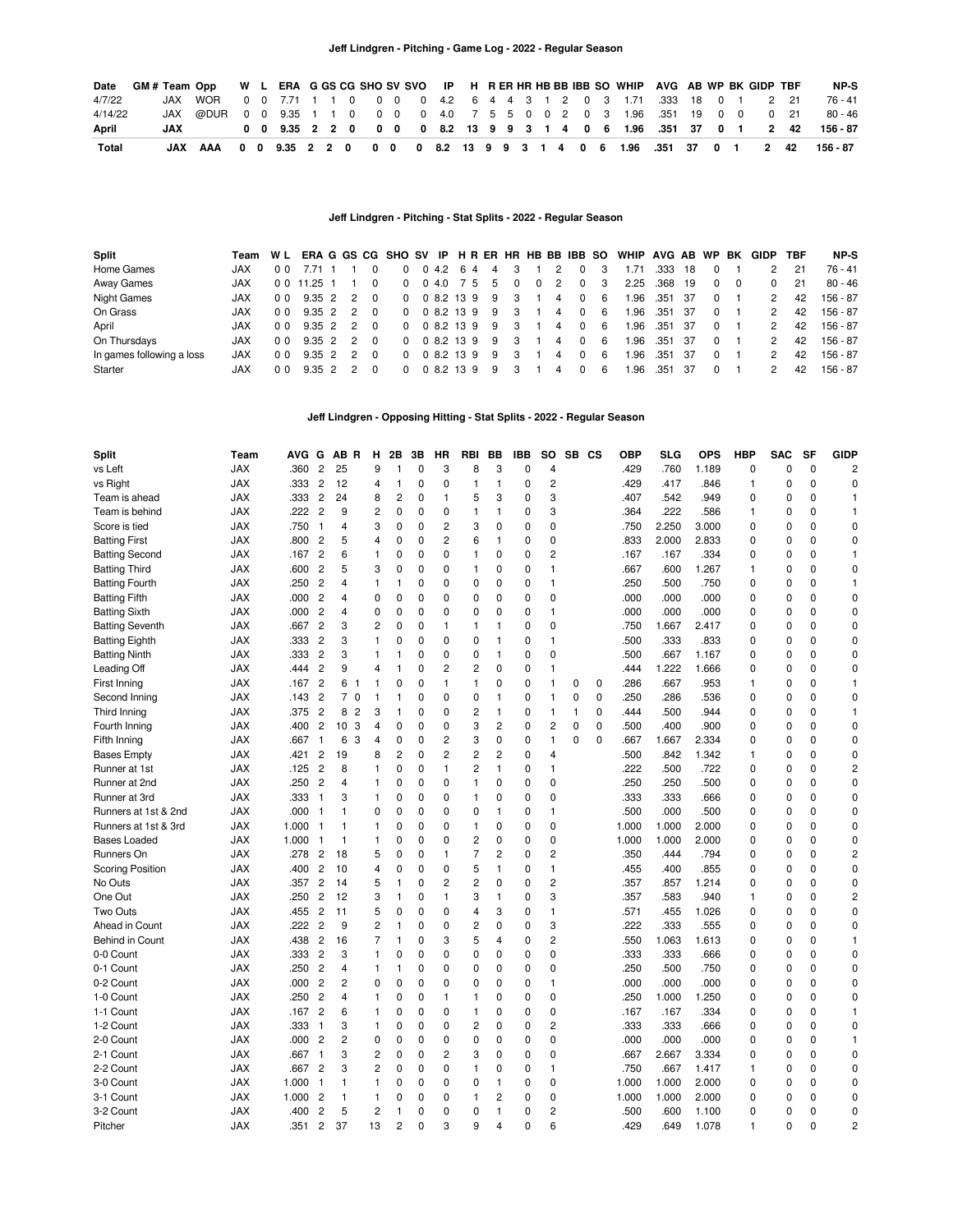| Date    |     | GM#Team Opp W L ERA G GS CG SHO SV SVO IP H R ER HR HB BB IBB SO WHIP AVG AB WP BK GIDP TBF                           |  |  |  |  |  |  |  |  |  |                                                            |  |  |      | NP-S                                                                           |
|---------|-----|-----------------------------------------------------------------------------------------------------------------------|--|--|--|--|--|--|--|--|--|------------------------------------------------------------|--|--|------|--------------------------------------------------------------------------------|
| 4/7/22  |     | JAX WOR    0  0  7.71    1    1    0   0   0   4.2   6   4   4   3   1   2   0   3   1.71   333   18   0   1   2   21 |  |  |  |  |  |  |  |  |  |                                                            |  |  |      | 76 - 41                                                                        |
| 4/14/22 |     | JAX @DUR 0 0 9.35 1 1 0 0 0 0 4.0 7 5 5 0 0 2 0 3 1.96 .351 19 0 0 0 21                                               |  |  |  |  |  |  |  |  |  |                                                            |  |  |      | 80 - 46                                                                        |
| April   | JAX |                                                                                                                       |  |  |  |  |  |  |  |  |  | 0 0 9.35 2 2 0 0 0 0 8.2 13 9 9 3 1 4 0 6 1.96 .351 37 0 1 |  |  | 2 42 | 156 - 87                                                                       |
| Total   |     |                                                                                                                       |  |  |  |  |  |  |  |  |  |                                                            |  |  |      | JAX AAA 0 0 9.35 2 2 0 0 0 0 8.2 13 9 9 3 1 4 0 6 1.96 .351 37 0 1 2 42 156-87 |

#### **Jeff Lindgren - Pitching - Stat Splits - 2022 - Regular Season**

| Split                     | Team       |                | WL ERAGGS CG SHO SV IP H R ER HR HB BB IBB SO |               |          |              |            |    |    |              |   |   |          |     | WHIP AVG AB WP |         |      |          | BK | <b>GIDP</b> | TBF | NP-S      |
|---------------------------|------------|----------------|-----------------------------------------------|---------------|----------|--------------|------------|----|----|--------------|---|---|----------|-----|----------------|---------|------|----------|----|-------------|-----|-----------|
| Home Games                | <b>JAX</b> | 00             |                                               |               |          | 0            | $0\,4.2$   | 64 |    | 4            |   | 2 | $\Omega$ |     | 1.71           | .333    | 18   |          |    |             | 21  | 76 - 41   |
| Away Games                | <b>JAX</b> | 0 <sub>0</sub> | 11.25 1                                       |               |          | 0            | 0.4.0      |    | 75 | 5            |   | 2 | $\Omega$ | -3  | 2.25           | .368    | 19   | $\Omega$ |    |             | 21  | $80 - 46$ |
| <b>Night Games</b>        | <b>JAX</b> | 0 <sub>0</sub> | 9.35 2                                        | 2             | $\Omega$ | $\Omega$     |            |    |    | 0 8.2 13 9 9 | 3 | 4 | $\Omega$ | - 6 | 1.96           | .351 37 |      | $\Omega$ |    |             | 42  | 156 - 87  |
| On Grass                  | <b>JAX</b> | 0 <sub>0</sub> | $9.35 \quad 2$                                | 2             |          | $\Omega$     |            |    |    | 0 8.2 13 9 9 | 3 | 4 | $\Omega$ | - 6 | 1.96           | .351 37 |      | $\Omega$ |    |             | 42  | 156 - 87  |
| April                     | <b>JAX</b> | 0 <sub>0</sub> | $9.35 \quad 2$                                | 2             |          | <sup>0</sup> | 0 8 2 13 9 |    |    | -9           |   | 4 | $\Omega$ | - 6 | 1.96           | .351    | - 37 | $\Omega$ |    |             | 42  | 156 - 87  |
| On Thursdays              | <b>JAX</b> | 0 <sub>0</sub> | $9.35 \quad 2$                                | $\mathcal{P}$ |          | $\Omega$     | 0 8 2 13 9 |    |    | -9           | з | 4 | $\Omega$ | - 6 | 1.96           | .351    | - 37 | $\Omega$ |    |             | 42  | 156 - 87  |
| In games following a loss | <b>JAX</b> | 0 <sub>0</sub> | $9.35 \quad 2$                                | $\mathcal{P}$ | $\Omega$ | <sup>0</sup> | 0 8 2 13 9 |    |    | 9            | 3 | 4 | $\Omega$ | - 6 | 1.96           | .351    | - 37 | $\Omega$ |    |             | 42  | 156 - 87  |
| Starter                   | <b>JAX</b> | 00             | $9.35 \quad 2$                                |               |          | 0            | 0 8.2 13 9 |    |    | 9            |   |   | $\Omega$ | -6  | 1.96           | .351    | - 37 | $\Omega$ |    |             | 42  | 156 - 87  |

**Jeff Lindgren - Opposing Hitting - Stat Splits - 2022 - Regular Season**

| <b>Split</b>            | Team       | <b>AVG</b> | G              | AB R             |                | н              | 2Β             | 3В          | НR             | <b>RBI</b>     | BB             | <b>IBB</b>  | SO             | SB CS    |             | <b>OBP</b> | SLG   | <b>OPS</b> | <b>HBP</b>  | <b>SAC</b>     | <b>SF</b>   | <b>GIDP</b>             |
|-------------------------|------------|------------|----------------|------------------|----------------|----------------|----------------|-------------|----------------|----------------|----------------|-------------|----------------|----------|-------------|------------|-------|------------|-------------|----------------|-------------|-------------------------|
| vs Left                 | <b>JAX</b> | .360       | $\overline{c}$ | 25               |                | 9              | 1              | 0           | 3              | 8              | 3              | 0           | 4              |          |             | .429       | .760  | 1.189      | 0           | 0              | 0           | $\overline{\mathbf{c}}$ |
| vs Right                | <b>JAX</b> | .333       | $\overline{2}$ | 12               |                | 4              | 1              | 0           | 0              | 1              | 1              | 0           | $\overline{c}$ |          |             | .429       | .417  | .846       | 1           | $\mathbf 0$    | $\Omega$    | $\mathbf 0$             |
| Team is ahead           | <b>JAX</b> | .333       | $\overline{c}$ | 24               |                | 8              | $\overline{c}$ | 0           | $\mathbf{1}$   | 5              | 3              | 0           | 3              |          |             | .407       | .542  | .949       | 0           | $\mathbf 0$    | $\mathbf 0$ | $\mathbf{1}$            |
| Team is behind          | <b>JAX</b> | .222       | 2              | 9                |                | $\overline{c}$ | 0              | 0           | 0              | $\mathbf{1}$   | 1              | 0           | 3              |          |             | .364       | .222  | .586       | 1           | 0              | $\Omega$    | $\mathbf{1}$            |
| Score is tied           | <b>JAX</b> | .750       | $\mathbf{1}$   | 4                |                | 3              | 0              | 0           | $\overline{c}$ | 3              | 0              | 0           | 0              |          |             | .750       | 2.250 | 3.000      | 0           | $\mathbf 0$    | $\mathbf 0$ | 0                       |
| <b>Batting First</b>    | <b>JAX</b> | .800       | $\overline{c}$ | 5                |                | $\overline{4}$ | 0              | 0           | 2              | 6              | 1              | 0           | $\mathbf 0$    |          |             | .833       | 2.000 | 2.833      | 0           | 0              | 0           | 0                       |
| <b>Batting Second</b>   | <b>JAX</b> | .167       | $\overline{c}$ | 6                |                | $\mathbf{1}$   | 0              | 0           | 0              | $\mathbf{1}$   | 0              | $\mathbf 0$ | $\overline{2}$ |          |             | .167       | .167  | .334       | $\mathbf 0$ | $\mathbf 0$    | $\Omega$    | $\mathbf{1}$            |
| <b>Batting Third</b>    | <b>JAX</b> | .600       | $\overline{c}$ | 5                |                | 3              | 0              | 0           | 0              | 1              | 0              | $\mathbf 0$ | $\mathbf{1}$   |          |             | .667       | .600  | 1.267      | 1           | 0              | $\Omega$    | 0                       |
| <b>Batting Fourth</b>   | JAX        | .250       | 2              | 4                |                | $\mathbf{1}$   | 1              | 0           | $\Omega$       | 0              | 0              | 0           | $\mathbf{1}$   |          |             | .250       | .500  | .750       | 0           | 0              | $\Omega$    | 1                       |
| <b>Batting Fifth</b>    | <b>JAX</b> | .000       | $\overline{c}$ | 4                |                | 0              | $\mathbf 0$    | 0           | 0              | 0              | 0              | 0           | 0              |          |             | .000       | .000  | .000       | 0           | $\mathbf 0$    | $\mathbf 0$ | 0                       |
| <b>Batting Sixth</b>    | JAX        | .000       | $\overline{c}$ | 4                |                | $\mathbf 0$    | 0              | $\mathbf 0$ | 0              | 0              | 0              | 0           | $\mathbf{1}$   |          |             | .000       | .000  | .000       | 0           | 0              | $\mathbf 0$ | 0                       |
| <b>Batting Seventh</b>  | <b>JAX</b> | .667       | $\overline{c}$ | 3                |                | $\overline{c}$ | 0              | 0           | $\mathbf{1}$   | $\mathbf{1}$   | 1              | $\mathbf 0$ | $\mathbf 0$    |          |             | .750       | 1.667 | 2.417      | 0           | $\overline{0}$ | $\Omega$    | $\mathbf 0$             |
| <b>Batting Eighth</b>   | JAX        | .333       | $\overline{c}$ | 3                |                | $\mathbf{1}$   | $\Omega$       | 0           | 0              | 0              | $\mathbf{1}$   | 0           | $\mathbf{1}$   |          |             | .500       | .333  | .833       | 0           | 0              | $\mathbf 0$ | $\pmb{0}$               |
| <b>Batting Ninth</b>    | <b>JAX</b> | .333       | $\overline{2}$ | 3                |                | $\mathbf{1}$   | 1              | 0           | 0              | 0              | -1             | 0           | $\mathbf 0$    |          |             | .500       | .667  | 1.167      | 0           | $\mathbf 0$    | 0           | $\mathbf 0$             |
| Leading Off             | <b>JAX</b> | .444       | $\overline{c}$ | 9                |                | $\overline{4}$ | 1              | 0           | 2              | 2              | 0              | 0           | $\mathbf{1}$   |          |             | .444       | 1.222 | 1.666      | 0           | $\mathbf 0$    | 0           | 0                       |
| First Inning            | <b>JAX</b> | .167       | $\overline{2}$ | 6                | -1             | $\mathbf{1}$   | O              | $\Omega$    | $\mathbf{1}$   | $\mathbf{1}$   | 0              | $\Omega$    | $\mathbf{1}$   | $\Omega$ | 0           | .286       | .667  | .953       | 1           | O              | $\Omega$    | $\mathbf{1}$            |
| Second Inning           | <b>JAX</b> | .143       | $\overline{c}$ | $\overline{7}$   | $\mathbf 0$    | $\mathbf{1}$   | 1              | 0           | 0              | 0              | 1              | $\mathbf 0$ | $\mathbf{1}$   | 0        | $\mathbf 0$ | .250       | .286  | .536       | 0           | $\overline{0}$ | $\Omega$    | $\Omega$                |
| Third Inning            | <b>JAX</b> | .375       | $\overline{c}$ | 8                | $\overline{c}$ | 3              | 1              | 0           | 0              | 2              | $\mathbf{1}$   | 0           | $\mathbf{1}$   | 1        | 0           | .444       | .500  | .944       | 0           | 0              | 0           | 1                       |
| Fourth Inning           | <b>JAX</b> | .400       | $\overline{c}$ | 10 <sup>10</sup> | 3              | $\overline{4}$ | $\mathbf 0$    | 0           | 0              | 3              | $\overline{c}$ | 0           | $\overline{c}$ | 0        | $\mathbf 0$ | .500       | .400  | .900       | 0           | $\mathbf 0$    | $\Omega$    | $\mathbf 0$             |
| Fifth Inning            | <b>JAX</b> | .667       | 1              | 6                | 3              | $\overline{4}$ | $\mathbf 0$    | 0           | 2              | 3              | 0              | 0           | $\mathbf{1}$   | 0        | $\mathbf 0$ | .667       | 1.667 | 2.334      | 0           | 0              | $\mathbf 0$ | 0                       |
| <b>Bases Empty</b>      | <b>JAX</b> | .421       | $\overline{c}$ | 19               |                | 8              | 2              | 0           | $\overline{c}$ | $\overline{c}$ | $\overline{c}$ | $\Omega$    | 4              |          |             | .500       | .842  | 1.342      | 1           | $\Omega$       | $\Omega$    | $\mathbf 0$             |
| Runner at 1st           | <b>JAX</b> | .125       | $\overline{c}$ | 8                |                | $\mathbf{1}$   | 0              | 0           | $\mathbf{1}$   | 2              | 1              | $\mathbf 0$ | $\mathbf{1}$   |          |             | .222       | .500  | .722       | 0           | $\mathbf 0$    | $\Omega$    | $\overline{\mathbf{c}}$ |
| Runner at 2nd           | <b>JAX</b> | .250       | $\overline{c}$ | 4                |                | $\mathbf{1}$   | 0              | 0           | 0              | 1              | 0              | 0           | 0              |          |             | .250       | .250  | .500       | 0           | 0              | 0           | 0                       |
| Runner at 3rd           | <b>JAX</b> | .333       | $\mathbf{1}$   | 3                |                | $\mathbf{1}$   | 0              | 0           | 0              | 1              | 0              | 0           | $\mathbf 0$    |          |             | .333       | .333  | .666       | 0           | $\mathbf 0$    | $\Omega$    | $\mathbf 0$             |
| Runners at 1st & 2nd    | <b>JAX</b> | .000       | 1              | 1                |                | 0              | $\Omega$       | 0           | 0              | 0              | 1              | 0           | $\mathbf{1}$   |          |             | .500       | .000  | .500       | 0           | $\overline{0}$ | 0           | 0                       |
| Runners at 1st & 3rd    | <b>JAX</b> | 1.000      | -1             | 1                |                | $\mathbf{1}$   | 0              | 0           | $\Omega$       | 1              | 0              | $\Omega$    | $\mathbf 0$    |          |             | 1.000      | 1.000 | 2.000      | 0           | O              | $\Omega$    | $\Omega$                |
| <b>Bases Loaded</b>     | <b>JAX</b> | 1.000      | -1             | $\mathbf{1}$     |                | $\mathbf{1}$   | 0              | 0           | 0              | 2              | 0              | 0           | $\pmb{0}$      |          |             | 1.000      | 1.000 | 2.000      | 0           | $\mathbf 0$    | $\Omega$    | $\pmb{0}$               |
| Runners On              | <b>JAX</b> | .278       | 2              | 18               |                | 5              | 0              | 0           | 1              | $\overline{7}$ | 2              | 0           | $\overline{c}$ |          |             | .350       | .444  | .794       | 0           | $\mathbf 0$    | 0           | 2                       |
| <b>Scoring Position</b> | <b>JAX</b> | .400       | $\overline{2}$ | 10               |                | $\overline{4}$ | $\mathbf 0$    | 0           | 0              | 5              | 1              | 0           | $\mathbf{1}$   |          |             | .455       | .400  | .855       | 0           | $\mathbf 0$    | $\Omega$    | $\mathbf 0$             |
| No Outs                 | JAX        | .357       | $\overline{c}$ | 14               |                | 5              | 1              | 0           | $\overline{c}$ | 2              | 0              | 0           | $\overline{c}$ |          |             | .357       | .857  | 1.214      | 0           | $\mathbf 0$    | $\mathbf 0$ | $\pmb{0}$               |
| One Out                 | <b>JAX</b> | .250       | $\overline{c}$ | 12               |                | 3              | 1              | 0           | $\mathbf{1}$   | 3              | $\mathbf{1}$   | $\mathbf 0$ | 3              |          |             | .357       | .583  | .940       | 1           | $\mathbf 0$    | $\Omega$    | $\overline{c}$          |
| Two Outs                | <b>JAX</b> | .455       | $\overline{c}$ | 11               |                | 5              | 0              | 0           | 0              | 4              | 3              | 0           | $\mathbf{1}$   |          |             | .571       | .455  | 1.026      | 0           | 0              | $\mathbf 0$ | 0                       |
| Ahead in Count          | <b>JAX</b> | .222       | $\overline{2}$ | 9                |                | $\overline{c}$ | 1              | 0           | 0              | 2              | 0              | 0           | 3              |          |             | .222       | .333  | .555       | 0           | $\mathbf 0$    | $\Omega$    | $\mathbf 0$             |
| <b>Behind in Count</b>  | <b>JAX</b> | .438       | $\overline{c}$ | 16               |                | $\overline{7}$ | 1              | 0           | 3              | 5              | 4              | 0           | $\overline{c}$ |          |             | .550       | 1.063 | 1.613      | 0           | $\overline{0}$ | 0           | $\mathbf{1}$            |
| 0-0 Count               | <b>JAX</b> | .333       | $\overline{c}$ | 3                |                | $\mathbf{1}$   | 0              | 0           | 0              | 0              | 0              | 0           | $\pmb{0}$      |          |             | .333       | .333  | .666       | 0           | $\mathbf 0$    | $\mathbf 0$ | $\mathbf 0$             |
| 0-1 Count               | <b>JAX</b> | .250       | $\overline{c}$ | 4                |                | $\mathbf{1}$   | 1              | 0           | 0              | 0              | 0              | 0           | $\mathbf 0$    |          |             | .250       | .500  | .750       | $\mathbf 0$ | $\mathbf 0$    | $\Omega$    | $\mathbf 0$             |
| 0-2 Count               | JAX        | .000       | $\overline{c}$ | 2                |                | 0              | $\mathbf 0$    | 0           | 0              | 0              | 0              | 0           | $\mathbf{1}$   |          |             | .000       | .000  | .000       | 0           | 0              | $\Omega$    | 0                       |
| 1-0 Count               | JAX        | .250       | $\overline{2}$ | 4                |                | $\mathbf{1}$   | 0              | $\mathbf 0$ | 1              | 1              | 0              | 0           | $\mathbf 0$    |          |             | .250       | 1.000 | 1.250      | 0           | $\mathbf 0$    | $\Omega$    | $\mathbf 0$             |
| 1-1 Count               | <b>JAX</b> | .167       | $\overline{c}$ | 6                |                | $\mathbf{1}$   | 0              | 0           | 0              | $\mathbf{1}$   | 0              | 0           | $\pmb{0}$      |          |             | .167       | .167  | .334       | 0           | $\mathbf 0$    | $\mathbf 0$ | $\mathbf{1}$            |
| 1-2 Count               | <b>JAX</b> | .333       | $\mathbf{1}$   | 3                |                | $\mathbf{1}$   | 0              | 0           | 0              | 2              | 0              | 0           | $\overline{c}$ |          |             | .333       | .333  | .666       | 0           | 0              | $\mathbf 0$ | 0                       |
| 2-0 Count               | <b>JAX</b> | .000       | $\overline{c}$ | 2                |                | 0              | 0              | 0           | 0              | 0              | 0              | 0           | $\pmb{0}$      |          |             | .000       | .000  | .000       | 0           | $\mathbf 0$    | $\mathbf 0$ | 1                       |
| 2-1 Count               | <b>JAX</b> | .667       | $\mathbf{1}$   | 3                |                | $\overline{c}$ | $\mathbf 0$    | 0           | 2              | 3              | 0              | 0           | 0              |          |             | .667       | 2.667 | 3.334      | 0           | 0              | 0           | 0                       |
| 2-2 Count               | <b>JAX</b> | .667       | $\overline{c}$ | 3                |                | $\overline{2}$ | 0              | 0           | 0              | $\mathbf{1}$   | 0              | $\Omega$    | $\mathbf{1}$   |          |             | .750       | .667  | 1.417      | 1           | $\mathbf 0$    | $\Omega$    | $\mathbf 0$             |
| 3-0 Count               | <b>JAX</b> | 1.000      | $\mathbf{1}$   | 1                |                | $\mathbf{1}$   | 0              | 0           | 0              | 0              | 1              | 0           | 0              |          |             | 1.000      | 1.000 | 2.000      | 0           | $\mathbf 0$    | $\Omega$    | 0                       |
| 3-1 Count               | JAX        | 1.000      | 2              | $\mathbf{1}$     |                | $\mathbf{1}$   | O              | $\Omega$    | $\Omega$       | 1              | 2              | $\Omega$    | $\mathbf 0$    |          |             | 1.000      | 1.000 | 2.000      | 0           | 0              | $\Omega$    | 0                       |
| 3-2 Count               | JAX        | .400       | $\overline{c}$ | 5                |                | $\overline{c}$ | 1              | 0           | 0              | 0              | 1              | 0           | 2              |          |             | .500       | .600  | 1.100      | 0           | 0              | $\Omega$    | 0                       |
| Pitcher                 | JAX        | .351       | $\overline{c}$ | 37               |                | 13             | $\overline{c}$ | 0           | 3              | 9              | 4              | 0           | 6              |          |             | .429       | .649  | 1.078      | 1           | $\mathbf 0$    | $\Omega$    | $\overline{c}$          |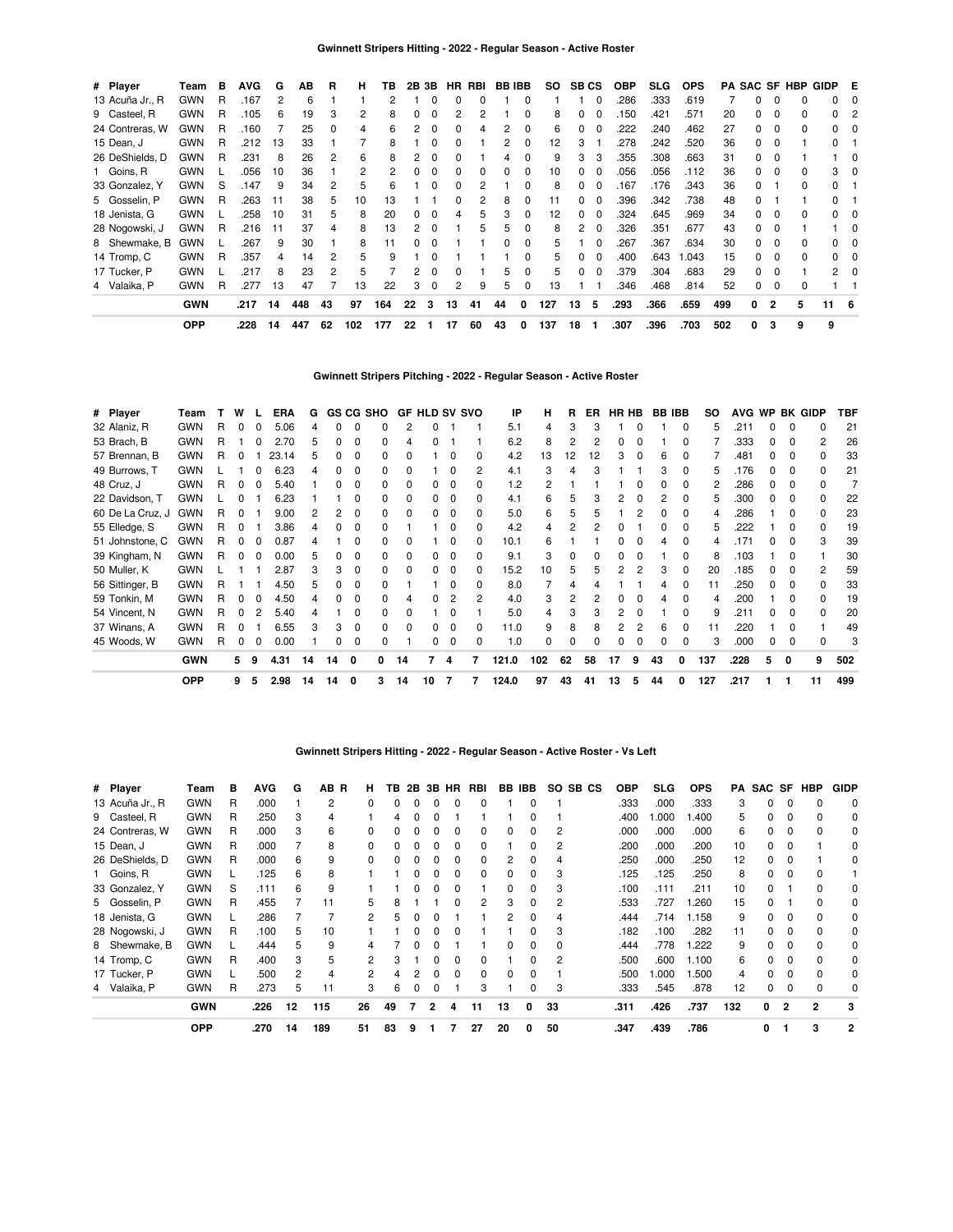| # Player        | Team       | в | <b>AVG</b> | G  | AВ  | R  | н   | ΤВ  | 2В | 3Β       |              | HR RBI |    | <b>BB IBB</b> | SO. | <b>SB CS</b> |          | <b>OBP</b> | SLG. | <b>OPS</b> |     |    |                | <b>PA SAC SF HBP</b> | GIDP E |     |
|-----------------|------------|---|------------|----|-----|----|-----|-----|----|----------|--------------|--------|----|---------------|-----|--------------|----------|------------|------|------------|-----|----|----------------|----------------------|--------|-----|
| 13 Acuña Jr., R | <b>GWN</b> | R | .167       | 2  | 6   |    |     | 2   |    |          | 0            | 0      |    | 0             |     |              |          | 286        | .333 | .619       |     | 0  | $\Omega$       |                      |        |     |
| 9 Casteel, R    | <b>GWN</b> | R | .105       | 6  | 19  | 3  | 2   | 8   |    |          |              | 2      |    | 0             | 8   | 0            |          | 150        | .421 | .571       | 20  |    | 0              | 0                    | 0      |     |
| 24 Contreras, W | <b>GWN</b> | R | .160       |    | 25  | 0  | 4   | 6   |    |          |              | 4      |    |               | 6   | 0            |          | 222        | .240 | .462       | 27  |    | $\Omega$       | 0                    | 0      |     |
| 15 Dean, J      | <b>GWN</b> | R | 212        | 13 | 33  |    |     | 8   |    |          |              |        |    |               | 12  | 3            |          | .278       | .242 | .520       | 36  | O. | $\Omega$       |                      | 0      |     |
| 26 DeShields, D | <b>GWN</b> | R | .231       | 8  | 26  | 2  | 6   | 8   |    |          |              |        |    |               | 9   | 3            |          | 355        | .308 | .663       | 31  |    | $\Omega$       |                      |        | 0   |
| 1 Goins, R      | <b>GWN</b> |   | .056       | 10 | 36  |    | 2   |     |    |          |              | ŋ      |    |               | 10  |              |          | .056       | .056 | .112       | 36  |    | $\Omega$       |                      | 3      | 0   |
| 33 Gonzalez, Y  | <b>GWN</b> | S | .147       | 9  | 34  | 2  | 5   | 6   |    |          |              |        |    |               | 8   |              |          | 167        | .176 | .343       | 36  |    |                |                      |        |     |
| 5 Gosselin, P   | <b>GWN</b> | R | .263       | 11 | 38  | 5  | 10  | ıз  |    |          |              |        | 8  |               |     |              |          | .396       | .342 | .738       | 48  |    |                |                      |        |     |
| 18 Jenista, G   | <b>GWN</b> |   | .258       | 10 | 31  | 5  | 8   | 20  |    |          |              | 5      |    |               | 12  | $\Omega$     |          | .324       | .645 | .969       | 34  |    | $\Omega$       |                      |        |     |
| 28 Nogowski, J  | <b>GWN</b> | R | .216       | 11 | 37  | 4  | 8   | 13  |    |          |              | 5      | 5  |               | 8   | 2            | 0        | 326        | .351 | .677       | 43  | 0  | 0              |                      |        | 0   |
| 8 Shewmake, B   | <b>GWN</b> |   | .267       | 9  | 30  |    | 8   | 11  |    |          |              |        |    | 0             | 5   |              |          | 267        | .367 | .634       | 30  |    | $\Omega$       |                      | 0      |     |
| 14 Tromp, C     | <b>GWN</b> | R | .357       | 4  | 14  | 2  | 5   | 9   |    |          |              |        |    | 0             | 5   | 0            | - 0      | .400       | .643 | .043       | 15  |    | 0              |                      |        |     |
| 17 Tucker, P    | <b>GWN</b> |   | .217       | 8  | 23  | 2  | 5   |     |    |          | <sup>0</sup> |        | 5  | ŋ             | 5   | 0            | $\Omega$ | .379       | .304 | .683       | 29  | 0  | $\Omega$       |                      | 2      | 0   |
| 4 Valaika, P    | <b>GWN</b> | R | .277       | 13 | 47  |    | 13  | 22  | 3  | $\Omega$ | 2            | 9      | 5  | 0             | 13  |              |          | 346        | .468 | .814       | 52  | 0  | $\mathbf 0$    | <sup>0</sup>         |        |     |
|                 | <b>GWN</b> |   | .217       | 14 | 448 | 43 | 97  | 164 | 22 | 3        | 13           | 41     | 44 | 0             | 127 | 13           | 5        | .293       | .366 | .659       | 499 | 0  | $\overline{2}$ | 5                    | 11     | - 6 |
|                 | <b>OPP</b> |   | .228       | 14 | 447 | 62 | 102 | 177 | 22 |          | 17           | 60     | 43 | 0             | 137 | 18           |          | .307       | .396 | .703       | 502 | 0  | 3              | 9                    | 9      |     |

# **Gwinnett Stripers Pitching - 2022 - Regular Season - Active Roster**

| # Player         | Team       |   | W            |   | ERA   | G  |    |              | GS CG SHO    |    | <b>GF HLD SV SVO</b> |              |              | IP    | н   | R  | ER. | HR HB |   | <b>BB IBB</b> |              | so  | <b>AVG</b> | <b>WP</b> |              | BK GIDP      | TBF |
|------------------|------------|---|--------------|---|-------|----|----|--------------|--------------|----|----------------------|--------------|--------------|-------|-----|----|-----|-------|---|---------------|--------------|-----|------------|-----------|--------------|--------------|-----|
| 32 Alaniz, R     | <b>GWN</b> | R |              |   | 5.06  |    | 0  |              |              |    |                      |              |              | 5.1   | 4   |    | З   |       |   |               |              | 5   | .211       |           | 0            |              | 21  |
| 53 Brach, B      | <b>GWN</b> | R |              |   | 2.70  |    |    |              | $\Omega$     |    |                      |              |              | 6.2   | 8   |    | 2   |       |   |               |              |     | .333       |           | 0            | 2            | 26  |
| 57 Brennan, B    | <b>GWN</b> | R |              |   | 23.14 |    |    |              | <sup>0</sup> |    |                      | C            | <sup>0</sup> | 4.2   | 13  | 12 | 12  | 3     |   | R             |              |     | .481       |           | <sup>0</sup> | <sup>0</sup> | 33  |
| 49 Burrows, T    | <b>GWN</b> |   |              |   | 6.23  |    |    |              | <sup>0</sup> |    |                      | <sup>0</sup> | 2            | 4.1   | 3   |    | з   |       |   |               | 0            | 5   | .176       |           | 0            | <sup>0</sup> | 21  |
| 48 Cruz, J       | <b>GWN</b> | R | 0            |   | 5.40  |    | n  |              | $\Omega$     |    | O.                   | 0            | <sup>0</sup> | 1.2   | 2   |    |     |       |   |               | <sup>0</sup> | 2   | .286       |           | $\Omega$     | <sup>0</sup> |     |
| 22 Davidson, T   | <b>GWN</b> |   |              |   | 6.23  |    |    |              | <sup>0</sup> |    | 0                    | $\Omega$     | 0            | 4.1   | 6   |    | 3   | 2     |   | 2             | <sup>0</sup> | 5.  | .300       |           | $\Omega$     | <sup>0</sup> | 22  |
| 60 De La Cruz, J | <b>GWN</b> | R |              |   | 9.00  |    | 2  | $\Omega$     | $\Omega$     |    | O.                   | $\Omega$     | $\Omega$     | 5.0   | 6   | 5  | 5   |       |   | ŋ             | $\Omega$     | 4   | .286       |           | $\Omega$     | <sup>0</sup> | 23  |
| 55 Elledge, S    | <b>GWN</b> | R | 0            |   | 3.86  |    | 0  | $\Omega$     | $\Omega$     |    |                      | 0            | $\Omega$     | 4.2   | 4   |    |     |       |   | o             | 0            | 5.  | .222       |           | 0            | 0            | 19  |
| 51 Johnstone, C  | <b>GWN</b> | R | 0            |   | 0.87  |    |    | <sup>0</sup> | $\Omega$     |    |                      | 0            | $\Omega$     | 10.1  | 6   |    |     | o     |   |               | $\Omega$     | 4   | .171       | 0         | 0            | 3            | 39  |
| 39 Kingham, N    | <b>GWN</b> | R |              |   | 0.00  | 5  |    |              | 0            |    | 0                    | 0            | 0            | 9.1   | 3   |    |     |       |   |               |              | 8   | .103       |           | 0            |              | 30  |
| 50 Muller, K     | <b>GWN</b> |   |              |   | 2.87  | з  | 3  | $\Omega$     | $\Omega$     |    | 0                    | <sup>0</sup> | <sup>0</sup> | 15.2  | 10  |    |     |       |   | З             | 0            | 20  | .185       |           | O            | 2            | 59  |
| 56 Sittinger, B  | <b>GWN</b> | R |              |   | 4.50  |    |    |              | <sup>0</sup> |    |                      | n            | 0            | 8.0   |     |    |     |       |   |               |              | 11  | .250       |           | <sup>0</sup> | <sup>0</sup> | 33  |
| 59 Tonkin, M     | <b>GWN</b> | R |              |   | 4.50  |    |    |              | $\Omega$     |    |                      | 2            | 2            | 4.0   | 3   |    |     |       |   |               | <sup>0</sup> | 4   | .200       |           | <sup>0</sup> | <sup>0</sup> | 19  |
| 54 Vincent, N    | <b>GWN</b> | R |              |   | 5.40  |    |    |              | <sup>0</sup> |    |                      |              |              | 5.0   | 4   |    |     |       |   |               |              | 9   | .211       |           |              |              | 20  |
| 37 Winans, A     | <b>GWN</b> | R |              |   | 6.55  |    | 3  |              | <sup>0</sup> |    |                      | O            | <sup>0</sup> | 11.0  | 9   |    | 8   |       |   |               |              | 11  | .220       |           | n            |              | 49  |
| 45 Woods, W      | <b>GWN</b> | R | <sup>0</sup> | O | 0.00  |    | n  | $\Omega$     | <sup>0</sup> |    | 0                    | <sup>0</sup> | <sup>0</sup> | 1.0   | U   |    |     | U     |   |               |              | 3   | .000       | n.        | $\Omega$     | <sup>0</sup> |     |
|                  | <b>GWN</b> |   | 5            | 9 | 4.31  | 14 | 14 | 0            | 0            | 14 | 7                    | 4            | 7            | 121.0 | 102 | 62 | 58  | 17    | 9 | 43            | 0            | 137 | .228       |           | 0            | 9            | 502 |
|                  | <b>OPP</b> |   | 9.           | 5 | 2.98  | 14 | 14 | 0            | 3            | 14 | 10                   | 7            |              | 124.0 | 97  | 43 | 41  | 13    | 5 | 44            | 0            | 127 | .217       |           |              | 11           | 499 |

### **Gwinnett Stripers Hitting - 2022 - Regular Season - Active Roster - Vs Left**

| # Player        | Геаm       | в | <b>AVG</b> | G  | AB R | н. | TВ       |          |              | 2B 3B HR     | RBI |              | BB IBB   |    | SO SB CS | <b>OBP</b> | SLG. | <b>OPS</b> | PA  | SAC SF |              | HBP            | <b>GIDP</b> |
|-----------------|------------|---|------------|----|------|----|----------|----------|--------------|--------------|-----|--------------|----------|----|----------|------------|------|------------|-----|--------|--------------|----------------|-------------|
| 13 Acuña Jr., R | <b>GWN</b> | R | .000       |    | 2    | 0  | $\Omega$ | 0        | 0            | <sup>0</sup> | 0   |              | 0        |    |          | .333       | .000 | .333       | 3   | 0      | 0            |                | 0           |
| 9 Casteel, R    | <b>GWN</b> | R | .250       | 3  | 4    |    | 4        | 0        | O            |              |     |              |          |    |          | .400       | .000 | .400       | 5   | 0      |              |                | 0           |
| 24 Contreras, W | <b>GWN</b> | R | .000       | 3  | 6    |    |          |          |              |              | 0   |              | 0        | 2  |          | .000       | .000 | .000       | 6   | 0      |              |                | 0           |
| 15 Dean, J      | <b>GWN</b> | R | .000       |    | 8    |    |          |          |              |              | 0   |              | 0        | 2  |          | .200       | .000 | .200       | 10  | 0      |              |                | 0           |
| 26 DeShields, D | <b>GWN</b> | R | .000       | 6  | 9    | U  |          |          |              |              | 0   |              |          | 4  |          | .250       | .000 | .250       | 12  | 0      |              |                | 0           |
| 1 Goins, R      | <b>GWN</b> |   | .125       | 6  | 8    |    |          |          |              |              | 0   | 0            | 0        | 3  |          | .125       | .125 | .250       | 8   | 0      |              |                |             |
| 33 Gonzalez, Y  | <b>GWN</b> | S | .111       | 6  | 9    |    |          |          |              |              |     |              | 0        | 3  |          | .100       | .111 | .211       | 10  | 0      |              |                | 0           |
| 5 Gosselin, P   | <b>GWN</b> | R | .455       |    | 11   | 5  | 8        |          |              |              | 2   | 3            | 0        | 2  |          | .533       | .727 | 1.260      | 15  | 0      |              |                | 0           |
| 18 Jenista, G   | <b>GWN</b> |   | .286       |    |      | 2  | 5        | 0        | <sup>0</sup> |              |     |              | 0        | 4  |          | .444       | .714 | 1.158      | 9   | 0      | 0            |                | 0           |
| 28 Nogowski, J  | <b>GWN</b> | R | .100       | 5  | 10   |    |          | $\Omega$ | O            | n            |     |              | 0        | 3  |          | .182       | .100 | .282       | 11  | O.     | <sup>0</sup> |                | 0           |
| 8 Shewmake, B   | <b>GWN</b> |   | .444       | 5  | 9    | 4  |          | ŋ        | O            |              |     | <sup>0</sup> | $\Omega$ | 0  |          | .444       | .778 | .222       | 9   | 0      |              |                | 0           |
| 14 Tromp, C     | <b>GWN</b> | R | .400       | 3  | 5    | 2  |          |          |              |              | 0   |              | 0        | 2  |          | .500       | .600 | 1.100      | 6   | U      |              |                | 0           |
| 17 Tucker, P    | <b>GWN</b> |   | .500       | 2  |      | 2  |          |          |              |              | 0   |              |          |    |          | .500       | .000 | 1.500      |     | U      |              |                | 0           |
| 4 Valaika, P    | <b>GWN</b> | R | .273       | 5  | 11   | 3  | 6        |          |              |              | 3   |              |          | 3  |          | .333       | .545 | .878       | 12  | 0      |              |                | 0           |
|                 | <b>GWN</b> |   | .226       | 12 | 115  | 26 | 49       |          | 2            | 4            | 11  | 13           | 0        | 33 |          | .311       | .426 | .737       | 132 | 0      | 2            | $\overline{2}$ | 3           |
|                 | <b>OPP</b> |   | .270       | 14 | 189  | 51 | 83       | 9        |              |              | 27  | 20           | 0        | 50 |          | .347       | .439 | .786       |     | 0      |              | 3              | 2           |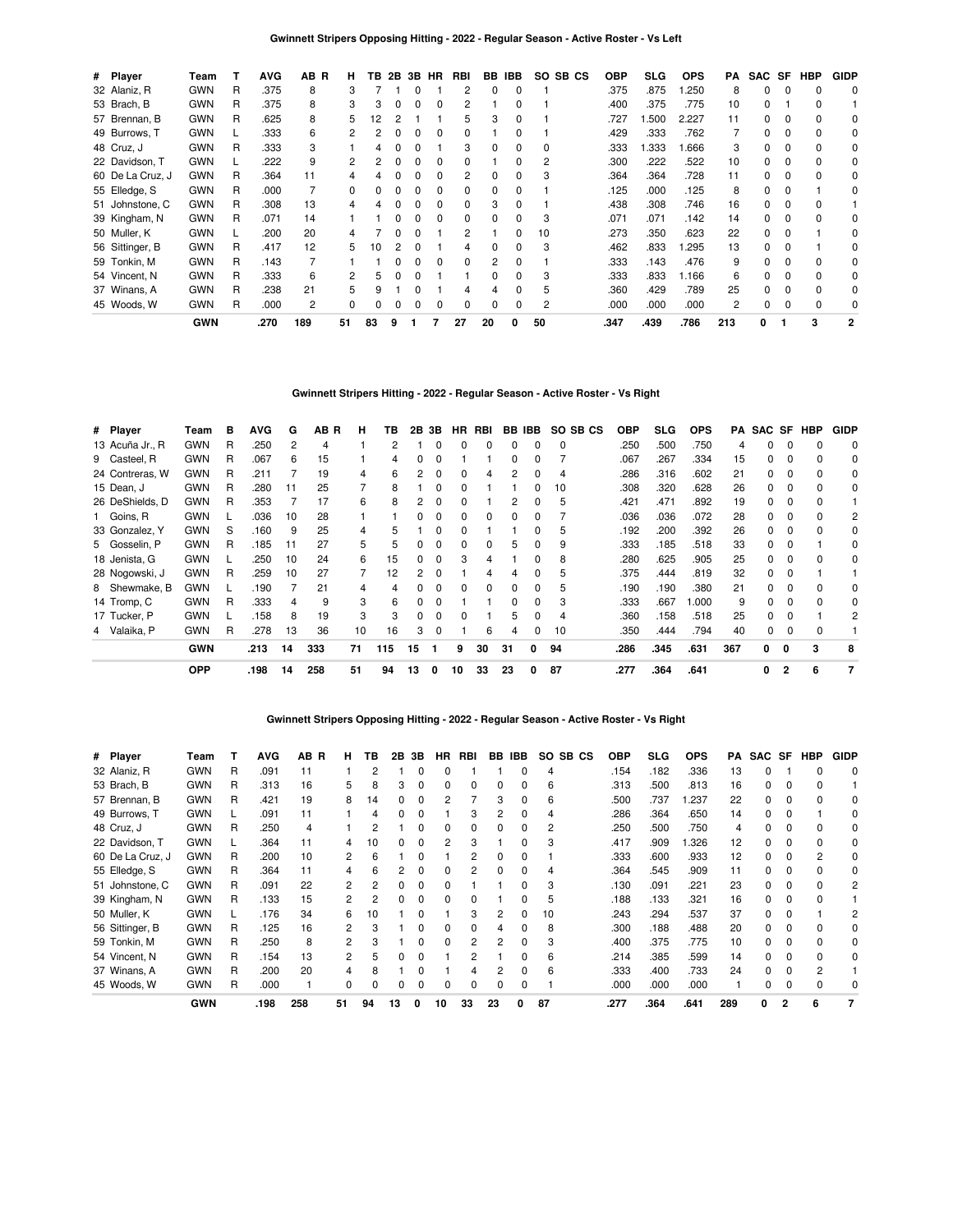| # Player         | Team       |   | <b>AVG</b> | AB R | н. | ΤВ | 2B           |              | 3B HR        | RBI            |    | BB IBB   | SO SB CS | <b>OBP</b> | SLG  | <b>OPS</b> | PA  | SAC SF       |              | HBP      | <b>GIDP</b>    |
|------------------|------------|---|------------|------|----|----|--------------|--------------|--------------|----------------|----|----------|----------|------------|------|------------|-----|--------------|--------------|----------|----------------|
| 32 Alaniz, R     | <b>GWN</b> | R | .375       | 8    | 3  |    |              | $\Omega$     |              | 2              | 0  | $\Omega$ |          | .375       | .875 | .250       | 8   | $\Omega$     | $\Omega$     | $\Omega$ | 0              |
| 53 Brach, B      | <b>GWN</b> | R | .375       | 8    | З  | 3  | 0            | $\Omega$     | 0            | 2              |    | 0        |          | .400       | .375 | .775       | 10  | $\Omega$     |              | $\Omega$ |                |
| 57 Brennan, B    | <b>GWN</b> | R | .625       | 8    | 5  | 12 |              |              |              | 5              | 3  | 0        |          | .727       | .500 | 2.227      | 11  | 0            | 0            | $\Omega$ | 0              |
| 49 Burrows, T    | <b>GWN</b> |   | .333       | 6    | 2  |    | <sup>0</sup> | <sup>0</sup> | $\Omega$     | 0              |    |          |          | .429       | .333 | .762       |     | $\Omega$     | 0            | $\Omega$ | 0              |
| 48 Cruz, J       | <b>GWN</b> | R | .333       | 3    |    |    |              |              |              | 3              |    | 0        | 0        | .333       | .333 | .666       | 3   | 0            | 0            | $\Omega$ | 0              |
| 22 Davidson, T   | <b>GWN</b> |   | .222       | 9    | 2  |    |              |              |              | 0              |    | O        | 2        | .300       | .222 | .522       | 10  | 0            | 0            | $\Omega$ | 0              |
| 60 De La Cruz, J | <b>GWN</b> | R | .364       | 11   |    |    |              |              |              | $\overline{c}$ |    |          | 3        | .364       | .364 | .728       | 11  | 0            | 0            | $\Omega$ | 0              |
| 55 Elledge, S    | <b>GWN</b> | R | .000       |      | 0  |    |              |              |              | 0              | 0  |          |          | .125       | .000 | .125       | 8   | 0            | 0            |          | 0              |
| 51 Johnstone, C  | <b>GWN</b> | R | .308       | 13   |    |    |              |              |              | 0              | 3  |          |          | .438       | .308 | .746       | 16  | <sup>0</sup> | $\Omega$     | $\Omega$ |                |
| 39 Kingham, N    | <b>GWN</b> | R | .071       | 14   |    |    |              |              |              | $\Omega$       |    |          | 3        | .071       | .071 | .142       | 14  | 0            | $\Omega$     | $\Omega$ | 0              |
| 50 Muller, K     | <b>GWN</b> |   | .200       | 20   |    |    |              |              |              | 2              |    |          | 10       | .273       | .350 | .623       | 22  | 0            | <sup>0</sup> |          | 0              |
| 56 Sittinger, B  | <b>GWN</b> | R | .417       | 12   | 5  |    |              |              |              |                |    |          | 3        | .462       | .833 | .295       | 13  | 0            |              |          | 0              |
| 59 Tonkin, M     | <b>GWN</b> | R | .143       |      |    |    |              |              | <sup>0</sup> | 0              | 2  | O        |          | .333       | .143 | .476       | 9   | 0            | <sup>0</sup> | $\Omega$ | 0              |
| 54 Vincent, N    | <b>GWN</b> | R | .333       | 6    |    |    |              |              |              |                |    |          | 3        | .333       | .833 | 1.166      | 6   | 0            | <sup>0</sup> | $\Omega$ | 0              |
| 37 Winans, A     | <b>GWN</b> | R | .238       | 21   | 5  |    |              |              |              | 4              |    |          | 5        | .360       | .429 | .789       | 25  | 0            | $\Omega$     | $\Omega$ | 0              |
| 45 Woods, W      | <b>GWN</b> | R | .000       | 2    | 0  |    |              |              | 0            | 0              | 0  | 0        | 2        | .000       | .000 | .000       | 2   | 0            | $\Omega$     | 0        | 0              |
|                  | <b>GWN</b> |   | .270       | 189  | 51 | 83 | 9            |              |              | 27             | 20 | 0        | 50       | .347       | .439 | .786       | 213 | 0            |              | 3        | $\overline{2}$ |

### **Gwinnett Stripers Hitting - 2022 - Regular Season - Active Roster - Vs Right**

| # Player        |               | Team       | в | <b>AVG</b> | G  | AB R | н  | ΤВ  | 2В | 3В       | HR.          | RBI |    | BB IBB       | SO SB CS | <b>OBP</b> | <b>SLG</b> | <b>OPS</b> | PA  | SAC SF |                | HBP      | <b>GIDP</b> |
|-----------------|---------------|------------|---|------------|----|------|----|-----|----|----------|--------------|-----|----|--------------|----------|------------|------------|------------|-----|--------|----------------|----------|-------------|
| 13 Acuña Jr., R |               | <b>GWN</b> | R | .250       | 2  | 4    |    | 2   |    | 0        | 0            | 0   | 0  | $\Omega$     | $\Omega$ | .250       | .500       | .750       | 4   | 0      | 0              | 0        | 0           |
| 9 Casteel, R    |               | <b>GWN</b> | R | .067       | 6  | 15   |    | 4   |    | 0        |              |     | 0  |              |          | .067       | .267       | .334       | 15  | 0      | 0              | 0        | 0           |
| 24 Contreras, W |               | <b>GWN</b> | R | .211       |    | 19   | 4  | 6   | 2  | $\Omega$ | $\Omega$     | 4   | 2  |              | 4        | 286        | .316       | .602       | 21  | 0      | 0              | $\Omega$ | 0           |
| 15 Dean, J      |               | <b>GWN</b> | R | .280       | 11 | 25   |    | 8   |    | $\Omega$ | $\Omega$     |     |    |              | 10       | .308       | .320       | .628       | 26  | 0      |                | $\Omega$ | 0           |
| 26 DeShields, D |               | <b>GWN</b> | R | .353       |    | 17   | 6  | 8   | 2  |          | 0            |     |    |              | 5        | .421       | .471       | .892       | 19  | 0      |                |          |             |
| 1 Goins, R      |               | <b>GWN</b> |   | .036       | 10 | 28   |    |     |    |          | 0            |     |    |              |          | .036       | .036       | .072       | 28  | 0      |                |          | 2           |
| 33 Gonzalez, Y  |               | <b>GWN</b> | S | .160       | 9  | 25   | 4  | 5   |    |          | 0            |     |    |              | 5        | .192       | .200       | .392       | 26  | 0      |                |          | 0           |
| 5 Gosselin, P   |               | <b>GWN</b> | R | .185       | 11 | 27   | 5  | 5   |    |          | 0            |     | 5  |              | 9        | .333       | .185       | .518       | 33  | 0      |                |          | 0           |
| 18 Jenista, G   |               | <b>GWN</b> |   | .250       | 10 | 24   | 6  | 15  | 0  | $\Omega$ | 3            |     |    |              | 8        | .280       | .625       | .905       | 25  | 0      |                |          | 0           |
| 28 Nogowski, J  |               | <b>GWN</b> | R | .259       | 10 | 27   |    | 12  | 2  | 0        |              |     |    |              | 5        | .375       | .444       | .819       | 32  | 0      |                |          |             |
|                 | 8 Shewmake, B | <b>GWN</b> |   | .190       |    | 21   | 4  | 4   | 0  | $\Omega$ | $\Omega$     | 0   | 0  | <sup>0</sup> | 5        | .190       | .190       | .380       | 21  | 0      | $\Omega$       | $\Omega$ | $\Omega$    |
| 14 Tromp, C     |               | <b>GWN</b> | R | .333       | 4  | 9    | 3  | 6   | O. | $\Omega$ |              |     | 0  | <sup>0</sup> | 3        | .333       | .667       | 1.000      | 9   | 0      | <sup>0</sup>   | $\Omega$ | $\Omega$    |
| 17 Tucker, P    |               | <b>GWN</b> |   | .158       | 8  | 19   | 3  | 3   | 0  | $\Omega$ | <sup>0</sup> |     | 5  |              | 4        | .360       | .158       | .518       | 25  | 0      |                |          | 2           |
| 4 Valaika, P    |               | <b>GWN</b> | R | .278       | 13 | 36   | 10 | 16  | 3  | $\Omega$ |              | 6   |    |              | 10       | .350       | .444       | .794       | 40  | 0      |                |          |             |
|                 |               | <b>GWN</b> |   | .213       | 14 | 333  | 71 | 115 | 15 | 1        | 9            | 30  | 31 | 0            | 94       | .286       | .345       | .631       | 367 | 0      | 0              | 3        | 8           |
|                 |               | <b>OPP</b> |   | .198       | 14 | 258  | 51 | 94  | 13 | 0        | 10           | 33  | 23 | 0            | 87       | .277       | .364       | .641       |     | 0      | $\overline{2}$ | 6        | 7           |

### **Gwinnett Stripers Opposing Hitting - 2022 - Regular Season - Active Roster - Vs Right**

| # Player         | Team       |   | <b>AVG</b> | AB R | н  | ΤВ | 2В | 3В | <b>HR</b> | RBI | BB. | <b>IBB</b> | SO SB CS |      | <b>OBP</b> | <b>SLG</b> | <b>OPS</b> | PA  | <b>SAC</b> | SF       | <b>HBP</b> | <b>GIDP</b> |
|------------------|------------|---|------------|------|----|----|----|----|-----------|-----|-----|------------|----------|------|------------|------------|------------|-----|------------|----------|------------|-------------|
| 32 Alaniz, R     | <b>GWN</b> | R | .091       | 11   |    | 2  |    | 0  | O         |     |     | o          | 4        |      | .154       | .182       | .336       | 13  |            |          |            | 0           |
| 53 Brach, B      | <b>GWN</b> | R | .313       | 16   | 5. | 8  | 3  | 0  | 0         | 0   | 0   |            | 6        |      | .313       | .500       | .813       | 16  | 0          |          |            |             |
| 57 Brennan, B    | <b>GWN</b> | R | .421       | 19   | 8  | 14 |    | 0  |           |     | 3   | 0          | 6        |      | .500       | .737       | .237       | 22  | 0          |          |            | 0           |
| 49 Burrows. T    | <b>GWN</b> |   | .091       | 11   |    | 4  |    | n  |           | З   |     |            |          |      | .286       | .364       | .650       | 14  | 0          |          |            |             |
| 48 Cruz, J       | <b>GWN</b> | R | .250       | 4    |    | 2  |    |    |           |     |     |            | 2        |      | .250       | .500       | .750       | 4   |            |          |            |             |
| 22 Davidson, T   | <b>GWN</b> |   | .364       | 11   | 4  | 10 |    | n  | 2         | 3   |     |            | 3        |      | .417       | .909       | .326       | 12  |            |          |            | 0           |
| 60 De La Cruz, J | <b>GWN</b> | R | .200       | 10   | 2  | 6  |    | n  |           | 2   |     |            |          |      | .333       | .600       | .933       | 12  |            |          | 2          | 0           |
| 55 Elledge, S    | <b>GWN</b> | R | .364       | 11   |    | 6  |    | 0  |           | 2   |     |            |          |      | .364       | .545       | .909       | 11  |            |          |            | 0           |
| 51 Johnstone, C  | <b>GWN</b> | R | .091       | 22   | 2  | 2  |    | 0  |           |     |     |            | 3        |      | .130       | .091       | .221       | 23  |            | $\Omega$ |            | 2           |
| 39 Kingham, N    | <b>GWN</b> | R | .133       | 15   | 2  | 2  |    | 0  |           |     |     |            | 5        |      | .188       | .133       | .321       | 16  |            |          |            |             |
| 50 Muller, K     | <b>GWN</b> |   | .176       | 34   | 6  | 10 |    | ი  |           | 3   |     |            | 10       |      | .243       | .294       | .537       | 37  |            |          |            |             |
| 56 Sittinger, B  | <b>GWN</b> | R | .125       | 16   | 2  | 3  |    | n  |           | 0   |     |            | 8        |      | .300       | .188       | .488       | 20  |            |          |            | 0           |
| 59 Tonkin, M     | <b>GWN</b> | R | .250       | 8    | 2  | 3  |    | n  |           | 2   |     |            |          |      | .400       | .375       | .775       | 10  |            |          |            | 0           |
| 54 Vincent, N    | <b>GWN</b> | R | .154       | 13   | 2  | 5  |    |    |           |     |     |            | 6        |      | .214       | .385       | .599       | 14  |            |          |            | 0           |
| 37 Winans, A     | <b>GWN</b> | R | .200       | 20   | 4  | 8  |    |    |           |     |     |            | 6        |      | .333       | .400       | .733       | 24  |            |          |            |             |
| 45 Woods, W      | <b>GWN</b> | R | .000       |      | 0  | 0  |    | n  | ŋ         | 0   | 0   |            |          |      | .000       | .000       | .000       |     |            |          |            |             |
|                  | <b>GWN</b> |   | .198       | 258  | 51 | 94 | 13 | 0  | 10        | 33  | 23  | O          | 87       | .277 |            | .364       | .641       | 289 | 0          | 2        | 6          |             |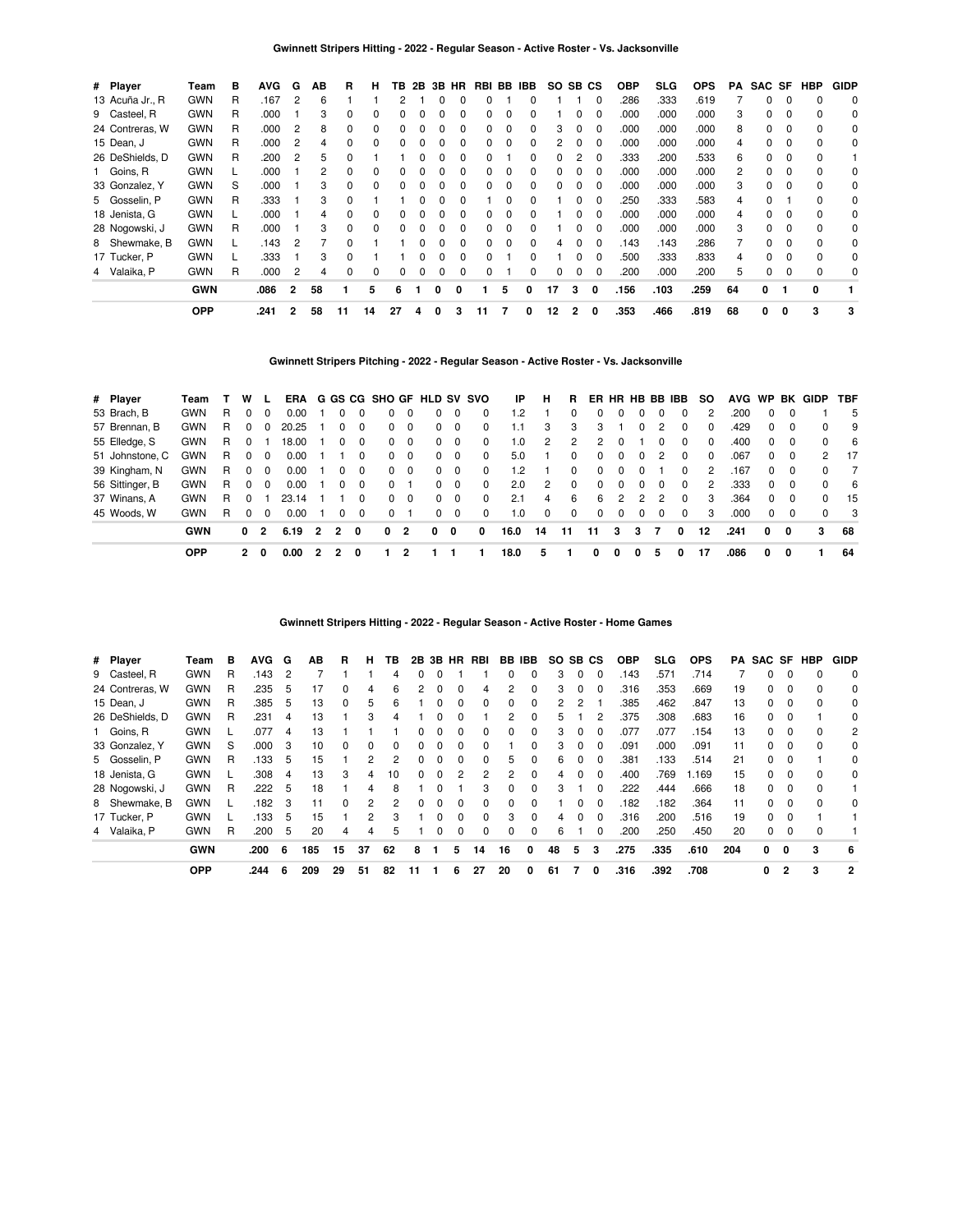| # Player        | Team       | в | <b>AVG</b> | G              | AВ | R            | н            | ΤВ | 2B           | 3B | HR. | RBI          | BB | IBB          | SO. | SB CS        |              | <b>OBP</b> | <b>SLG</b> | <b>OPS</b> | PA | SAC SF |          | HBP      | <b>GIDP</b> |
|-----------------|------------|---|------------|----------------|----|--------------|--------------|----|--------------|----|-----|--------------|----|--------------|-----|--------------|--------------|------------|------------|------------|----|--------|----------|----------|-------------|
| 13 Acuña Jr., R | <b>GWN</b> | R | .167       | $\overline{2}$ | 6  |              |              | 2  |              | 0  | 0   |              |    |              |     |              |              | .286       | .333       | .619       |    | 0      | $\Omega$ | $\Omega$ | 0           |
| 9 Casteel, R    | <b>GWN</b> | R | .000       |                | 3  | 0            |              |    |              |    | o   |              |    |              |     |              | $\Omega$     | .000       | .000       | .000       | 3  |        |          | $\Omega$ | 0           |
| 24 Contreras, W | <b>GWN</b> | R | .000       | 2              | 8  | 0            |              |    |              |    | 0   |              | 0  |              | 3   |              |              | .000       | .000       | .000       | 8  | 0      |          |          | 0           |
| 15 Dean, J      | <b>GWN</b> | R | .000       | 2              | 4  | 0            |              |    |              | 0  | 0   |              | 0  |              | 2   |              | $\Omega$     | .000       | .000       | .000       |    | 0      | 0        | 0        | 0           |
| 26 DeShields, D | <b>GWN</b> | R | .200       | 2              | 5  | <sup>0</sup> |              |    |              | 0  | 0   |              |    | 0            | 0   | 2            | $\Omega$     | .333       | .200       | .533       | 6  | 0      | $\Omega$ | $\Omega$ |             |
| 1 Goins, R      | <b>GWN</b> |   | .000       |                | 2  | <sup>0</sup> | <sup>0</sup> | 0  | O            | 0  | 0   | <sup>n</sup> | 0  | <sup>0</sup> | 0   | <sup>0</sup> | $\Omega$     | .000       | .000       | .000       | 2  | 0      | $\Omega$ | $\Omega$ | 0           |
| 33 Gonzalez, Y  | <b>GWN</b> | S | .000       |                | 3  | 0            |              |    |              |    | 0   |              | 0  |              |     |              |              | .000       | .000       | .000       | 3  | 0      |          | 0        | 0           |
| 5 Gosselin, P   | <b>GWN</b> | R | .333       |                | 3  | O            |              |    |              |    | 0   |              | ŋ  |              |     |              |              | .250       | .333       | .583       |    |        |          | 0        | 0           |
| 18 Jenista, G   | <b>GWN</b> |   | .000       |                | 4  | ŋ            | 0            |    |              |    | 0   |              | 0  |              |     |              | $\Omega$     | .000       | .000       | .000       |    | 0      |          |          | 0           |
| 28 Nogowski, J  | <b>GWN</b> | R | .000       |                | 3  | 0            | $\Omega$     | 0  |              | 0  | 0   |              | 0  |              |     | 0            | $\Omega$     | .000       | .000       | .000       | 3  | 0      | 0        | 0        | 0           |
| 8 Shewmake, B   | <b>GWN</b> |   | .143       | 2              |    | <sup>0</sup> |              |    | <sup>0</sup> | 0  | 0   | <sup>n</sup> | 0  | <sup>0</sup> | 4   | <sup>0</sup> | $\Omega$     | .143       | .143       | .286       |    | 0      | $\Omega$ | $\Omega$ | 0           |
| 17 Tucker, P    | <b>GWN</b> |   | .333       |                | 3  | 0            |              |    |              | 0  | 0   | U            |    |              |     |              | $\Omega$     | .500       | .333       | .833       | 4  | 0      |          | $\Omega$ | 0           |
| 4 Valaika, P    | <b>GWN</b> | R | .000       | 2              | 4  | 0            | 0            | 0  |              | 0  | 0   |              |    |              | 0   |              | $\Omega$     | .200       | .000       | .200       | 5  | 0      |          | $\Omega$ | 0           |
|                 | <b>GWN</b> |   | .086       | 2              | 58 |              | 5            | 6  |              | 0  | 0   |              | 5  | 0            | 17  | 3            | $\mathbf{0}$ | .156       | .103       | .259       | 64 | 0      |          | 0        |             |
|                 | <b>OPP</b> |   | .241       | 2              | 58 | 11           | 14           | 27 | 4            | 0  | з   | 11           |    | 0            | 12  | $\mathbf{2}$ | 0            | .353       | .466       | .819       | 68 | 0      | 0        | 3        | 3           |

**Gwinnett Stripers Pitching - 2022 - Regular Season - Active Roster - Vs. Jacksonville**

| # Player        | Team       |    | w              | .L       |       |                |                |          | ERA G GS CG SHO GF HLD SV SVO |                         |          |          |          | -IP  | н             | R.            |          |          |          |          | ER HR HB BB IBB | <b>SO</b> |      |          |          | AVG WP BK GIDP | TBF  |
|-----------------|------------|----|----------------|----------|-------|----------------|----------------|----------|-------------------------------|-------------------------|----------|----------|----------|------|---------------|---------------|----------|----------|----------|----------|-----------------|-----------|------|----------|----------|----------------|------|
| 53 Brach, B     | <b>GWN</b> | R. | 0              | 0        | 0.00  |                |                | $\Omega$ | 0                             |                         | $\Omega$ | $\Omega$ | 0        | 1.2  |               | <sup>0</sup>  | $\Omega$ | 0        | 0        |          |                 | 2         | .200 | 0        | $\Omega$ |                | 5    |
| 57 Brennan, B   | <b>GWN</b> | R. | $\Omega$       | $\Omega$ | 20.25 |                |                | $\Omega$ | 0                             | 0                       | $\Omega$ | 0        | $\Omega$ | 1.1  | З             | 3             | 3        |          | 0        | 2        | $\Omega$        | 0         | .429 | $\Omega$ | $\Omega$ | 0              | 9    |
| 55 Elledge, S   | GWN        | R  | $\Omega$       |          | 18.00 |                |                | $\Omega$ | $\Omega$                      | $\Omega$                | $\Omega$ | $\Omega$ | $\Omega$ | 1.0  | $\mathcal{P}$ | $\mathcal{P}$ | 2        | 0        |          | 0        | $\Omega$        | $\Omega$  | .400 | 0        | $\Omega$ | <sup>0</sup>   | -6   |
| 51 Johnstone, C | <b>GWN</b> | R  | $\Omega$       | $\Omega$ | 0.00  |                |                | $\Omega$ | $\Omega$                      | $\Omega$                | $\Omega$ | $\Omega$ | $\Omega$ | 5.0  |               | $\Omega$      | $\Omega$ | $\Omega$ | $\Omega$ | 2        | $\Omega$        | $\Omega$  | .067 | 0        | $\Omega$ | 2              | 17   |
| 39 Kingham, N   | GWN        | R. | $\Omega$       | 0        | 0.00  |                |                | $\Omega$ | $\mathbf{0}$                  | $\overline{\mathbf{0}}$ | $\Omega$ | $\Omega$ | $\Omega$ | 1.2  |               | <sup>0</sup>  | $\Omega$ | 0        | 0        |          | $\Omega$        | 2         | 167  | 0        | $\Omega$ | <sup>0</sup>   |      |
| 56 Sittinger, B | <b>GWN</b> | R. | 0              | $\Omega$ | 0.00  |                |                | $\Omega$ | 0                             |                         | 0        | $\Omega$ | $\Omega$ | 2.0  | 2             | $\Omega$      | $\Omega$ | 0        | 0        |          | 0               | 2         | .333 | 0        | $\Omega$ | 0              | -6   |
| 37 Winans, A    | <b>GWN</b> | R. | 0              |          | 23.14 |                |                | $\Omega$ | $\Omega$                      | $\Omega$                | $\Omega$ | $\Omega$ | $\Omega$ | 2.1  | 4             | 6             | 6        | 2        | 2        |          | $\Omega$        | 3         | .364 | $\Omega$ | $\Omega$ | <sup>0</sup>   | - 15 |
| 45 Woods, W     | GWN        | R  | $\Omega$       | $\Omega$ | 0.00  |                |                | $\Omega$ | 0                             |                         | $\Omega$ | $\Omega$ | $\Omega$ | 1.0  | $\Omega$      | $\Omega$      | $\Omega$ | $\Omega$ | $\Omega$ | $\Omega$ | $\Omega$        | 3         | .000 | $\Omega$ | $\Omega$ | <sup>0</sup>   | - 3  |
|                 | <b>GWN</b> |    | 0 <sub>2</sub> |          | 6.19  | $\overline{2}$ | $\overline{2}$ | 0        | 0                             | 2                       | 0        | 0        | 0        | 16.0 | 14            | 11            | 11       | 3        | 3        | 7        | $\Omega$        | 12        | .241 | $\Omega$ | 0        | 3              | 68   |
|                 | <b>OPP</b> |    | $\mathbf{2}$   | 0        | 0.00  | 2              |                |          |                               |                         |          |          |          | 18.0 | 5             |               | 0        | 0        | 0        | 5        | 0               | 17        | .086 | 0        | 0        |                | 64   |

**Gwinnett Stripers Hitting - 2022 - Regular Season - Active Roster - Home Games**

| # Player        | Team       | в | <b>AVG</b> | G   | ΑВ  | R            | н  | ΤВ       | 2B | 3B |          | HR RBI   |              | BB IBB       | SO SB CS |              |          | <b>OBP</b> | SLG. | <b>OPS</b> | PA  | SAC SF |                | HBP          | <b>GIDP</b>    |
|-----------------|------------|---|------------|-----|-----|--------------|----|----------|----|----|----------|----------|--------------|--------------|----------|--------------|----------|------------|------|------------|-----|--------|----------------|--------------|----------------|
| 9 Casteel, R    | <b>GWN</b> | R | .143       | 2   |     |              |    | 4        |    |    |          |          |              | 0            | 3        | 0            | 0        | .143       | .571 | .714       |     | 0      | 0              |              | $\Omega$       |
| 24 Contreras, W | <b>GWN</b> | R | .235       | 5   | 17  |              | 4  | 6        |    |    |          | 4        |              | 0            | з        | 0            | 0        | .316       | .353 | .669       | 19  | 0      |                |              | 0              |
| 15 Dean, J      | <b>GWN</b> | R | .385       | 5   | 13  | 0            | 5  | 6        |    |    | 0        | 0        |              | 0            | 2        |              |          | .385       | .462 | .847       | 13  | 0      | 0              |              | 0              |
| 26 DeShields, D | <b>GWN</b> | R | .231       | 4   | 13  |              | 3  | 4        |    |    |          |          |              | 0            | 5        |              | 2        | .375       | .308 | .683       | 16  | 0      |                |              | 0              |
| 1 Goins, R      | <b>GWN</b> |   | .077       | 4   | 13  |              |    |          |    |    | 0        | 0        |              | 0            | 3        | 0            | 0        | .077       | .077 | .154       | 13  | 0      |                |              | 2              |
| 33 Gonzalez, Y  | <b>GWN</b> | S | .000       | 3   | 10  | $\Omega$     | 0  | $\Omega$ | 0  |    | 0        | 0        |              | 0            | 3        | 0            | $\Omega$ | .091       | .000 | .091       | 11  | 0      | 0              | <sup>n</sup> | $\Omega$       |
| 5 Gosselin, P   | <b>GWN</b> | R | .133       | 5   | 15  |              | 2  | 2        |    |    |          |          | 5.           | 0            | 6        | <sup>0</sup> | 0        | .381       | .133 | .514       | 21  | 0      |                |              | 0              |
| 18 Jenista, G   | <b>GWN</b> |   | .308       | 4   | 13  | 3            | 4  | 10       | 0  | 0  | 2        | 2        | 2            | 0            | 4        | 0            | $\Omega$ | .400       | .769 | 1.169      | 15  | 0      | 0              |              | $\Omega$       |
| 28 Nogowski, J  | <b>GWN</b> | R | .222       | 5   | 18  |              | 4  | 8        |    |    |          | з        | <sup>n</sup> | 0            | 3        |              | $\Omega$ | 222        | .444 | .666       | 18  | 0      | $\Omega$       |              |                |
| 8 Shewmake, B   | <b>GWN</b> |   | .182       | 3   | 11  | <sup>0</sup> | 2  | 2        | 0  |    | 0        | 0        |              | <sup>0</sup> |          | O            | 0        | .182       | .182 | .364       | 11  | 0      |                |              | $\Omega$       |
| 17 Tucker, P    | <b>GWN</b> |   | .133       | 5   | 15  |              | 2  | 3        |    |    | $\Omega$ | $\Omega$ | 3            | 0            | 4        | 0            | $\Omega$ | .316       | .200 | .516       | 19  | 0      | $\Omega$       |              |                |
| 4 Valaika, P    | <b>GWN</b> | R | .200       | 5   | 20  | 4            | 4  | 5        |    | 0  | 0        | $\Omega$ | $\Omega$     | 0            | 6        |              | $\Omega$ | .200       | .250 | .450       | 20  | 0      |                |              |                |
|                 | <b>GWN</b> |   | .200       | - 6 | 185 | 15           | 37 | 62       | 8  |    | 5        | 14       | 16           | 0            | 48       | 5            | 3        | .275       | .335 | .610       | 204 | 0      | o              | 3            | 6              |
|                 | <b>OPP</b> |   | .244       | 6   | 209 | 29           | 51 | 82       | 11 |    | 6        | 27       | 20           | 0            | 61       | 7            | 0        | .316       | .392 | .708       |     | 0      | $\overline{2}$ | 3            | $\overline{2}$ |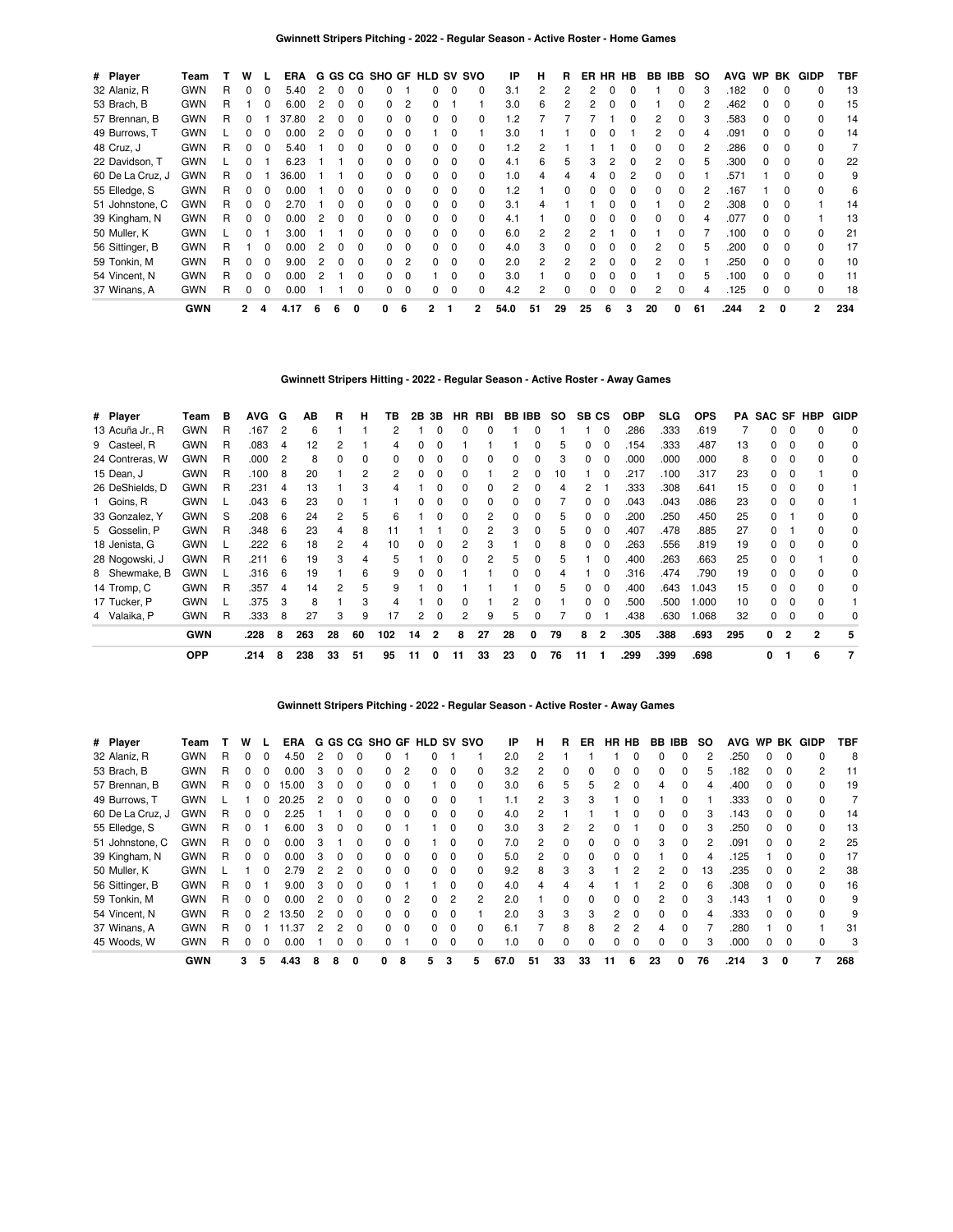| # Player         | Team       |    | w            |          | ERA   |   |              |              | G GS CG SHO GF HLD SV SVO |                |   |          |   | IP      | н  | R            |    |   | ER HR HB | BB IBB |   | SO. | <b>AVG</b> | <b>WP</b>    | BK           | GIDP           | TBF |
|------------------|------------|----|--------------|----------|-------|---|--------------|--------------|---------------------------|----------------|---|----------|---|---------|----|--------------|----|---|----------|--------|---|-----|------------|--------------|--------------|----------------|-----|
| 32 Alaniz, R     | <b>GWN</b> | R  | 0            | 0        | 5.40  | 2 | 0            |              |                           |                |   | 0        |   | 3.1     |    | 2            | 2  | O | O        |        |   |     | .182       | <sup>0</sup> | 0            |                | 13  |
| 53 Brach, B      | <b>GWN</b> | R  |              |          | 6.00  |   |              | 0            |                           | $\overline{2}$ |   |          |   | 3.0     | 6  | 2            |    | O | O        |        |   |     | .462       |              | <sup>0</sup> |                | 15  |
| 57 Brennan, B    | <b>GWN</b> | R  | 0            |          | 37.80 |   |              |              |                           | $\Omega$       |   | 0        |   | .2      |    |              |    |   |          |        |   |     | .583       |              | <sup>0</sup> |                | 14  |
| 49 Burrows, T    | <b>GWN</b> |    | <sup>0</sup> |          | 0.00  |   |              |              |                           | $\Omega$       |   |          |   | 3.0     |    |              |    |   |          |        |   |     | .091       |              |              |                | 14  |
| 48 Cruz, J       | <b>GWN</b> | R  | 0            | 0        | 5.40  |   |              |              |                           | $\Omega$       |   | 0        |   | $\cdot$ |    |              |    |   |          |        |   |     | .286       |              |              |                |     |
| 22 Davidson, T   | <b>GWN</b> |    | 0            |          | 6.23  |   |              |              |                           | $\mathbf 0$    |   | 0        |   | 4.1     | 6. | 5            | 3  |   |          |        |   |     | .300       |              |              | 0              | 22  |
| 60 De La Cruz, J | <b>GWN</b> | R. | 0            |          | 36.00 |   |              |              |                           | $\Omega$       | 0 | 0        |   | 1.0     |    |              |    |   |          |        |   |     | .571       |              | 0            |                | 9   |
| 55 Elledge, S    | <b>GWN</b> | R  | 0            | $\Omega$ | 0.00  |   | 0            | 0            | <sup>o</sup>              | $\Omega$       | 0 | $\Omega$ |   | $\cdot$ |    | $\Omega$     |    |   |          |        |   |     | .167       |              | $\Omega$     | <sup>n</sup>   | 6   |
| 51 Johnstone, C  | <b>GWN</b> | R  | 0            | $\Omega$ | 2.70  |   | <sup>0</sup> | O            | 0                         | $\Omega$       | 0 | 0        |   | 3.1     | Δ  |              |    |   |          |        |   |     | .308       | <sup>0</sup> | <sup>0</sup> |                | 14  |
| 39 Kingham, N    | <b>GWN</b> | R  | 0            | 0        | 0.00  | 2 | <sup>0</sup> | <sup>0</sup> | <sup>n</sup>              | $\Omega$       |   | $\Omega$ |   | 4.1     |    | <sup>0</sup> |    |   | ŋ        |        |   |     | .077       | <sup>n</sup> | <sup>0</sup> |                | 13  |
| 50 Muller, K     | <b>GWN</b> |    |              |          | 3.00  |   |              |              |                           | $\Omega$       |   | $\Omega$ |   | 6.0     | 2  | 2            |    |   |          |        |   |     | .100       |              |              |                | 21  |
| 56 Sittinger, B  | <b>GWN</b> | R  |              |          | 0.00  |   |              |              |                           | $\Omega$       |   | 0        |   | 4.0     | 3  | <sup>0</sup> |    |   |          |        |   |     | .200       |              |              |                | 17  |
| 59 Tonkin, M     | <b>GWN</b> | R  | 0            |          | 9.00  |   |              |              |                           | $\overline{2}$ |   | 0        |   | 2.0     |    | 2            |    |   |          |        |   |     | .250       |              |              |                | 10  |
| 54 Vincent, N    | <b>GWN</b> | R  | 0            | 0        | 0.00  |   |              |              |                           | 0              |   | $\Omega$ |   | 3.0     |    |              |    |   |          |        |   |     | .100       |              | <sup>0</sup> | 0              | 11  |
| 37 Winans, A     | <b>GWN</b> | R  | 0            | $\Omega$ | 0.00  |   |              |              | O.                        | $\Omega$       | 0 | 0        |   | 4.2     | 2  | 0            |    |   |          | 2      |   |     | .125       |              | $\Omega$     | <sup>0</sup>   | 18  |
|                  | <b>GWN</b> |    | $\mathbf{2}$ | 4        | 4.17  | 6 |              | 0            | o                         | 6              | 2 |          | 2 | 54.0    | 51 | 29           | 25 | 6 | 3        | 20     | 0 | 61  | .244       | $\mathbf{2}$ | 0            | $\overline{2}$ | 234 |

### **Gwinnett Stripers Hitting - 2022 - Regular Season - Active Roster - Away Games**

| # Player        | Team       | в | <b>AVG</b> | G              | ΑВ  | R  | н  | ΤВ           | 2В | 3В             | HR.          | RBI          |    | <b>BB IBB</b> | SO. | SB CS |                | <b>OBP</b> | <b>SLG</b> | <b>OPS</b> | PA  | <b>SAC SF HBP</b> |                |              | <b>GIDP</b> |
|-----------------|------------|---|------------|----------------|-----|----|----|--------------|----|----------------|--------------|--------------|----|---------------|-----|-------|----------------|------------|------------|------------|-----|-------------------|----------------|--------------|-------------|
| 13 Acuña Jr., R | <b>GWN</b> | R | .167       | $\overline{2}$ | 6   |    |    | 2            |    | $\Omega$       | 0            | <sup>0</sup> |    |               |     |       | 0              | .286       | .333       | .619       |     | 0                 | $\Omega$       |              | 0           |
| 9 Casteel, R    | <b>GWN</b> | R | .083       | 4              | 12  |    |    | 4            | 0  |                |              |              |    |               |     |       |                | 154        | .333       | .487       | 13  | 0                 | 0              |              | 0           |
| 24 Contreras, W | <b>GWN</b> | R | .000       | $\overline{2}$ | 8   |    | 0  | <sup>0</sup> | 0  |                | 0            |              | 0  |               |     | 0     |                | .000       | .000       | .000       | 8   | 0                 |                |              | 0           |
| 15 Dean, J      | <b>GWN</b> | R | .100       | 8              | 20  |    | 2  | 2            | 0  |                | 0            |              |    |               | 10  |       |                | .217       | .100       | .317       | 23  | 0                 |                |              | 0           |
| 26 DeShields, D | <b>GWN</b> | R | .231       | 4              | 13  |    | 3  | 4            |    |                |              |              | 2  |               |     |       |                | .333       | .308       | .641       | 15  |                   |                |              |             |
| 1 Goins, R      | <b>GWN</b> |   | .043       | 6              | 23  |    |    |              |    |                | 0            |              |    |               |     |       |                | .043       | .043       | .086       | 23  |                   |                |              |             |
| 33 Gonzalez, Y  | <b>GWN</b> | S | .208       | -6             | 24  | 2  | 5  | 6            |    |                | 0            |              | 0  |               |     |       |                | .200       | .250       | .450       | 25  |                   |                |              | 0           |
| 5 Gosselin, P   | <b>GWN</b> | R | .348       | -6             | 23  | 4  | 8  | 11           |    |                | 0            |              | 3  |               | h.  | 0     | 0              | .407       | .478       | .885       | 27  |                   |                |              | 0           |
| 18 Jenista, G   | <b>GWN</b> |   | .222       | 6              | 18  | 2  | 4  | 10           | 0  |                | 2            | з            |    |               | 8   | 0     | 0              | .263       | .556       | .819       | 19  | 0                 | 0              |              | 0           |
| 28 Nogowski, J  | <b>GWN</b> | R | .211       | 6              | 19  | 3  | 4  | 5            |    |                | <sup>0</sup> |              | 5  | $\Omega$      | 5   |       | <sup>0</sup>   | .400       | .263       | .663       | 25  | <sup>0</sup>      | $\Omega$       |              | $\Omega$    |
| 8 Shewmake, B   | <b>GWN</b> |   | .316       | 6              | 19  |    | 6  | 9            | 0  |                |              |              | 0  |               |     |       | O              | .316       | .474       | .790       | 19  | O.                | $\Omega$       |              | $\Omega$    |
| 14 Tromp, C     | <b>GWN</b> | R | .357       | 4              | 14  | 2  | 5  | 9            |    |                |              |              |    |               | 5   | 0     | $\Omega$       | .400       | .643       | .043       | 15  | O.                | $\Omega$       |              | $\Omega$    |
| 17 Tucker, P    | <b>GWN</b> |   | .375       | -3             | 8   |    | 3  | 4            |    |                |              |              | 2  |               |     |       |                | .500       | .500       | .000       | 10  |                   |                |              |             |
| 4 Valaika, P    | <b>GWN</b> | R | .333       | 8              | 27  | 3  | 9  | 17           | 2  | $\Omega$       | 2            | 9            | 5  |               |     | 0     |                | .438       | .630       | 068        | 32  | 0                 |                |              | 0           |
|                 | <b>GWN</b> |   | .228       | 8              | 263 | 28 | 60 | 102          | 14 | $\overline{2}$ | 8            | 27           | 28 | 0             | 79  | 8     | $\overline{2}$ | .305       | .388       | .693       | 295 | 0                 | $\overline{2}$ | $\mathbf{z}$ | 5           |
|                 | <b>OPP</b> |   | .214       | 8              | 238 | 33 | 51 | 95           | 11 | 0              | 11           | 33           | 23 | 0             | 76  | 11    |                | .299       | .399       | .698       |     | 0                 |                | 6            | 7           |

**Gwinnett Stripers Pitching - 2022 - Regular Season - Active Roster - Away Games**

| # Player         | Team       |   | w        |   | <b>ERA</b> |   |              |              | G GS CG SHO GF HLD SV SVO |                |              |              |              | ΙP   | н              | R            | ER |    | HR HB        | BB | IBB.         | SO. | <b>AVG</b> | <b>WP</b> |          | <b>BK GIDP</b> | TBF |
|------------------|------------|---|----------|---|------------|---|--------------|--------------|---------------------------|----------------|--------------|--------------|--------------|------|----------------|--------------|----|----|--------------|----|--------------|-----|------------|-----------|----------|----------------|-----|
| 32 Alaniz, R     | <b>GWN</b> | R | 0        | 0 | 4.50       | 2 |              |              |                           |                |              |              |              | 2.0  | 2              |              |    |    | 0            | n  | <sup>0</sup> | 2   | .250       | 0         |          | <sup>0</sup>   | 8   |
| 53 Brach, B      | <b>GWN</b> | R | 0        | 0 | 0.00       | 3 |              | 0            |                           | $\overline{c}$ |              |              |              | 3.2  |                |              |    |    | 0            |    |              | 5   | .182       |           |          |                | 11  |
| 57 Brennan, B    | <b>GWN</b> | R | $\Omega$ | 0 | 15.00      | 3 | <sup>0</sup> | <sup>0</sup> | 0                         | $\Omega$       |              | <sup>0</sup> |              | 3.0  | 6              | 5            | 5  | 2  | 0            | 4  | $\Omega$     | 4   | .400       | 0         |          | ŋ              | 19  |
| 49 Burrows, T    | <b>GWN</b> |   |          |   | 20.25      | 2 |              | 0            |                           | $\Omega$       | O.           | 0            |              |      | $\overline{2}$ | 3            | з  |    | 0            |    | 0            |     | .333       | 0         | - 0      |                |     |
| 60 De La Cruz, J | <b>GWN</b> | R | $\Omega$ | 0 | 2.25       |   |              | 0            | 0                         | $\Omega$       | O.           | 0            |              | 4.0  |                |              |    |    | ŋ            |    | $\Omega$     | 3   | .143       | 0         |          |                | 14  |
| 55 Elledge, S    | <b>GWN</b> | R | 0        |   | 6.00       | 3 | <sup>0</sup> | 0            |                           |                |              | $\Omega$     | 0            | 3.0  | 3              | 2            |    |    |              | O. | 0            | 3   | .250       | 0         | - 0      | 0              | 13  |
| 51 Johnstone, C  | <b>GWN</b> | R | 0        | 0 | 0.00       | 3 |              | 0            | 0                         | $\Omega$       |              | 0            |              | 7.0  | 2              | 0            | U  | 0  | 0            | 3  | $\Omega$     | 2   | .091       | O.        | - 0      | 2              | 25  |
| 39 Kingham, N    | <b>GWN</b> | R | $\Omega$ | 0 | 0.00       | 3 |              | <sup>0</sup> | 0                         | 0              | O.           | 0            |              | 5.0  | $\mathcal{P}$  | $\Omega$     |    |    | 0            |    | <sup>0</sup> | 4   | .125       |           |          |                | 17  |
| 50 Muller, K     | <b>GWN</b> |   |          | 0 | 2.79       | 2 | 2            | 0            | 0                         | $\Omega$       | <sup>o</sup> | 0            |              | 9.2  | 8              | 3            | 3  |    | 2            | 2  | <sup>0</sup> | 13  | .235       | 0         | - 0      | 2              | 38  |
| 56 Sittinger, B  | <b>GWN</b> | R | $\Omega$ |   | 9.00       | 3 | 0            | 0            |                           |                |              | $\Omega$     | <sup>0</sup> | 4.0  | 4              |              |    |    |              | 2  | $\Omega$     | 6   | .308       | 0         | - 0      |                | 16  |
| 59 Tonkin, M     | <b>GWN</b> | R | 0        | 0 | 0.00       |   |              | <sup>0</sup> |                           | $\overline{c}$ | <sup>o</sup> |              |              | 2.0  |                | <sup>0</sup> |    |    | <sup>0</sup> | 2  | $\Omega$     | 3   | .143       |           |          |                | 9   |
| 54 Vincent, N    | <b>GWN</b> | R | 0        | 2 | 13.50      | 2 | <sup>0</sup> | 0            | <sup>n</sup>              | $\Omega$       | <sup>o</sup> | 0            |              | 2.0  | 3              | 3            | 3  | 2  | $\Omega$     | 0  | $\Omega$     | 4   | .333       | 0         | $\Omega$ | ŋ              | 9   |
| 37 Winans, A     | <b>GWN</b> | R | ŋ        |   | l .37      | 2 | 2            | $\Omega$     | 0                         | $\Omega$       | 0            | $\Omega$     | <sup>0</sup> | 6.1  |                | 8            | 8  | 2  | 2            | Δ  | $\Omega$     |     | 280        |           | $\Omega$ |                | 31  |
| 45 Woods, W      | <b>GWN</b> | R | 0        | 0 | 0.00       |   |              | 0            |                           |                | O.           | 0            |              | 1.0  | <sup>0</sup>   | O            |    |    | 0            | 0  | <sup>0</sup> | 3   | .000       |           |          |                | 3   |
|                  | <b>GWN</b> |   | 3        | 5 | 4.43       |   |              |              | 0                         | 8              | 5            | 3            | 5            | 67.0 | 51             | 33           | 33 | 11 | 6            | 23 | 0            | 76  | .214       | 3         | 0        |                | 268 |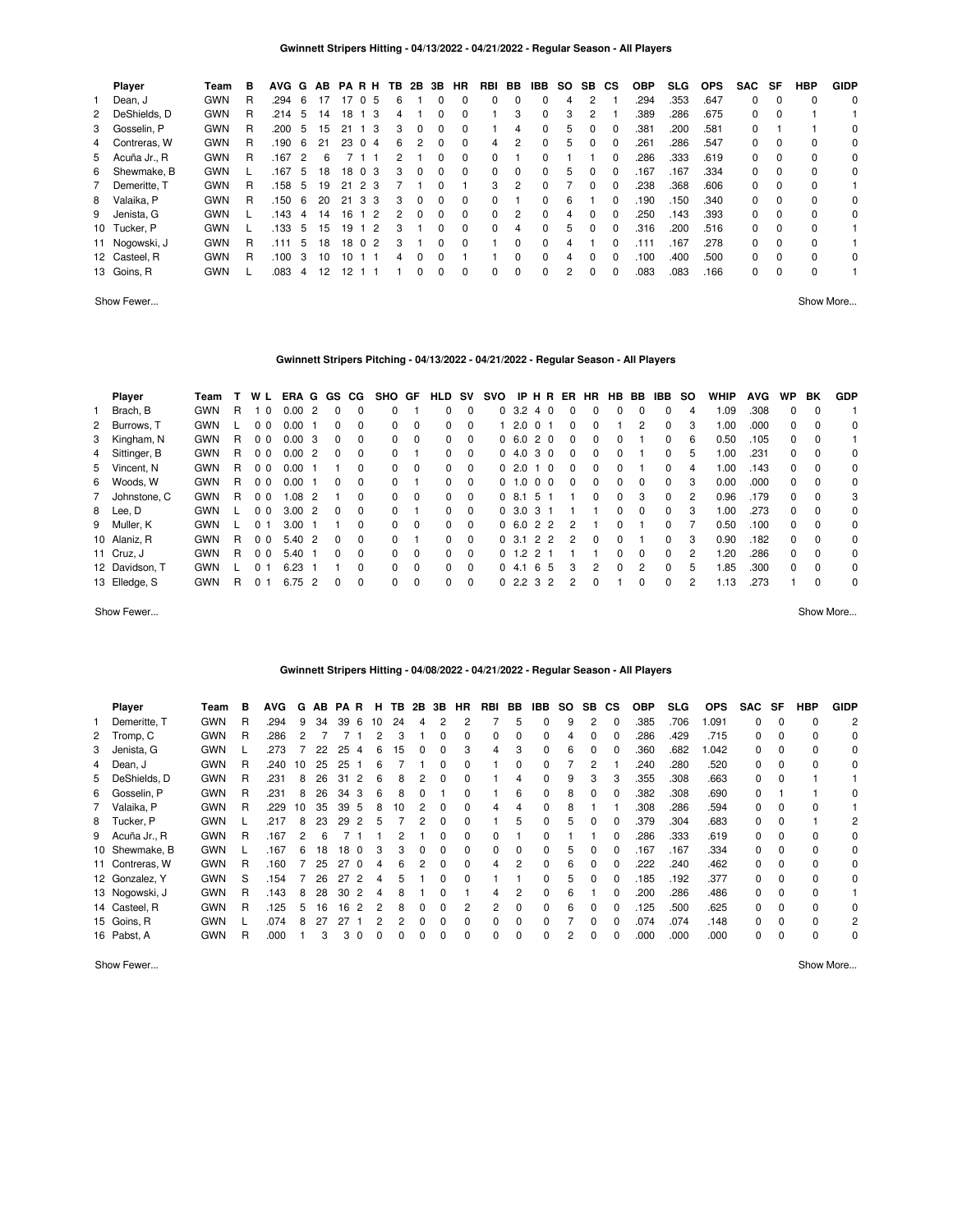|   | Player         | Team       | в | <b>AVG</b> | G              | AB |      | <b>PARH</b>    | ΤВ | 2B           | 3B       | HR           | RBI      | BB       | IBB | SO. | SB.           | СS           | <b>OBP</b> | <b>SLG</b> | <b>OPS</b> | <b>SAC</b> | SF       | HBP      | <b>GIDP</b> |
|---|----------------|------------|---|------------|----------------|----|------|----------------|----|--------------|----------|--------------|----------|----------|-----|-----|---------------|--------------|------------|------------|------------|------------|----------|----------|-------------|
|   | Dean, J        | <b>GWN</b> | R | .294       | -6             | 17 | 17   | $\Omega$<br>-5 | 6  |              |          | 0            | 0        | 0        |     | 4   | $\mathcal{P}$ |              | .294       | .353       | .647       | 0          | $\Omega$ | $\Omega$ | 0           |
|   | 2 DeShields, D | <b>GWN</b> | R | .214       | 5              | 14 | 18   | 3              | 4  |              |          |              |          | 3        | 0   | 3   | 2             |              | .389       | .286       | .675       | $\Omega$   | $\Omega$ |          |             |
|   | 3 Gosselin, P  | <b>GWN</b> | R | .200       | 5              | 15 | 21   | -3             | 3  | 0            |          | 0            |          | 4        | 0   | 5   | 0             | 0            | .381       | .200       | .581       | $\Omega$   |          |          | 0           |
|   | 4 Contreras, W | <b>GWN</b> | R | .190       | 6              | 21 | 23   | $\Omega$<br>-4 | 6  | 2            | $\Omega$ | $\Omega$     | 4        | 2        | 0   | 5   | $\Omega$      | 0            | .261       | .286       | .547       | 0          | $\Omega$ | 0        | 0           |
|   | 5 Acuña Jr., R | <b>GWN</b> | R | .167       | $\overline{2}$ | 6  |      |                |    |              |          | $\Omega$     | $\Omega$ |          |     |     |               | 0            | .286       | .333       | .619       | 0          | $\Omega$ | $\Omega$ | 0           |
|   | 6 Shewmake, B  | <b>GWN</b> |   | .167       | 5              | 18 | 18 0 | -3             | 3  | 0            | $\Omega$ | $\Omega$     | $\Omega$ | $\Omega$ | 0   | 5   | 0             | 0            | .167       | .167       | .334       | $\Omega$   | $\Omega$ | $\Omega$ | 0           |
|   | Demeritte. T   | <b>GWN</b> | R | .158       | -5             | 19 | 21   | 2 3            |    |              |          |              | 3        | 2        |     |     | $\Omega$      | 0            | .238       | .368       | .606       | 0          | $\Omega$ | 0        |             |
| 8 | Valaika, P     | <b>GWN</b> | R | .150       | 6              | 20 | 21   | 3<br>-3        | 3  | 0            | $\Omega$ | $\Omega$     | 0        |          | 0   | 6   |               | 0            | .190       | .150       | .340       | 0          | $\Omega$ | $\Omega$ | 0           |
|   | 9 Jenista, G   | <b>GWN</b> |   | .143       | 4              | 14 | 16   | $\overline{2}$ | 2  | <sup>0</sup> | $\Omega$ | <sup>0</sup> | $\Omega$ | 2        | 0   | 4   | $\Omega$      | <sup>0</sup> | .250       | .143       | .393       | $\Omega$   | $\Omega$ | $\Omega$ | $\Omega$    |
|   | 10 Tucker, P   | <b>GWN</b> |   | .133       | 5              | 15 | 19   | -2             | 3  |              |          | <sup>0</sup> | $\Omega$ | 4        | 0   | 5   | 0             | <sup>0</sup> | .316       | .200       | .516       | $\Omega$   | $\Omega$ | $\Omega$ |             |
|   | 11 Nogowski, J | <b>GWN</b> | R | .111       | 5              | 18 | 18 0 | $\overline{2}$ | 3  |              | 0        | 0            |          | U        | 0   | 4   |               |              | .111       | 167        | .278       | 0          | $\Omega$ | $\Omega$ |             |
|   | 12 Casteel, R  | <b>GWN</b> | R | .100       | 3              | 10 | 10   |                | 4  | 0            |          |              |          | 0        | 0   | 4   | $\Omega$      | <sup>0</sup> | .100       | .400       | .500       | 0          | $\Omega$ | $\Omega$ | $\Omega$    |
|   | 13 Goins, R    | <b>GWN</b> |   | .083       | 4              | 12 | 2    |                |    | 0            |          | 0            | 0        | 0        | 0   | 2   | $\Omega$      | 0            | .083       | .083       | .166       | 0          |          | $\Omega$ |             |

Show Fewer... Show More...

# **Gwinnett Stripers Pitching - 04/13/2022 - 04/21/2022 - Regular Season - All Players**

| Player         | Team       |    | W L            | ERA G GS CG |                |              |          | SHO GF       |          | HLD      | <b>SV</b> | svo            |               | IPHR           |     | ER            | <b>HR</b>    | HB.          | BB       | IBB          | so | WHIP | <b>AVG</b> | <b>WP</b> | BK       | <b>GDP</b> |
|----------------|------------|----|----------------|-------------|----------------|--------------|----------|--------------|----------|----------|-----------|----------------|---------------|----------------|-----|---------------|--------------|--------------|----------|--------------|----|------|------------|-----------|----------|------------|
| 1 Brach, B     | <b>GWN</b> | R. | $\Omega$       | 0.00        | 2              | 0            |          | 0            |          | 0        | $\Omega$  |                | 0, 3.2        | 40             |     | $\Omega$      | 0            | 0            | 0        | 0            | 4  | 1.09 | .308       | $\Omega$  | $\Omega$ |            |
| 2 Burrows, T   | <b>GWN</b> |    | 0 <sub>0</sub> | 0.00        |                | 0            | 0        | 0            | $\Omega$ | $\Omega$ | $\Omega$  |                | 2.0           | በ 1            |     | $\Omega$      | 0            |              | 2        | 0            | 3  | 1.00 | .000       | $\Omega$  | $\Omega$ | 0          |
| 3 Kingham, N   | <b>GWN</b> | R  | 0 <sub>0</sub> | 0.00        | -3             | $\Omega$     | 0        | 0            | $\Omega$ | $\Omega$ | $\Omega$  |                | 0, 6.0        | 20             |     | $\Omega$      | 0            | <sup>0</sup> |          |              | 6  | 0.50 | .105       | $\Omega$  | $\Omega$ |            |
| 4 Sittinger, B | <b>GWN</b> | R. | 0 <sub>0</sub> | 0.002       |                | $\Omega$     | 0        | 0            |          | $\Omega$ | $\Omega$  |                | 04.0          | 30             |     | $\Omega$      | 0            | 0            |          | 0            | 5  | 1.00 | .231       | $\Omega$  | $\Omega$ | $\Omega$   |
| 5 Vincent, N   | <b>GWN</b> | R. | 0 <sub>0</sub> | 0.00        |                |              | 0        | 0            | $\Omega$ | $\Omega$ | $\Omega$  |                | 02.0          |                | . 0 | 0             | 0            | 0            |          |              | 4  | 1.00 | .143       | $\Omega$  | $\Omega$ | $\Omega$   |
| 6 Woods, W     | <b>GWN</b> | R  | 0 <sub>0</sub> | 0.00        |                | 0            | 0        | 0            |          | $\Omega$ | $\Omega$  | 0 <sub>1</sub> | $\Omega$      | 0 <sub>0</sub> |     | $\Omega$      | 0            | $\Omega$     | 0        | 0            | 3  | 0.00 | .000       | $\Omega$  | $\Omega$ | $\Omega$   |
| 7 Johnstone, C | <b>GWN</b> | R  | 0 <sub>0</sub> | 1.08        | $\overline{2}$ |              | 0        | 0            | $\Omega$ | $\Omega$ | $\Omega$  |                | 0.8151        |                |     |               | <sup>0</sup> | <sup>0</sup> | 3        | $\Omega$     | 2  | 0.96 | .179       | $\Omega$  | $\Omega$ | 3          |
| 8 Lee, D       | <b>GWN</b> |    | 0 <sub>0</sub> | 3.00        | $\overline{2}$ | $\Omega$     | 0        | 0            |          | $\Omega$ | $\Omega$  |                | 0, 3.0        | 3 1            |     |               |              | 0            | $\Omega$ | $\Omega$     | 3  | 1.00 | .273       | $\Omega$  | $\Omega$ | $\Omega$   |
| 9 Muller, K    | <b>GWN</b> |    | <sup>0</sup>   | 3.00        |                |              | $\Omega$ | <sup>0</sup> | $\Omega$ | $\Omega$ | $\Omega$  |                | 0, 6.0        | 22             |     | 2             |              | <sup>0</sup> |          | <sup>0</sup> |    | 0.50 | .100       | $\Omega$  | $\Omega$ | $\Omega$   |
| 10 Alaniz, R   | <b>GWN</b> | R  | 0 <sub>0</sub> | 5.40        | $\overline{2}$ | 0            | 0        | 0            |          | $\Omega$ | $\Omega$  |                | 0, 3.1        | 22             |     | $\mathcal{P}$ | 0            | 0            |          | 0            | 3  | 0.90 | .182       | $\Omega$  | $\Omega$ | $\Omega$   |
| 11 Cruz, J     | <b>GWN</b> | R. | 0 <sub>0</sub> | 5.40        |                | <sup>0</sup> | 0        | 0            | $\Omega$ | $\Omega$ | $\Omega$  |                | $0 \t1.2 \t2$ |                |     |               |              | <sup>0</sup> | 0        | 0            | 2  | 1.20 | .286       | $\Omega$  | $\Omega$ | $\Omega$   |
| 12 Davidson, T | <b>GWN</b> |    | <sup>o</sup>   | 6.23        |                |              | $\Omega$ | 0            | $\Omega$ | $\Omega$ | $\Omega$  |                | 04.1          | - 6            | - 5 | 3             | 2            | $\Omega$     | 2        | <sup>0</sup> | 5  | 1.85 | .300       | $\Omega$  | $\Omega$ | $\Omega$   |
| 13 Elledge, S  | <b>GWN</b> | R  | 0              | 6.75        | $\overline{2}$ | <sup>0</sup> | $\Omega$ | 0            | $\Omega$ | $\Omega$ | $\Omega$  |                | 0, 2, 2, 3, 2 |                |     |               | ŋ            |              | 0        | 0            | 2  | 1.13 | .273       |           | $\Omega$ | $\Omega$   |

Show Fewer... Show More...

#### **Gwinnett Stripers Hitting - 04/08/2022 - 04/21/2022 - Regular Season - All Players**

| Player          | Team       | в | <b>AVG</b> | G  | AB | <b>PAR</b> | H             | TB. | 2B       | 3B           | HR           | RBI          | BB           | IBB.         | SO. | SB. | <b>CS</b>    | <b>OBP</b> | <b>SLG</b> | <b>OPS</b> | <b>SAC</b> | SF           | HBP      | <b>GIDP</b>    |
|-----------------|------------|---|------------|----|----|------------|---------------|-----|----------|--------------|--------------|--------------|--------------|--------------|-----|-----|--------------|------------|------------|------------|------------|--------------|----------|----------------|
| Demeritte. T    | <b>GWN</b> | R | .294       | 9  | 34 | 39         | 6<br>10       | 24  | 4        |              |              |              | 5            | 0            | 9   | 2   | $\Omega$     | .385       | .706       | 1.091      | 0          | 0            | 0        | $\overline{2}$ |
| 2 Tromp, C      | <b>GWN</b> | R | .286       |    |    |            | 2             | З   |          | 0            | 0            | 0            | 0            | 0            |     |     |              | .286       | .429       | .715       | 0          | 0            | $\Omega$ | 0              |
| 3 Jenista, G    | <b>GWN</b> |   | .273       |    | 22 | 25         | 6<br>4        | 15  |          |              | 3            | 4            | 3            | 0            | 6   |     |              | .360       | .682       | 1.042      | 0          | 0            | $\Omega$ | 0              |
| 4 Dean, J       | <b>GWN</b> | R | .240       | 10 | 25 | 25         | 6             |     |          | <sup>0</sup> | <sup>0</sup> |              | O            | O            |     |     |              | .240       | .280       | .520       | 0          | <sup>0</sup> | $\Omega$ | $\Omega$       |
| 5 DeShields, D  | <b>GWN</b> | R | .231       | 8  | 26 | 31         | 6             | 8   |          |              |              |              | 4            | 0            | 9   | з   | 3            | .355       | .308       | .663       | 0          |              |          |                |
| 6 Gosselin, P   | <b>GWN</b> | R | .231       | 8  | 26 | 34         | 3<br>6        | 8   |          |              | O            |              | 6            | 0            | 8   |     | 0            | .382       | .308       | .690       | 0          |              |          | 0              |
| 7 Valaika, P    | <b>GWN</b> | R | .229       | 10 | 35 | 39         | 8<br>5        | 10  |          |              | <sup>0</sup> | 4            | 4            | 0            | 8   |     |              | .308       | .286       | .594       | 0          | $\Omega$     | 0        |                |
| 8 Tucker, P     | <b>GWN</b> |   | .217       | 8  | 23 | 29         | 2<br>5        |     | 2        | <sup>0</sup> | <sup>0</sup> |              | 5            | 0            | 5   |     | <sup>0</sup> | .379       | .304       | .683       | 0          | $\Omega$     |          | 2              |
| 9 Acuña Jr., R  | <b>GWN</b> | R | .167       |    | 6  |            |               | 2   |          | <sup>0</sup> | <sup>0</sup> | <sup>0</sup> |              | 0            |     |     | <sup>0</sup> | .286       | .333       | .619       | 0          | $\Omega$     | $\Omega$ | $\Omega$       |
| 10 Shewmake, B  | <b>GWN</b> |   | .167       | 6  | 18 | 18         | 3<br>$\Omega$ | 3   | $\Omega$ | <sup>0</sup> | $\Omega$     | 0            | $\Omega$     | <sup>0</sup> | 5   |     |              | .167       | .167       | .334       | 0          | $\Omega$     | 0        | 0              |
| 11 Contreras, W | <b>GWN</b> | R | .160       |    | 25 | 27         | $\Omega$<br>4 | 6   | っ        |              | <sup>0</sup> | 4            | 2            | 0            | 6   |     |              | .222       | .240       | .462       | 0          | 0            | $\Omega$ | $\Omega$       |
| 12 Gonzalez, Y  | <b>GWN</b> | S | .154       |    | 26 | 27         |               |     |          | U            |              |              |              | 0            |     |     | <sup>0</sup> | .185       | .192       | .377       | 0          | 0            | $\Omega$ | $\Omega$       |
| 13 Nogowski, J  | <b>GWN</b> | R | .143       | 8  | 28 | 30         | 2<br>4        | 8   |          |              |              | 4            |              | 0            | 6   |     | 0            | .200       | .286       | .486       | 0          | <sup>0</sup> | 0        |                |
| 14 Casteel, R   | <b>GWN</b> | R | .125       | 5  | 16 | 16         | 2             | 8   | 0        | $\Omega$     |              | 2            | $\Omega$     | 0            | 6   |     | O            | .125       | .500       | .625       | 0          | $\Omega$     | 0        | 0              |
| 15 Goins, R     | <b>GWN</b> |   | .074       | 8  | 27 | 27         | 2             | 2   |          | <sup>0</sup> |              |              | <sup>0</sup> | 0            |     |     | O            | .074       | .074       | .148       | 0          | $\Omega$     | $\Omega$ | 2              |
| 16 Pabst, A     | <b>GWN</b> | R | .000       |    | 3  | 3          | 0<br>0        | 0   | 0        |              |              | <sup>0</sup> | <sup>0</sup> | $\Omega$     |     |     | 0            | .000       | .000       | .000       | 0          | 0            | $\Omega$ | $\Omega$       |
|                 |            |   |            |    |    |            |               |     |          |              |              |              |              |              |     |     |              |            |            |            |            |              |          |                |

Show Fewer... Show More...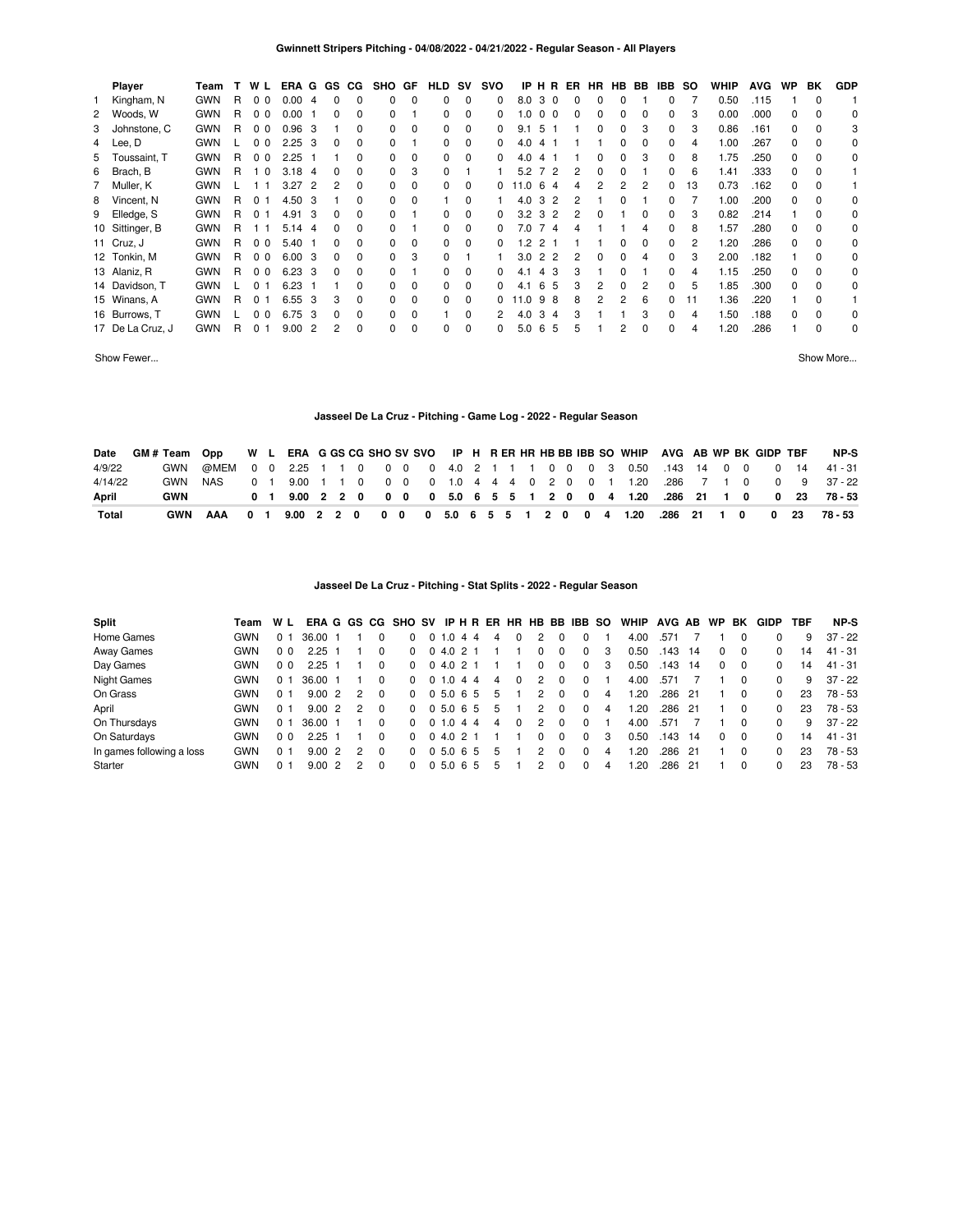| <b>Player</b>    | Team       |    | W L            | ERA G GS       |                |              | CG.      | <b>SHO</b> | GF       | HLD SV   |          | svo      |                        |                | IPHRER |   | HR HB BB |          | IBB.         | so | WHIP | <b>AVG</b> | WP       | BK       | <b>GDP</b> |
|------------------|------------|----|----------------|----------------|----------------|--------------|----------|------------|----------|----------|----------|----------|------------------------|----------------|--------|---|----------|----------|--------------|----|------|------------|----------|----------|------------|
| Kingham, N       | <b>GWN</b> | R  | 0 <sub>0</sub> | 0.00           | -4             | $\Omega$     | $\Omega$ | 0          | $\Omega$ | 0        | $\Omega$ | 0        | 8.0                    | 30             | 0      | 0 | 0        |          | 0            |    | 0.50 | .115       |          | $\Omega$ |            |
| 2 Woods, W       | <b>GWN</b> | R. | 0 <sub>0</sub> | 0.00           |                | 0            | 0        | 0          |          | 0        | $\Omega$ | 0        | 1.0                    | 0 <sub>0</sub> | 0      | 0 | 0        | 0        | 0            | 3  | 0.00 | .000       | 0        | $\Omega$ | $\Omega$   |
| 3 Johnstone, C   | <b>GWN</b> | R  | 0 <sub>0</sub> | 0.96           | - 3            |              | 0        | 0          | 0        | $\Omega$ | 0        | 0        | 9.1<br>-5              |                |        | 0 | $\Omega$ | 3        | 0            | 3  | 0.86 | .161       | $\Omega$ | $\Omega$ | 3          |
| 4 Lee, D         | <b>GWN</b> |    | 0 <sub>0</sub> | 2.25           | - 3            | $\Omega$     | $\Omega$ | 0          |          | 0        | 0        | 0        | 4.0                    | 41             |        |   | $\Omega$ | $\Omega$ | <sup>0</sup> | 4  | 1.00 | .267       | $\Omega$ | $\Omega$ | 0          |
| 5 Toussaint, T   | <b>GWN</b> | R. | 0 <sub>0</sub> | 2.25           |                |              | 0        | 0          | 0        | $\Omega$ | $\Omega$ | 0        | 4.0<br>4               |                |        | 0 | 0        | 3        | 0            | 8  | 1.75 | .250       | $\Omega$ | $\Omega$ | 0          |
| 6 Brach, B       | <b>GWN</b> | R  | 10             | 3.18           | -4             | <sup>0</sup> | 0        | 0          | 3        | $\Omega$ |          |          | 5.2                    | 72             | 2      | 0 | $\Omega$ |          | 0            | 6  | 1.41 | .333       | $\Omega$ | $\Omega$ |            |
| 7 Muller, K      | <b>GWN</b> |    | 11             | 3.27           | -2             | 2            | 0        | 0          | 0        | $\Omega$ | $\Omega$ | 0        | 11.0<br>6 <sub>6</sub> | 4              | 4      | 2 | 2        | 2        | 0            | 13 | 0.73 | .162       | $\Omega$ | $\Omega$ |            |
| 8 Vincent, N     | <b>GWN</b> | R  | 0 <sub>1</sub> | 4.50 3         |                |              | 0        | 0          | 0        |          | $\Omega$ |          | 4.0<br>3               | -2             | 2      |   | 0        |          | 0            |    | 1.00 | .200       | $\Omega$ | $\Omega$ | $\Omega$   |
| 9 Elledge, S     | <b>GWN</b> | R  | 0 <sub>1</sub> | 4.91           | - 3            | 0            | 0        | 0          |          | 0        | $\Omega$ | 0        | $3.2 \, 3$             | 2              | 2      | 0 |          | 0        | 0            | 3  | 0.82 | .214       |          | $\Omega$ | 0          |
| 10 Sittinger, B  | <b>GWN</b> | R. | 11             | 5.14           | -4             | 0            | $\Omega$ | 0          |          | 0        | 0        | 0        | 7.0                    | 74             | 4      |   |          | 4        | 0            | 8  | 1.57 | .280       | $\Omega$ | $\Omega$ | 0          |
| 11 Cruz, J       | <b>GWN</b> | R. | 0 <sub>0</sub> | $5.40$ 1       |                | 0            | $\Omega$ | 0          | 0        | 0        | $\Omega$ | $\Omega$ | $\sqrt{2}$             | 2 1            |        |   | $\Omega$ | $\Omega$ | $\Omega$     | 2  | 1.20 | .286       | $\Omega$ | $\Omega$ | 0          |
| 12 Tonkin, M     | <b>GWN</b> | R. | 0 <sub>0</sub> | 6.003          |                | 0            | $\Omega$ | 0          | 3        | $\Omega$ |          |          | 3.0                    | 2 2            | 2      | 0 | 0        | 4        | 0            | 3  | 2.00 | .182       |          | $\Omega$ | 0          |
| 13 Alaniz, R     | <b>GWN</b> | R  | 0 <sub>0</sub> | $6.23 \quad 3$ |                | 0            | $\Omega$ | 0          |          | 0        | $\Omega$ | 0        | 4.1                    | 4 3            | 3      |   | 0        |          | 0            | 4  | 1.15 | .250       | $\Omega$ | $\Omega$ | 0          |
| 14 Davidson, T   | <b>GWN</b> |    | 0 <sub>1</sub> | 6.23           |                |              | 0        | 0          | 0        | 0        | 0        | 0        | 4.1                    | 65             | 3      | 2 | $\Omega$ | 2        | 0            | 5  | 1.85 | .300       | $\Omega$ | $\Omega$ | 0          |
| 15 Winans, A     | <b>GWN</b> | R  | 0 <sub>1</sub> | 6.55           | -3             | 3            | $\Omega$ | 0          | 0        | 0        | 0        | 0        | 11.0<br>9              | -8             | 8      | 2 | 2        | 6        | 0            | 11 | 1.36 | .220       |          | $\Omega$ |            |
| 16 Burrows, T    | <b>GWN</b> |    | 0 <sub>0</sub> | 6.75           | -3             | $\Omega$     | $\Omega$ | 0          | 0        |          | 0        |          | 4.0                    | $3\quad4$      | 3      |   |          | 3        | 0            | 4  | 1.50 | .188       | $\Omega$ | $\Omega$ | 0          |
| 17 De La Cruz, J | <b>GWN</b> | R  | $\Omega$<br>-1 | 9.00           | $\overline{2}$ | 2            | 0        | 0          | $\Omega$ | 0        | $\Omega$ | 0        | 5.0                    | 6 5            | 5      |   | 2        | $\Omega$ | $\Omega$     | 4  | .20  | .286       |          | $\Omega$ | 0          |
|                  |            |    |                |                |                |              |          |            |          |          |          |          |                        |                |        |   |          |          |              |    |      |            |          |          |            |

Show Fewer... Show More...

# **Jasseel De La Cruz - Pitching - Game Log - 2022 - Regular Season**

| Date         | GM#Team Opp |        |  |  |  |  |  |  |  |  |  | W L ERA G GS CG SHO SV SVO IP H R ER HR HB BB IBB SO WHIP AVG AB WP BK GIDP TBF |  |  |  | NP-S                                                                     |
|--------------|-------------|--------|--|--|--|--|--|--|--|--|--|---------------------------------------------------------------------------------|--|--|--|--------------------------------------------------------------------------|
| 4/9/22       | GWN         |        |  |  |  |  |  |  |  |  |  |                                                                                 |  |  |  | @MEM 0 0 2.25 1 1 0 0 0 0 4.0 2 1 1 1 0 0 0 3 0.50 143 14 0 0 0 14 41-31 |
| 4/14/22      | GWN         | NAS    |  |  |  |  |  |  |  |  |  |                                                                                 |  |  |  | 0 1 9.00 1 1 0 0 0 0 1.0 4 4 4 0 2 0 0 1 1.20 .286 7 1 0 0 9 37-22       |
| April        | GWN         |        |  |  |  |  |  |  |  |  |  |                                                                                 |  |  |  | 0 1 9.00 2 2 0 0 0 0 5.0 6 5 5 1 2 0 0 4 1.20 .286 21 1 0 0 23 78-53     |
| <b>Total</b> | <b>GWN</b>  | AAA 01 |  |  |  |  |  |  |  |  |  | 9.00 2 2 0 0 0 0 5.0 6 5 5 1 2 0 0 4 1.20 .286 21 1 0 0 23                      |  |  |  | 78 - 53                                                                  |

# **Jasseel De La Cruz - Pitching - Stat Splits - 2022 - Regular Season**

| Split                     | Team       | W L            |       |                |               |          | ERAGGS CG SHO SV IP H R ER HR HB BB IBB SO |              |    |   |   |               |             |          |   | WHIP | AVG AB |      | WP | BK           | GIDP     | TBF | NP-S      |
|---------------------------|------------|----------------|-------|----------------|---------------|----------|--------------------------------------------|--------------|----|---|---|---------------|-------------|----------|---|------|--------|------|----|--------------|----------|-----|-----------|
| Home Games                | <b>GWN</b> | 0 <sub>1</sub> | 36.00 |                |               |          |                                            | 0, 1.0       | 44 | 4 |   |               |             |          |   | 4.00 | .571   |      |    |              |          | 9   | $37 - 22$ |
| Away Games                | <b>GWN</b> | 0 <sub>0</sub> | 2.25  |                |               |          | $\Omega$                                   | 04.021       |    |   |   |               |             | 0        | 3 | 0.50 | .143   | 14   |    | $\Omega$     | 0        | 14  | $41 - 31$ |
| Day Games                 | <b>GWN</b> | 0 <sub>0</sub> | 2.25  |                |               |          | $\Omega$                                   | 04.021       |    |   |   | 0             | $\mathbf 0$ | $\Omega$ | 3 | 0.50 | .143   | - 14 |    | $\Omega$     | $\Omega$ | 14  | $41 - 31$ |
| <b>Night Games</b>        | <b>GWN</b> | 0 <sub>1</sub> | 36.00 |                |               |          | <sup>0</sup>                               | 0, 1.0, 4, 4 |    | 4 | 0 | 2             |             | $\Omega$ |   | 4.00 | .571   |      |    |              | $\Omega$ | 9   | $37 - 22$ |
| On Grass                  | <b>GWN</b> | 0 <sub>1</sub> | 9.002 |                |               | 0        | 0                                          | 0 5.0 6 5    |    | 5 |   | 2             | $\Omega$    | $\Omega$ | 4 | .20  | .286   | -21  |    | <sup>0</sup> | $\Omega$ | 23  | 78 - 53   |
| April                     | <b>GWN</b> | 0 <sub>1</sub> | 9.00  | $\overline{2}$ | 2             | 0        | <sup>0</sup>                               | 0 5.0 6 5    |    | 5 |   | 2             |             | $\Omega$ | 4 | .20  | .286   | 21   |    |              | $\Omega$ | 23  | 78 - 53   |
| On Thursdays              | <b>GWN</b> | 0 <sub>1</sub> | 36.00 |                |               | 0        | <sup>0</sup>                               | 0 1.0 4 4    |    | 4 | 0 | $\mathcal{P}$ | $\Omega$    | $\Omega$ |   | 4.00 | .571   |      |    |              | $\Omega$ | 9   | 37 - 22   |
| On Saturdays              | <b>GWN</b> | 0 <sub>0</sub> | 2.25  |                |               | 0        | <sup>0</sup>                               | 0, 4.0, 2, 1 |    |   |   |               | $\Omega$    | $\Omega$ | 3 | 0.50 | .143   | 14   |    | $\Omega$     | $\Omega$ | 14  | $41 - 31$ |
| In games following a loss | <b>GWN</b> | 0 <sub>1</sub> | 9.00  | $\overline{2}$ | 2             | $\Omega$ | 0                                          | 0 5 0 6 5    |    | 5 |   |               |             |          | 4 | .20  | .286   | 21   |    | $\Omega$     | $\Omega$ | 23  | $78 - 53$ |
| Starter                   | <b>GWN</b> | 0 1            | 9.00  | $\overline{2}$ | $\mathcal{P}$ | $\Omega$ | 0                                          | 05.065       |    | 5 |   | 2             | $\Omega$    |          | 4 | .20  | .286   | 21   |    | $\Omega$     |          | 23  | $78 - 53$ |